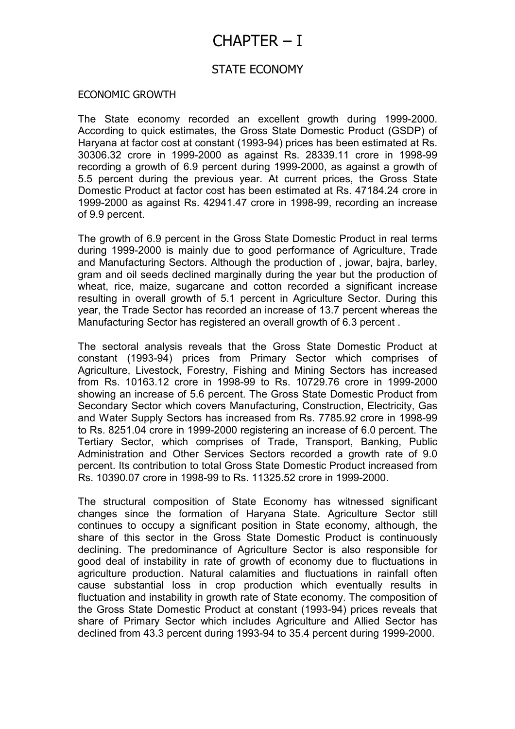# CHAPTER – I

## STATE ECONOMY

### ECONOMIC GROWTH

The State economy recorded an excellent growth during 1999-2000. According to quick estimates, the Gross State Domestic Product (GSDP) of Haryana at factor cost at constant (1993-94) prices has been estimated at Rs. 30306.32 crore in 1999-2000 as against Rs. 28339.11 crore in 1998-99 recording a growth of 6.9 percent during 1999-2000, as against a growth of 5.5 percent during the previous year. At current prices, the Gross State Domestic Product at factor cost has been estimated at Rs. 47184.24 crore in 1999-2000 as against Rs. 42941.47 crore in 1998-99, recording an increase of 9.9 percent.

The growth of 6.9 percent in the Gross State Domestic Product in real terms during 1999-2000 is mainly due to good performance of Agriculture, Trade and Manufacturing Sectors. Although the production of , jowar, bajra, barley, gram and oil seeds declined marginally during the year but the production of wheat, rice, maize, sugarcane and cotton recorded a significant increase resulting in overall growth of 5.1 percent in Agriculture Sector. During this year, the Trade Sector has recorded an increase of 13.7 percent whereas the Manufacturing Sector has registered an overall growth of 6.3 percent .

The sectoral analysis reveals that the Gross State Domestic Product at constant (1993-94) prices from Primary Sector which comprises of Agriculture, Livestock, Forestry, Fishing and Mining Sectors has increased from Rs. 10163.12 crore in 1998-99 to Rs. 10729.76 crore in 1999-2000 showing an increase of 5.6 percent. The Gross State Domestic Product from Secondary Sector which covers Manufacturing, Construction, Electricity, Gas and Water Supply Sectors has increased from Rs. 7785.92 crore in 1998-99 to Rs. 8251.04 crore in 1999-2000 registering an increase of 6.0 percent. The Tertiary Sector, which comprises of Trade, Transport, Banking, Public Administration and Other Services Sectors recorded a growth rate of 9.0 percent. Its contribution to total Gross State Domestic Product increased from Rs. 10390.07 crore in 1998-99 to Rs. 11325.52 crore in 1999-2000.

The structural composition of State Economy has witnessed significant changes since the formation of Haryana State. Agriculture Sector still continues to occupy a significant position in State economy, although, the share of this sector in the Gross State Domestic Product is continuously declining. The predominance of Agriculture Sector is also responsible for good deal of instability in rate of growth of economy due to fluctuations in agriculture production. Natural calamities and fluctuations in rainfall often cause substantial loss in crop production which eventually results in fluctuation and instability in growth rate of State economy. The composition of the Gross State Domestic Product at constant (1993-94) prices reveals that share of Primary Sector which includes Agriculture and Allied Sector has declined from 43.3 percent during 1993-94 to 35.4 percent during 1999-2000.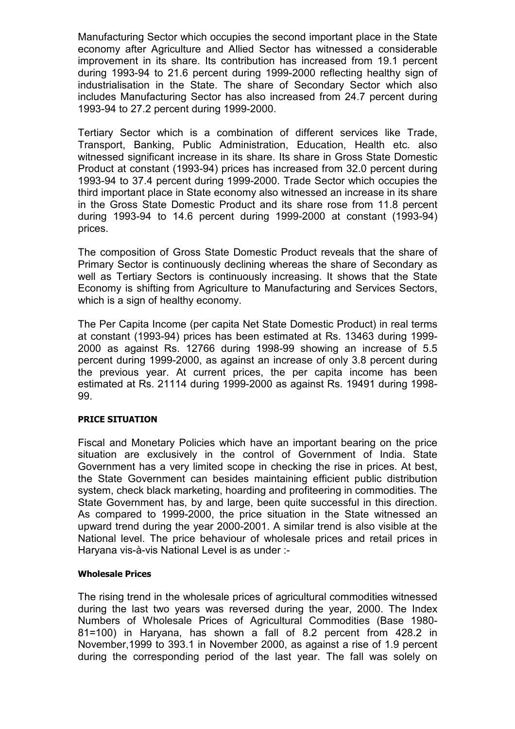Manufacturing Sector which occupies the second important place in the State economy after Agriculture and Allied Sector has witnessed a considerable improvement in its share. Its contribution has increased from 19.1 percent during 1993-94 to 21.6 percent during 1999-2000 reflecting healthy sign of industrialisation in the State. The share of Secondary Sector which also includes Manufacturing Sector has also increased from 24.7 percent during 1993-94 to 27.2 percent during 1999-2000.

Tertiary Sector which is a combination of different services like Trade, Transport, Banking, Public Administration, Education, Health etc. also witnessed significant increase in its share. Its share in Gross State Domestic Product at constant (1993-94) prices has increased from 32.0 percent during 1993-94 to 37.4 percent during 1999-2000. Trade Sector which occupies the third important place in State economy also witnessed an increase in its share in the Gross State Domestic Product and its share rose from 11.8 percent during 1993-94 to 14.6 percent during 1999-2000 at constant (1993-94) prices.

The composition of Gross State Domestic Product reveals that the share of Primary Sector is continuously declining whereas the share of Secondary as well as Tertiary Sectors is continuously increasing. It shows that the State Economy is shifting from Agriculture to Manufacturing and Services Sectors, which is a sign of healthy economy.

The Per Capita Income (per capita Net State Domestic Product) in real terms at constant (1993-94) prices has been estimated at Rs. 13463 during 1999- 2000 as against Rs. 12766 during 1998-99 showing an increase of 5.5 percent during 1999-2000, as against an increase of only 3.8 percent during the previous year. At current prices, the per capita income has been estimated at Rs. 21114 during 1999-2000 as against Rs. 19491 during 1998- 99.

### PRICE SITUATION

Fiscal and Monetary Policies which have an important bearing on the price situation are exclusively in the control of Government of India. State Government has a very limited scope in checking the rise in prices. At best, the State Government can besides maintaining efficient public distribution system, check black marketing, hoarding and profiteering in commodities. The State Government has, by and large, been quite successful in this direction. As compared to 1999-2000, the price situation in the State witnessed an upward trend during the year 2000-2001. A similar trend is also visible at the National level. The price behaviour of wholesale prices and retail prices in Haryana vis-à-vis National Level is as under :-

### Wholesale Prices

The rising trend in the wholesale prices of agricultural commodities witnessed during the last two years was reversed during the year, 2000. The Index Numbers of Wholesale Prices of Agricultural Commodities (Base 1980- 81=100) in Haryana, has shown a fall of 8.2 percent from 428.2 in November,1999 to 393.1 in November 2000, as against a rise of 1.9 percent during the corresponding period of the last year. The fall was solely on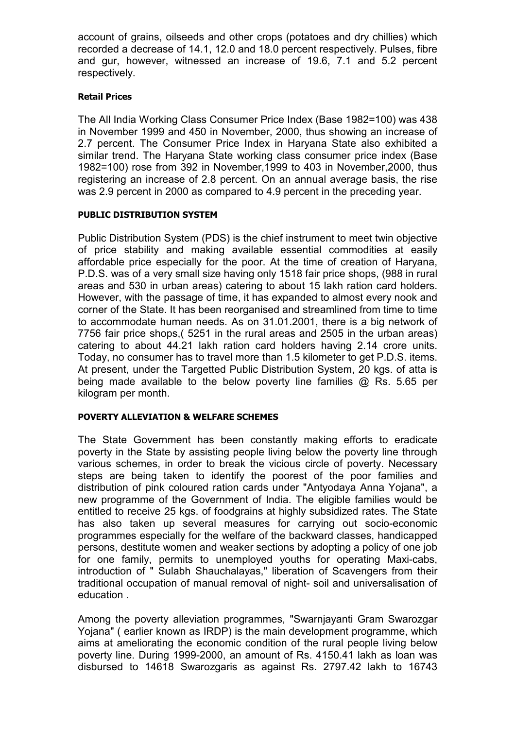account of grains, oilseeds and other crops (potatoes and dry chillies) which recorded a decrease of 14.1, 12.0 and 18.0 percent respectively. Pulses, fibre and gur, however, witnessed an increase of 19.6, 7.1 and 5.2 percent respectively.

### Retail Prices

The All India Working Class Consumer Price Index (Base 1982=100) was 438 in November 1999 and 450 in November, 2000, thus showing an increase of 2.7 percent. The Consumer Price Index in Haryana State also exhibited a similar trend. The Haryana State working class consumer price index (Base 1982=100) rose from 392 in November,1999 to 403 in November,2000, thus registering an increase of 2.8 percent. On an annual average basis, the rise was 2.9 percent in 2000 as compared to 4.9 percent in the preceding year.

### PUBLIC DISTRIBUTION SYSTEM

Public Distribution System (PDS) is the chief instrument to meet twin objective of price stability and making available essential commodities at easily affordable price especially for the poor. At the time of creation of Haryana, P.D.S. was of a very small size having only 1518 fair price shops, (988 in rural areas and 530 in urban areas) catering to about 15 lakh ration card holders. However, with the passage of time, it has expanded to almost every nook and corner of the State. It has been reorganised and streamlined from time to time to accommodate human needs. As on 31.01.2001, there is a big network of 7756 fair price shops,( 5251 in the rural areas and 2505 in the urban areas) catering to about 44.21 lakh ration card holders having 2.14 crore units. Today, no consumer has to travel more than 1.5 kilometer to get P.D.S. items. At present, under the Targetted Public Distribution System, 20 kgs. of atta is being made available to the below poverty line families @ Rs. 5.65 per kilogram per month.

### POVERTY ALLEVIATION & WELFARE SCHEMES

The State Government has been constantly making efforts to eradicate poverty in the State by assisting people living below the poverty line through various schemes, in order to break the vicious circle of poverty. Necessary steps are being taken to identify the poorest of the poor families and distribution of pink coloured ration cards under "Antyodaya Anna Yojana", a new programme of the Government of India. The eligible families would be entitled to receive 25 kgs. of foodgrains at highly subsidized rates. The State has also taken up several measures for carrying out socio-economic programmes especially for the welfare of the backward classes, handicapped persons, destitute women and weaker sections by adopting a policy of one job for one family, permits to unemployed youths for operating Maxi-cabs, introduction of " Sulabh Shauchalayas," liberation of Scavengers from their traditional occupation of manual removal of night- soil and universalisation of education .

Among the poverty alleviation programmes, "Swarnjayanti Gram Swarozgar Yojana" ( earlier known as IRDP) is the main development programme, which aims at ameliorating the economic condition of the rural people living below poverty line. During 1999-2000, an amount of Rs. 4150.41 lakh as loan was disbursed to 14618 Swarozgaris as against Rs. 2797.42 lakh to 16743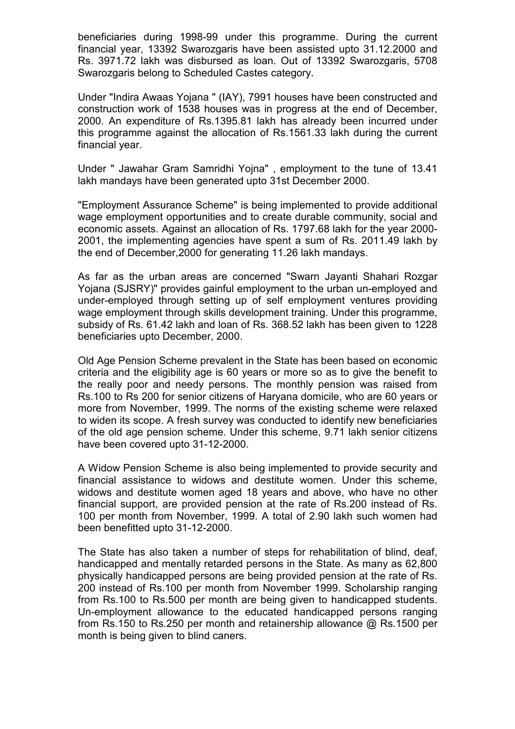beneficiaries during 1998-99 under this programme. During the current financial year, 13392 Swarozgaris have been assisted upto 31.12.2000 and Rs. 3971.72 lakh was disbursed as loan. Out of 13392 Swarozgaris, 5708 Swarozgaris belong to Scheduled Castes category.

Under "Indira Awaas Yojana " (IAY), 7991 houses have been constructed and construction work of 1538 houses was in progress at the end of December, 2000. An expenditure of Rs.1395.81 lakh has already been incurred under this programme against the allocation of Rs.1561.33 lakh during the current financial year.

Under " Jawahar Gram Samridhi Yojna" , employment to the tune of 13.41 lakh mandays have been generated upto 31st December 2000.

"Employment Assurance Scheme" is being implemented to provide additional wage employment opportunities and to create durable community, social and economic assets. Against an allocation of Rs. 1797.68 lakh for the year 2000- 2001, the implementing agencies have spent a sum of Rs. 2011.49 lakh by the end of December,2000 for generating 11.26 lakh mandays.

As far as the urban areas are concerned "Swarn Jayanti Shahari Rozgar Yojana (SJSRY)" provides gainful employment to the urban un-employed and under-employed through setting up of self employment ventures providing wage employment through skills development training. Under this programme, subsidy of Rs. 61.42 lakh and loan of Rs. 368.52 lakh has been given to 1228 beneficiaries upto December, 2000.

Old Age Pension Scheme prevalent in the State has been based on economic criteria and the eligibility age is 60 years or more so as to give the benefit to the really poor and needy persons. The monthly pension was raised from Rs.100 to Rs 200 for senior citizens of Haryana domicile, who are 60 years or more from November, 1999. The norms of the existing scheme were relaxed to widen its scope. A fresh survey was conducted to identify new beneficiaries of the old age pension scheme. Under this scheme, 9.71 lakh senior citizens have been covered upto 31-12-2000.

A Widow Pension Scheme is also being implemented to provide security and financial assistance to widows and destitute women. Under this scheme, widows and destitute women aged 18 years and above, who have no other financial support, are provided pension at the rate of Rs.200 instead of Rs. 100 per month from November, 1999. A total of 2.90 lakh such women had been benefitted upto 31-12-2000.

The State has also taken a number of steps for rehabilitation of blind, deaf, handicapped and mentally retarded persons in the State. As many as 62,800 physically handicapped persons are being provided pension at the rate of Rs. 200 instead of Rs.100 per month from November 1999. Scholarship ranging from Rs.100 to Rs.500 per month are being given to handicapped students. Un-employment allowance to the educated handicapped persons ranging from Rs.150 to Rs.250 per month and retainership allowance @ Rs.1500 per month is being given to blind caners.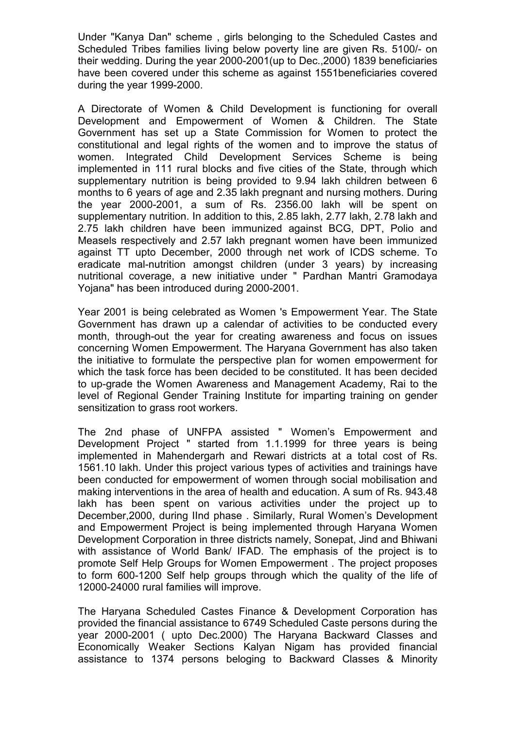Under "Kanya Dan" scheme , girls belonging to the Scheduled Castes and Scheduled Tribes families living below poverty line are given Rs. 5100/- on their wedding. During the year 2000-2001(up to Dec.,2000) 1839 beneficiaries have been covered under this scheme as against 1551beneficiaries covered during the year 1999-2000.

A Directorate of Women & Child Development is functioning for overall Development and Empowerment of Women & Children. The State Government has set up a State Commission for Women to protect the constitutional and legal rights of the women and to improve the status of women. Integrated Child Development Services Scheme is being implemented in 111 rural blocks and five cities of the State, through which supplementary nutrition is being provided to 9.94 lakh children between 6 months to 6 years of age and 2.35 lakh pregnant and nursing mothers. During the year 2000-2001, a sum of Rs. 2356.00 lakh will be spent on supplementary nutrition. In addition to this, 2.85 lakh, 2.77 lakh, 2.78 lakh and 2.75 lakh children have been immunized against BCG, DPT, Polio and Measels respectively and 2.57 lakh pregnant women have been immunized against TT upto December, 2000 through net work of ICDS scheme. To eradicate mal-nutrition amongst children (under 3 years) by increasing nutritional coverage, a new initiative under " Pardhan Mantri Gramodaya Yojana" has been introduced during 2000-2001.

Year 2001 is being celebrated as Women 's Empowerment Year. The State Government has drawn up a calendar of activities to be conducted every month, through-out the year for creating awareness and focus on issues concerning Women Empowerment. The Haryana Government has also taken the initiative to formulate the perspective plan for women empowerment for which the task force has been decided to be constituted. It has been decided to up-grade the Women Awareness and Management Academy, Rai to the level of Regional Gender Training Institute for imparting training on gender sensitization to grass root workers.

The 2nd phase of UNFPA assisted " Women's Empowerment and Development Project " started from 1.1.1999 for three years is being implemented in Mahendergarh and Rewari districts at a total cost of Rs. 1561.10 lakh. Under this project various types of activities and trainings have been conducted for empowerment of women through social mobilisation and making interventions in the area of health and education. A sum of Rs. 943.48 lakh has been spent on various activities under the project up to December,2000, during IInd phase . Similarly, Rural Women's Development and Empowerment Project is being implemented through Haryana Women Development Corporation in three districts namely, Sonepat, Jind and Bhiwani with assistance of World Bank/ IFAD. The emphasis of the project is to promote Self Help Groups for Women Empowerment . The project proposes to form 600-1200 Self help groups through which the quality of the life of 12000-24000 rural families will improve.

The Haryana Scheduled Castes Finance & Development Corporation has provided the financial assistance to 6749 Scheduled Caste persons during the year 2000-2001 ( upto Dec.2000) The Haryana Backward Classes and Economically Weaker Sections Kalyan Nigam has provided financial assistance to 1374 persons beloging to Backward Classes & Minority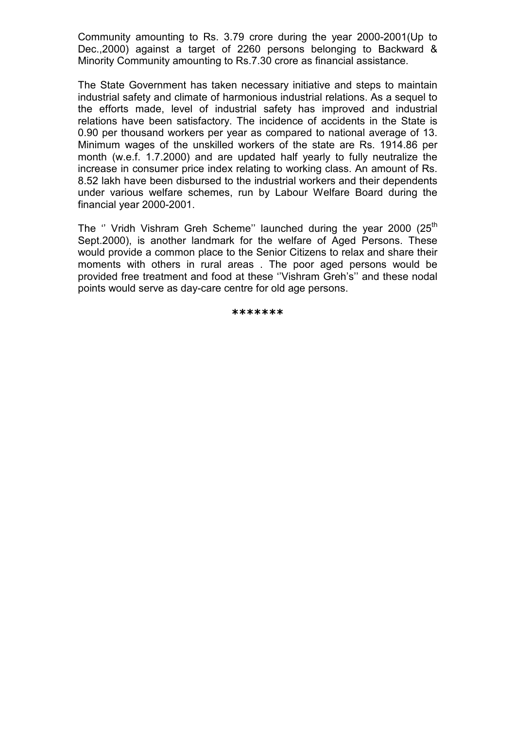Community amounting to Rs. 3.79 crore during the year 2000-2001(Up to Dec.,2000) against a target of 2260 persons belonging to Backward & Minority Community amounting to Rs.7.30 crore as financial assistance.

The State Government has taken necessary initiative and steps to maintain industrial safety and climate of harmonious industrial relations. As a sequel to the efforts made, level of industrial safety has improved and industrial relations have been satisfactory. The incidence of accidents in the State is 0.90 per thousand workers per year as compared to national average of 13. Minimum wages of the unskilled workers of the state are Rs. 1914.86 per month (w.e.f. 1.7.2000) and are updated half yearly to fully neutralize the increase in consumer price index relating to working class. An amount of Rs. 8.52 lakh have been disbursed to the industrial workers and their dependents under various welfare schemes, run by Labour Welfare Board during the financial year 2000-2001.

The " Vridh Vishram Greh Scheme" launched during the year 2000  $(25<sup>th</sup>$ Sept.2000), is another landmark for the welfare of Aged Persons. These would provide a common place to the Senior Citizens to relax and share their moments with others in rural areas . The poor aged persons would be provided free treatment and food at these ''Vishram Greh's'' and these nodal points would serve as day-care centre for old age persons.

\*\*\*\*\*\*\*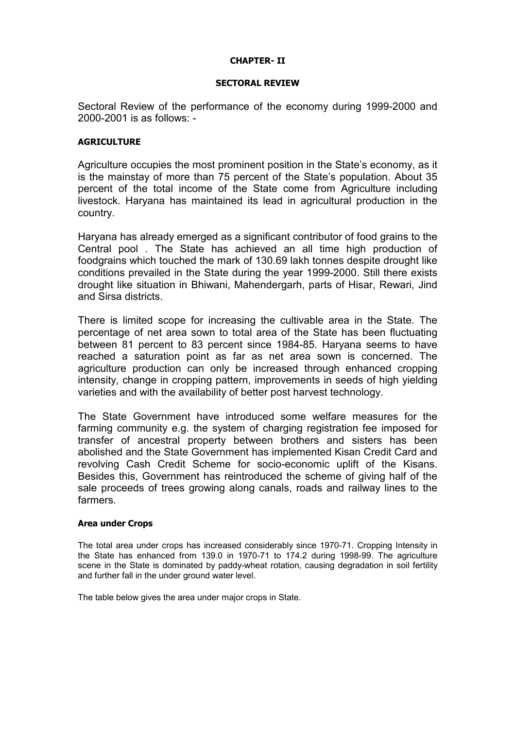### CHAPTER- II

### SECTORAL REVIEW

Sectoral Review of the performance of the economy during 1999-2000 and 2000-2001 is as follows: -

### **AGRICULTURE**

Agriculture occupies the most prominent position in the State's economy, as it is the mainstay of more than 75 percent of the State's population. About 35 percent of the total income of the State come from Agriculture including livestock. Haryana has maintained its lead in agricultural production in the country.

Haryana has already emerged as a significant contributor of food grains to the Central pool . The State has achieved an all time high production of foodgrains which touched the mark of 130.69 lakh tonnes despite drought like conditions prevailed in the State during the year 1999-2000. Still there exists drought like situation in Bhiwani, Mahendergarh, parts of Hisar, Rewari, Jind and Sirsa districts.

There is limited scope for increasing the cultivable area in the State. The percentage of net area sown to total area of the State has been fluctuating between 81 percent to 83 percent since 1984-85. Haryana seems to have reached a saturation point as far as net area sown is concerned. The agriculture production can only be increased through enhanced cropping intensity, change in cropping pattern, improvements in seeds of high yielding varieties and with the availability of better post harvest technology.

The State Government have introduced some welfare measures for the farming community e.g. the system of charging registration fee imposed for transfer of ancestral property between brothers and sisters has been abolished and the State Government has implemented Kisan Credit Card and revolving Cash Credit Scheme for socio-economic uplift of the Kisans. Besides this, Government has reintroduced the scheme of giving half of the sale proceeds of trees growing along canals, roads and railway lines to the farmers.

### Area under Crops

The total area under crops has increased considerably since 1970-71. Cropping Intensity in the State has enhanced from 139.0 in 1970-71 to 174.2 during 1998-99. The agriculture scene in the State is dominated by paddy-wheat rotation, causing degradation in soil fertility and further fall in the under ground water level.

The table below gives the area under major crops in State.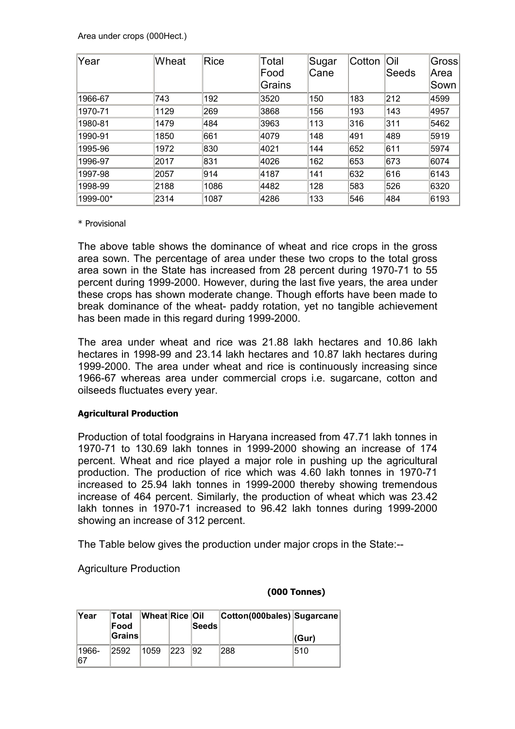Area under crops (000Hect.)

| Year     | Wheat | Rice | Total<br>Food<br>Grains | Sugar<br>iCane | Cotton | Oil<br>Seeds | <b>Gross</b><br>Area<br>Sown |
|----------|-------|------|-------------------------|----------------|--------|--------------|------------------------------|
| 1966-67  | 743   | 192  | 3520                    | 150            | 183    | 212          | 4599                         |
| 1970-71  | 1129  | 269  | 3868                    | 156            | 193    | 143          | 4957                         |
| 1980-81  | 1479  | 484  | 3963                    | 113            | 316    | 311          | 5462                         |
| 1990-91  | 1850  | 661  | 4079                    | 148            | 491    | 489          | 5919                         |
| 1995-96  | 1972  | 830  | 4021                    | 144            | 652    | 611          | 5974                         |
| 1996-97  | 2017  | 831  | 4026                    | 162            | 653    | 673          | 6074                         |
| 1997-98  | 2057  | 914  | 4187                    | 141            | 632    | 616          | 6143                         |
| 1998-99  | 2188  | 1086 | 4482                    | 128            | 583    | 526          | 6320                         |
| 1999-00* | 2314  | 1087 | 4286                    | 133            | 546    | 484          | 6193                         |

### \* Provisional

The above table shows the dominance of wheat and rice crops in the gross area sown. The percentage of area under these two crops to the total gross area sown in the State has increased from 28 percent during 1970-71 to 55 percent during 1999-2000. However, during the last five years, the area under these crops has shown moderate change. Though efforts have been made to break dominance of the wheat- paddy rotation, yet no tangible achievement has been made in this regard during 1999-2000.

The area under wheat and rice was 21.88 lakh hectares and 10.86 lakh hectares in 1998-99 and 23.14 lakh hectares and 10.87 lakh hectares during 1999-2000. The area under wheat and rice is continuously increasing since 1966-67 whereas area under commercial crops i.e. sugarcane, cotton and oilseeds fluctuates every year.

### Agricultural Production

Production of total foodgrains in Haryana increased from 47.71 lakh tonnes in 1970-71 to 130.69 lakh tonnes in 1999-2000 showing an increase of 174 percent. Wheat and rice played a major role in pushing up the agricultural production. The production of rice which was 4.60 lakh tonnes in 1970-71 increased to 25.94 lakh tonnes in 1999-2000 thereby showing tremendous increase of 464 percent. Similarly, the production of wheat which was 23.42 lakh tonnes in 1970-71 increased to 96.42 lakh tonnes during 1999-2000 showing an increase of 312 percent.

The Table below gives the production under major crops in the State:--

Agriculture Production

### (000 Tonnes)

| ∣Year        | Total<br>Food<br> Grains | <b>Wheat Rice Oil</b> |      | Seeds | Cotton(000bales) Sugarcane | ∣(Gur) |
|--------------|--------------------------|-----------------------|------|-------|----------------------------|--------|
| 1966-<br>167 | 2592                     | 1059                  | 1223 | 92    | 288                        | 510    |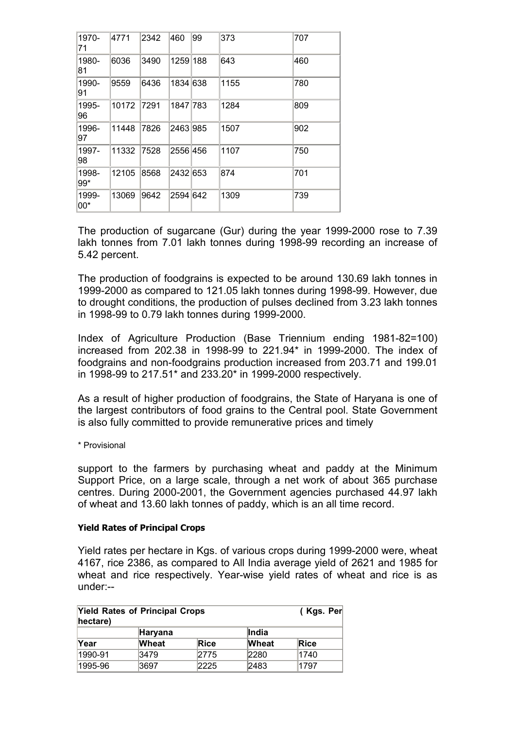| 1970-<br>71    | 4771  | 2342 | 460      | 99 | 373  | 707 |
|----------------|-------|------|----------|----|------|-----|
| 1980-<br>81    | 6036  | 3490 | 1259 188 |    | 643  | 460 |
| 1990-<br>91    | 9559  | 6436 | 1834 638 |    | 1155 | 780 |
| 1995-<br>96    | 10172 | 7291 | 1847 783 |    | 1284 | 809 |
| 1996-<br>97    | 11448 | 7826 | 2463 985 |    | 1507 | 902 |
| 1997-<br>98    | 11332 | 7528 | 2556 456 |    | 1107 | 750 |
| 1998-<br>$99*$ | 12105 | 8568 | 2432 653 |    | 874  | 701 |
| 1999-<br>$00*$ | 13069 | 9642 | 2594 642 |    | 1309 | 739 |

The production of sugarcane (Gur) during the year 1999-2000 rose to 7.39 lakh tonnes from 7.01 lakh tonnes during 1998-99 recording an increase of 5.42 percent.

The production of foodgrains is expected to be around 130.69 lakh tonnes in 1999-2000 as compared to 121.05 lakh tonnes during 1998-99. However, due to drought conditions, the production of pulses declined from 3.23 lakh tonnes in 1998-99 to 0.79 lakh tonnes during 1999-2000.

Index of Agriculture Production (Base Triennium ending 1981-82=100) increased from 202.38 in 1998-99 to 221.94\* in 1999-2000. The index of foodgrains and non-foodgrains production increased from 203.71 and 199.01 in 1998-99 to 217.51\* and 233.20\* in 1999-2000 respectively.

As a result of higher production of foodgrains, the State of Haryana is one of the largest contributors of food grains to the Central pool. State Government is also fully committed to provide remunerative prices and timely

\* Provisional

support to the farmers by purchasing wheat and paddy at the Minimum Support Price, on a large scale, through a net work of about 365 purchase centres. During 2000-2001, the Government agencies purchased 44.97 lakh of wheat and 13.60 lakh tonnes of paddy, which is an all time record.

### Yield Rates of Principal Crops

Yield rates per hectare in Kgs. of various crops during 1999-2000 were, wheat 4167, rice 2386, as compared to All India average yield of 2621 and 1985 for wheat and rice respectively. Year-wise yield rates of wheat and rice is as under:--

| <b>Yield Rates of Principal Crops</b><br>hectare) | (Kgs. Per)   |      |              |      |  |  |  |
|---------------------------------------------------|--------------|------|--------------|------|--|--|--|
| <b>I</b> ndia<br>Haryana                          |              |      |              |      |  |  |  |
| Year                                              | <b>Wheat</b> | Rice | <b>Wheat</b> | Rice |  |  |  |
| 1990-91                                           | 3479         | 2775 | 2280         | 1740 |  |  |  |
| 1995-96                                           | 3697         | 2225 | 2483         | 1797 |  |  |  |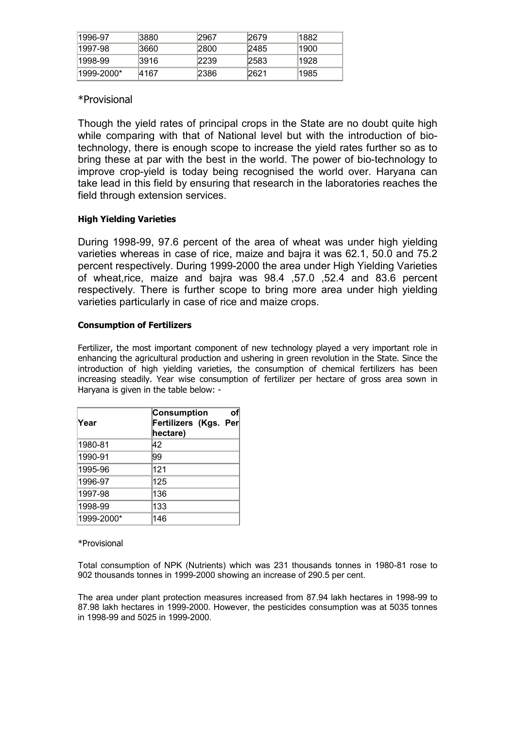| 1996-97     | 13880 | 2967  | 2679 | 1882 |
|-------------|-------|-------|------|------|
| ∣1997-98    | 13660 | 12800 | 2485 | 1900 |
| 1998-99     | 13916 | 2239  | 2583 | 1928 |
| l1999-2000* | 14167 | 12386 | 2621 | 1985 |

### \*Provisional

Though the yield rates of principal crops in the State are no doubt quite high while comparing with that of National level but with the introduction of biotechnology, there is enough scope to increase the yield rates further so as to bring these at par with the best in the world. The power of bio-technology to improve crop-yield is today being recognised the world over. Haryana can take lead in this field by ensuring that research in the laboratories reaches the field through extension services.

### High Yielding Varieties

During 1998-99, 97.6 percent of the area of wheat was under high yielding varieties whereas in case of rice, maize and bajra it was 62.1, 50.0 and 75.2 percent respectively. During 1999-2000 the area under High Yielding Varieties of wheat,rice, maize and bajra was 98.4 ,57.0 ,52.4 and 83.6 percent respectively. There is further scope to bring more area under high yielding varieties particularly in case of rice and maize crops.

### Consumption of Fertilizers

Fertilizer, the most important component of new technology played a very important role in enhancing the agricultural production and ushering in green revolution in the State. Since the introduction of high yielding varieties, the consumption of chemical fertilizers has been increasing steadily. Year wise consumption of fertilizer per hectare of gross area sown in Haryana is given in the table below: -

| Year       | Consumption<br>Fertilizers (Kgs. Per<br>hectare) | οf |
|------------|--------------------------------------------------|----|
| 1980-81    | 42                                               |    |
| 1990-91    | 99                                               |    |
| 1995-96    | 121                                              |    |
| 1996-97    | 125                                              |    |
| 1997-98    | 136                                              |    |
| 1998-99    | 133                                              |    |
| 1999-2000* | 146                                              |    |

### \*Provisional

Total consumption of NPK (Nutrients) which was 231 thousands tonnes in 1980-81 rose to 902 thousands tonnes in 1999-2000 showing an increase of 290.5 per cent.

The area under plant protection measures increased from 87.94 lakh hectares in 1998-99 to 87.98 lakh hectares in 1999-2000. However, the pesticides consumption was at 5035 tonnes in 1998-99 and 5025 in 1999-2000.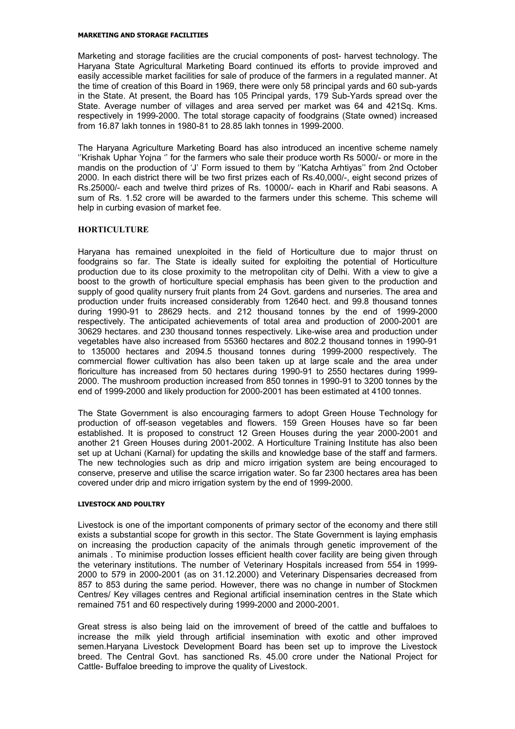#### MARKETING AND STORAGE FACILITIES

Marketing and storage facilities are the crucial components of post- harvest technology. The Haryana State Agricultural Marketing Board continued its efforts to provide improved and easily accessible market facilities for sale of produce of the farmers in a regulated manner. At the time of creation of this Board in 1969, there were only 58 principal yards and 60 sub-yards in the State. At present, the Board has 105 Principal yards, 179 Sub-Yards spread over the State. Average number of villages and area served per market was 64 and 421Sq. Kms. respectively in 1999-2000. The total storage capacity of foodgrains (State owned) increased from 16.87 lakh tonnes in 1980-81 to 28.85 lakh tonnes in 1999-2000.

The Haryana Agriculture Marketing Board has also introduced an incentive scheme namely ''Krishak Uphar Yojna '' for the farmers who sale their produce worth Rs 5000/- or more in the mandis on the production of 'J' Form issued to them by ''Katcha Arhtiyas'' from 2nd October 2000. In each district there will be two first prizes each of Rs.40,000/-, eight second prizes of Rs.25000/- each and twelve third prizes of Rs. 10000/- each in Kharif and Rabi seasons. A sum of Rs. 1.52 crore will be awarded to the farmers under this scheme. This scheme will help in curbing evasion of market fee.

#### **HORTICULTURE**

Haryana has remained unexploited in the field of Horticulture due to major thrust on foodgrains so far. The State is ideally suited for exploiting the potential of Horticulture production due to its close proximity to the metropolitan city of Delhi. With a view to give a boost to the growth of horticulture special emphasis has been given to the production and supply of good quality nursery fruit plants from 24 Govt. gardens and nurseries. The area and production under fruits increased considerably from 12640 hect. and 99.8 thousand tonnes during 1990-91 to 28629 hects. and 212 thousand tonnes by the end of 1999-2000 respectively. The anticipated achievements of total area and production of 2000-2001 are 30629 hectares. and 230 thousand tonnes respectively. Like-wise area and production under vegetables have also increased from 55360 hectares and 802.2 thousand tonnes in 1990-91 to 135000 hectares and 2094.5 thousand tonnes during 1999-2000 respectively. The commercial flower cultivation has also been taken up at large scale and the area under floriculture has increased from 50 hectares during 1990-91 to 2550 hectares during 1999- 2000. The mushroom production increased from 850 tonnes in 1990-91 to 3200 tonnes by the end of 1999-2000 and likely production for 2000-2001 has been estimated at 4100 tonnes.

The State Government is also encouraging farmers to adopt Green House Technology for production of off-season vegetables and flowers. 159 Green Houses have so far been established. It is proposed to construct 12 Green Houses during the year 2000-2001 and another 21 Green Houses during 2001-2002. A Horticulture Training Institute has also been set up at Uchani (Karnal) for updating the skills and knowledge base of the staff and farmers. The new technologies such as drip and micro irrigation system are being encouraged to conserve, preserve and utilise the scarce irrigation water. So far 2300 hectares area has been covered under drip and micro irrigation system by the end of 1999-2000.

#### LIVESTOCK AND POULTRY

Livestock is one of the important components of primary sector of the economy and there still exists a substantial scope for growth in this sector. The State Government is laying emphasis on increasing the production capacity of the animals through genetic improvement of the animals . To minimise production losses efficient health cover facility are being given through the veterinary institutions. The number of Veterinary Hospitals increased from 554 in 1999- 2000 to 579 in 2000-2001 (as on 31.12.2000) and Veterinary Dispensaries decreased from 857 to 853 during the same period. However, there was no change in number of Stockmen Centres/ Key villages centres and Regional artificial insemination centres in the State which remained 751 and 60 respectively during 1999-2000 and 2000-2001.

Great stress is also being laid on the imrovement of breed of the cattle and buffaloes to increase the milk yield through artificial insemination with exotic and other improved semen.Haryana Livestock Development Board has been set up to improve the Livestock breed. The Central Govt. has sanctioned Rs. 45.00 crore under the National Project for Cattle- Buffaloe breeding to improve the quality of Livestock.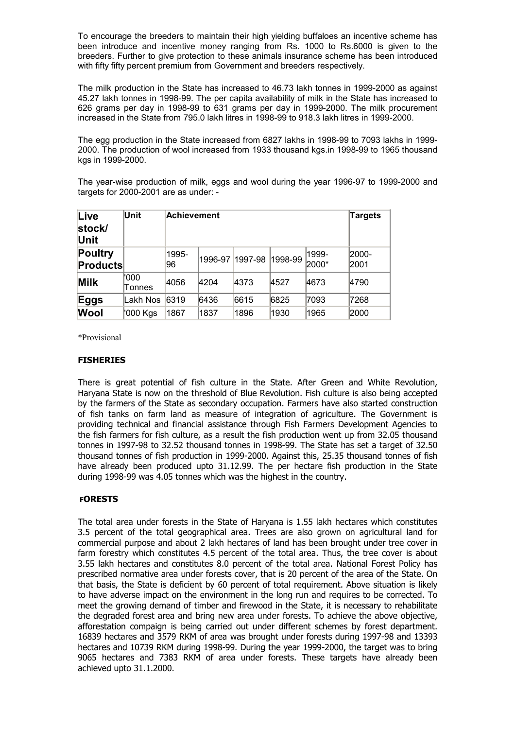To encourage the breeders to maintain their high yielding buffaloes an incentive scheme has been introduce and incentive money ranging from Rs. 1000 to Rs.6000 is given to the breeders. Further to give protection to these animals insurance scheme has been introduced with fifty fifty percent premium from Government and breeders respectively.

The milk production in the State has increased to 46.73 lakh tonnes in 1999-2000 as against 45.27 lakh tonnes in 1998-99. The per capita availability of milk in the State has increased to 626 grams per day in 1998-99 to 631 grams per day in 1999-2000. The milk procurement increased in the State from 795.0 lakh litres in 1998-99 to 918.3 lakh litres in 1999-2000.

The egg production in the State increased from 6827 lakhs in 1998-99 to 7093 lakhs in 1999- 2000. The production of wool increased from 1933 thousand kgs.in 1998-99 to 1965 thousand kgs in 1999-2000.

The year-wise production of milk, eggs and wool during the year 1996-97 to 1999-2000 and targets for 2000-2001 are as under: -

| Live<br>stock/<br>Unit     | Unit           |              | Achievement     |      |         |                |               |  |
|----------------------------|----------------|--------------|-----------------|------|---------|----------------|---------------|--|
| Poultry<br><b>Products</b> |                | 1995-<br>196 | 1996-97 1997-98 |      | 1998-99 | 1999-<br>2000* | 2000-<br>2001 |  |
| <b>Milk</b>                | '000<br>Tonnes | 4056         | 4204            | 4373 | 4527    | 4673           | 4790          |  |
| Eggs                       | Lakh Nos       | 6319         | 6436            | 6615 | 6825    | 7093           | 7268          |  |
| <b>Wool</b>                | '000 Kgs       | 1867         | 1837            | 1896 | 1930    | 1965           | 2000          |  |

\*Provisional

#### FISHERIES

There is great potential of fish culture in the State. After Green and White Revolution, Haryana State is now on the threshold of Blue Revolution. Fish culture is also being accepted by the farmers of the State as secondary occupation. Farmers have also started construction of fish tanks on farm land as measure of integration of agriculture. The Government is providing technical and financial assistance through Fish Farmers Development Agencies to the fish farmers for fish culture, as a result the fish production went up from 32.05 thousand tonnes in 1997-98 to 32.52 thousand tonnes in 1998-99. The State has set a target of 32.50 thousand tonnes of fish production in 1999-2000. Against this, 25.35 thousand tonnes of fish have already been produced upto 31.12.99. The per hectare fish production in the State during 1998-99 was 4.05 tonnes which was the highest in the country.

#### FORESTS

The total area under forests in the State of Haryana is 1.55 lakh hectares which constitutes 3.5 percent of the total geographical area. Trees are also grown on agricultural land for commercial purpose and about 2 lakh hectares of land has been brought under tree cover in farm forestry which constitutes 4.5 percent of the total area. Thus, the tree cover is about 3.55 lakh hectares and constitutes 8.0 percent of the total area. National Forest Policy has prescribed normative area under forests cover, that is 20 percent of the area of the State. On that basis, the State is deficient by 60 percent of total requirement. Above situation is likely to have adverse impact on the environment in the long run and requires to be corrected. To meet the growing demand of timber and firewood in the State, it is necessary to rehabilitate the degraded forest area and bring new area under forests. To achieve the above objective, afforestation compaign is being carried out under different schemes by forest department. 16839 hectares and 3579 RKM of area was brought under forests during 1997-98 and 13393 hectares and 10739 RKM during 1998-99. During the year 1999-2000, the target was to bring 9065 hectares and 7383 RKM of area under forests. These targets have already been achieved upto 31.1.2000.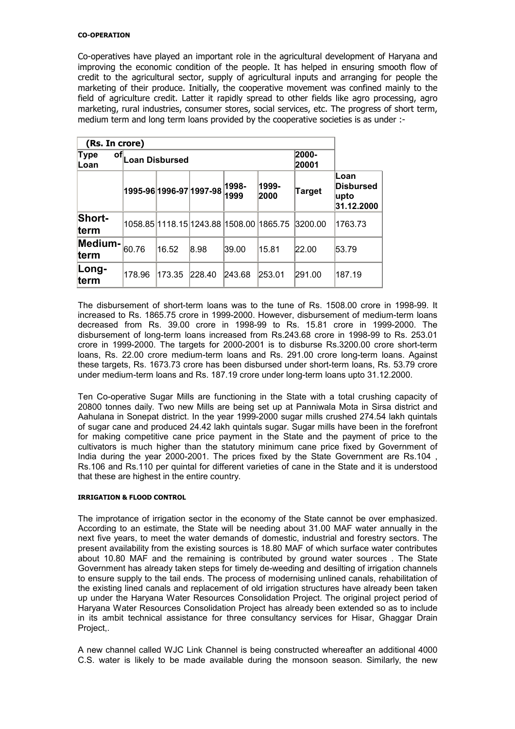#### CO-OPERATION

Co-operatives have played an important role in the agricultural development of Haryana and improving the economic condition of the people. It has helped in ensuring smooth flow of credit to the agricultural sector, supply of agricultural inputs and arranging for people the marketing of their produce. Initially, the cooperative movement was confined mainly to the field of agriculture credit. Latter it rapidly spread to other fields like agro processing, agro marketing, rural industries, consumer stores, social services, etc. The progress of short term, medium term and long term loans provided by the cooperative societies is as under :-

| (Rs. In crore)                                                          |                       |                |                                         |        |        |         |                                           |
|-------------------------------------------------------------------------|-----------------------|----------------|-----------------------------------------|--------|--------|---------|-------------------------------------------|
| <b>Type</b><br>of,<br>Loan                                              | <b>Loan Disbursed</b> | 2000-<br>20001 |                                         |        |        |         |                                           |
| 1998-<br>1999-<br> 1995-96  1996-97  1997-98 <br>Target<br>1999<br>2000 |                       |                |                                         |        |        |         | lLoan<br>Disbursed<br>∣upto<br>31.12.2000 |
| Short-<br><b>term</b>                                                   |                       |                | 1058.85 1118.15 1243.88 1508.00 1865.75 |        |        | 3200.00 | 1763.73                                   |
| Medium-<br><b>term</b>                                                  | 60.76                 | 16.52          | 8.98                                    | 39.00  | 15.81  | 22.00   | 53.79                                     |
| Long-<br><b>term</b>                                                    | 178.96                | 173.35         | 228.40                                  | 243.68 | 253.01 | 291.00  | 187.19                                    |

The disbursement of short-term loans was to the tune of Rs. 1508.00 crore in 1998-99. It increased to Rs. 1865.75 crore in 1999-2000. However, disbursement of medium-term loans decreased from Rs. 39.00 crore in 1998-99 to Rs. 15.81 crore in 1999-2000. The disbursement of long-term loans increased from Rs.243.68 crore in 1998-99 to Rs. 253.01 crore in 1999-2000. The targets for 2000-2001 is to disburse Rs.3200.00 crore short-term loans, Rs. 22.00 crore medium-term loans and Rs. 291.00 crore long-term loans. Against these targets, Rs. 1673.73 crore has been disbursed under short-term loans, Rs. 53.79 crore under medium-term loans and Rs. 187.19 crore under long-term loans upto 31.12.2000.

Ten Co-operative Sugar Mills are functioning in the State with a total crushing capacity of 20800 tonnes daily. Two new Mills are being set up at Panniwala Mota in Sirsa district and Aahulana in Sonepat district. In the year 1999-2000 sugar mills crushed 274.54 lakh quintals of sugar cane and produced 24.42 lakh quintals sugar. Sugar mills have been in the forefront for making competitive cane price payment in the State and the payment of price to the cultivators is much higher than the statutory minimum cane price fixed by Government of India during the year 2000-2001. The prices fixed by the State Government are Rs.104 Rs.106 and Rs.110 per quintal for different varieties of cane in the State and it is understood that these are highest in the entire country.

#### IRRIGATION & FLOOD CONTROL

The improtance of irrigation sector in the economy of the State cannot be over emphasized. According to an estimate, the State will be needing about 31.00 MAF water annually in the next five years, to meet the water demands of domestic, industrial and forestry sectors. The present availability from the existing sources is 18.80 MAF of which surface water contributes about 10.80 MAF and the remaining is contributed by ground water sources . The State Government has already taken steps for timely de-weeding and desilting of irrigation channels to ensure supply to the tail ends. The process of modernising unlined canals, rehabilitation of the existing lined canals and replacement of old irrigation structures have already been taken up under the Haryana Water Resources Consolidation Project. The original project period of Haryana Water Resources Consolidation Project has already been extended so as to include in its ambit technical assistance for three consultancy services for Hisar, Ghaggar Drain Project,.

A new channel called WJC Link Channel is being constructed whereafter an additional 4000 C.S. water is likely to be made available during the monsoon season. Similarly, the new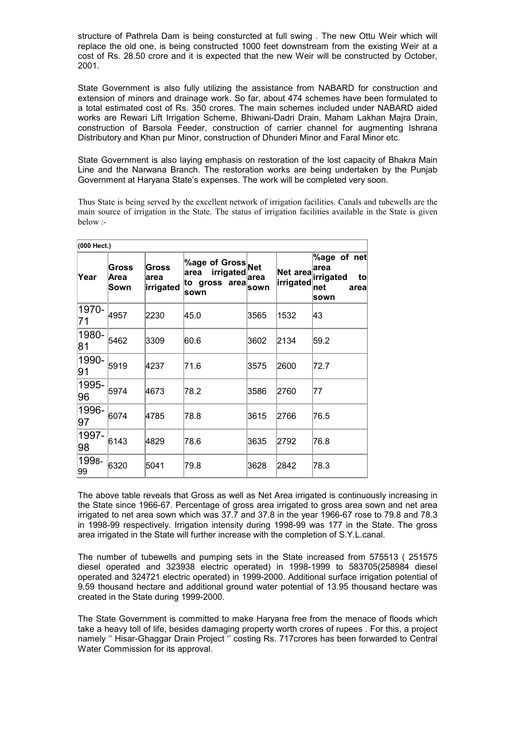structure of Pathrela Dam is being consturcted at full swing . The new Ottu Weir which will replace the old one, is being constructed 1000 feet downstream from the existing Weir at a cost of Rs. 28.50 crore and it is expected that the new Weir will be constructed by October, 2001.

State Government is also fully utilizing the assistance from NABARD for construction and extension of minors and drainage work. So far, about 474 schemes have been formulated to a total estimated cost of Rs. 350 crores. The main schemes included under NABARD aided works are Rewari Lift Irrigation Scheme, Bhiwani-Dadri Drain, Maham Lakhan Majra Drain, construction of Barsola Feeder, construction of carrier channel for augmenting Ishrana Distributory and Khan pur Minor, construction of Dhunderi Minor and Faral Minor etc.

State Government is also laying emphasis on restoration of the lost capacity of Bhakra Main Line and the Narwana Branch. The restoration works are being undertaken by the Punjab Government at Haryana State's expenses. The work will be completed very soon.

Thus State is being served by the excellent network of irrigation facilities. Canals and tubewells are the main source of irrigation in the State. The status of irrigation facilities available in the State is given below :-

| (000 Hect.) |                       |                            |                                                                        |              |                       |                                                                    |
|-------------|-----------------------|----------------------------|------------------------------------------------------------------------|--------------|-----------------------|--------------------------------------------------------------------|
| Year        | Gross<br>Area<br>Sown | Gross<br>area<br>irrigated | <b>%age of Gross</b> Net<br>irrigated<br>area<br>to gross area<br>sown | area<br>sown | Net area<br>irrigated | $%$ age of net<br>area<br>irrigated<br>to<br>∣net<br>areal<br>sown |
| 1970-<br>71 | 4957                  | 2230                       | 45.0                                                                   | 3565         | 1532                  | 43                                                                 |
| 1980-<br>81 | 5462                  | 3309                       | 60.6                                                                   | 3602         | 2134                  | 59.2                                                               |
| 1990-<br>91 | 5919                  | 4237                       | 71.6                                                                   | 3575         | 2600                  | 72.7                                                               |
| 1995-<br>96 | 5974                  | 4673                       | 78.2                                                                   | 3586         | 2760                  | 177                                                                |
| 1996-<br>97 | 6074                  | 4785                       | 78.8                                                                   | 3615         | 2766                  | 76.5                                                               |
| 1997-<br>98 | 6143                  | 4829                       | 78.6                                                                   | 3635         | 2792                  | 76.8                                                               |
| 1998-<br>99 | 6320                  | 5041                       | 79.8                                                                   | 3628         | 2842                  | 78.3                                                               |

The above table reveals that Gross as well as Net Area irrigated is continuously increasing in the State since 1966-67. Percentage of gross area irrigated to gross area sown and net area irrigated to net area sown which was 37.7 and 37.8 in the year 1966-67 rose to 79.8 and 78.3 in 1998-99 respectively. Irrigation intensity during 1998-99 was 177 in the State. The gross area irrigated in the State will further increase with the completion of S.Y.L.canal.

The number of tubewells and pumping sets in the State increased from 575513 ( 251575 diesel operated and 323938 electric operated) in 1998-1999 to 583705(258984 diesel operated and 324721 electric operated) in 1999-2000. Additional surface irrigation potential of 9.59 thousand hectare and additional ground water potential of 13.95 thousand hectare was created in the State during 1999-2000.

The State Government is committed to make Haryana free from the menace of floods which take a heavy toll of life, besides damaging property worth crores of rupees . For this, a project namely '' Hisar-Ghaggar Drain Project '' costing Rs. 717crores has been forwarded to Central Water Commission for its approval.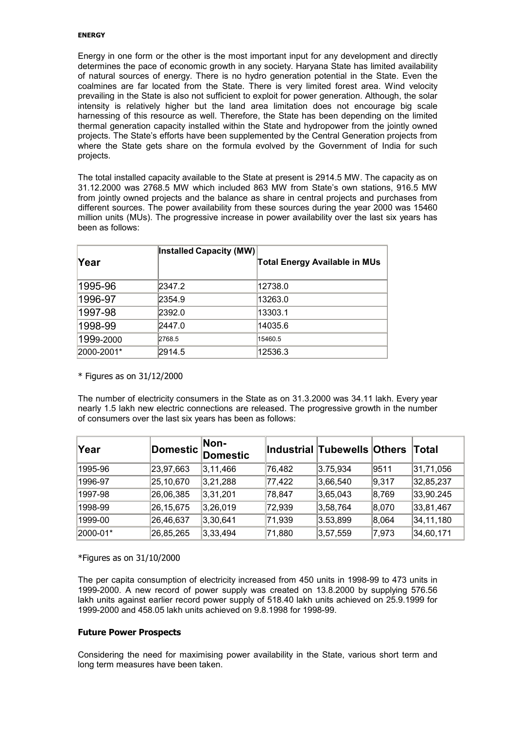#### ENERGY

Energy in one form or the other is the most important input for any development and directly determines the pace of economic growth in any society. Haryana State has limited availability of natural sources of energy. There is no hydro generation potential in the State. Even the coalmines are far located from the State. There is very limited forest area. Wind velocity prevailing in the State is also not sufficient to exploit for power generation. Although, the solar intensity is relatively higher but the land area limitation does not encourage big scale harnessing of this resource as well. Therefore, the State has been depending on the limited thermal generation capacity installed within the State and hydropower from the jointly owned projects. The State's efforts have been supplemented by the Central Generation projects from where the State gets share on the formula evolved by the Government of India for such projects.

The total installed capacity available to the State at present is 2914.5 MW. The capacity as on 31.12.2000 was 2768.5 MW which included 863 MW from State's own stations, 916.5 MW from jointly owned projects and the balance as share in central projects and purchases from different sources. The power availability from these sources during the year 2000 was 15460 million units (MUs). The progressive increase in power availability over the last six years has been as follows:

|            | Installed Capacity (MW) |                                      |
|------------|-------------------------|--------------------------------------|
| Year       |                         | <b>Total Energy Available in MUs</b> |
| 1995-96    | 2347.2                  | 12738.0                              |
| 1996-97    | 2354.9                  | 13263.0                              |
| 1997-98    | 2392.0                  | 13303.1                              |
| 1998-99    | 2447.0                  | 14035.6                              |
| 1999-2000  | 2768.5                  | 15460.5                              |
| 2000-2001* | 2914.5                  | 12536.3                              |

\* Figures as on 31/12/2000

The number of electricity consumers in the State as on 31.3.2000 was 34.11 lakh. Every year nearly 1.5 lakh new electric connections are released. The progressive growth in the number of consumers over the last six years has been as follows:

| ∣Year    | Domestic  | Non-<br><b>Domestic</b> |        | Industrial Tubewells Others |       | ∣Total    |
|----------|-----------|-------------------------|--------|-----------------------------|-------|-----------|
| 1995-96  | 23,97,663 | 3,11,466                | 76,482 | 3.75,934                    | 9511  | 31,71,056 |
| 1996-97  | 25,10,670 | 3,21,288                | 77,422 | 3,66,540                    | 9,317 | 32,85,237 |
| 1997-98  | 26,06,385 | 3,31,201                | 78,847 | 3,65,043                    | 8,769 | 33,90.245 |
| 1998-99  | 26,15,675 | 3,26,019                | 72,939 | 3,58,764                    | 8,070 | 33,81,467 |
| 1999-00  | 26,46,637 | 3,30,641                | 71,939 | 3.53,899                    | 8,064 | 34,11,180 |
| 2000-01* | 26,85,265 | 3,33,494                | 71,880 | 3,57,559                    | 7,973 | 34,60,171 |

\*Figures as on 31/10/2000

The per capita consumption of electricity increased from 450 units in 1998-99 to 473 units in 1999-2000. A new record of power supply was created on 13.8.2000 by supplying 576.56 lakh units against earlier record power supply of 518.40 lakh units achieved on 25.9.1999 for 1999-2000 and 458.05 lakh units achieved on 9.8.1998 for 1998-99.

### Future Power Prospects

Considering the need for maximising power availability in the State, various short term and long term measures have been taken.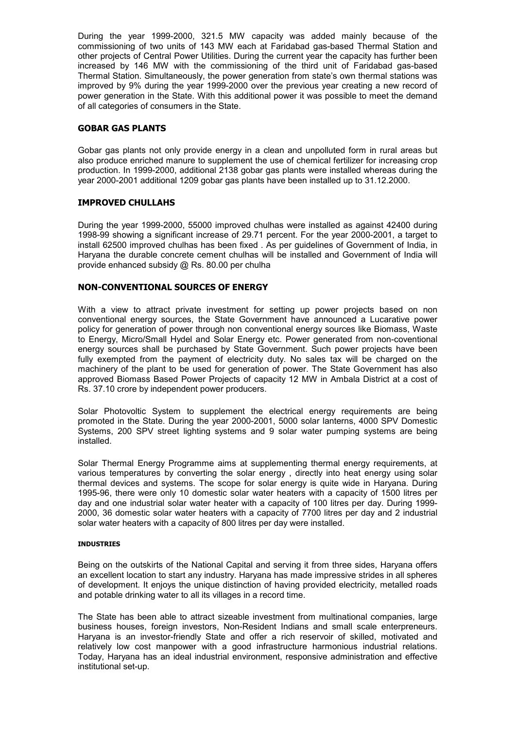During the year 1999-2000, 321.5 MW capacity was added mainly because of the commissioning of two units of 143 MW each at Faridabad gas-based Thermal Station and other projects of Central Power Utilities. During the current year the capacity has further been increased by 146 MW with the commissioning of the third unit of Faridabad gas-based Thermal Station. Simultaneously, the power generation from state's own thermal stations was improved by 9% during the year 1999-2000 over the previous year creating a new record of power generation in the State. With this additional power it was possible to meet the demand of all categories of consumers in the State.

#### GOBAR GAS PLANTS

Gobar gas plants not only provide energy in a clean and unpolluted form in rural areas but also produce enriched manure to supplement the use of chemical fertilizer for increasing crop production. In 1999-2000, additional 2138 gobar gas plants were installed whereas during the year 2000-2001 additional 1209 gobar gas plants have been installed up to 31.12.2000.

#### IMPROVED CHULLAHS

During the year 1999-2000, 55000 improved chulhas were installed as against 42400 during 1998-99 showing a significant increase of 29.71 percent. For the year 2000-2001, a target to install 62500 improved chulhas has been fixed . As per guidelines of Government of India, in Haryana the durable concrete cement chulhas will be installed and Government of India will provide enhanced subsidy @ Rs. 80.00 per chulha

#### NON-CONVENTIONAL SOURCES OF ENERGY

With a view to attract private investment for setting up power projects based on non conventional energy sources, the State Government have announced a Lucarative power policy for generation of power through non conventional energy sources like Biomass, Waste to Energy, Micro/Small Hydel and Solar Energy etc. Power generated from non-coventional energy sources shall be purchased by State Government. Such power projects have been fully exempted from the payment of electricity duty. No sales tax will be charged on the machinery of the plant to be used for generation of power. The State Government has also approved Biomass Based Power Projects of capacity 12 MW in Ambala District at a cost of Rs. 37.10 crore by independent power producers.

Solar Photovoltic System to supplement the electrical energy requirements are being promoted in the State. During the year 2000-2001, 5000 solar lanterns, 4000 SPV Domestic Systems, 200 SPV street lighting systems and 9 solar water pumping systems are being installed.

Solar Thermal Energy Programme aims at supplementing thermal energy requirements, at various temperatures by converting the solar energy , directly into heat energy using solar thermal devices and systems. The scope for solar energy is quite wide in Haryana. During 1995-96, there were only 10 domestic solar water heaters with a capacity of 1500 litres per day and one industrial solar water heater with a capacity of 100 litres per day. During 1999- 2000, 36 domestic solar water heaters with a capacity of 7700 litres per day and 2 industrial solar water heaters with a capacity of 800 litres per day were installed.

#### INDUSTRIES

Being on the outskirts of the National Capital and serving it from three sides, Haryana offers an excellent location to start any industry. Haryana has made impressive strides in all spheres of development. It enjoys the unique distinction of having provided electricity, metalled roads and potable drinking water to all its villages in a record time.

The State has been able to attract sizeable investment from multinational companies, large business houses, foreign investors, Non-Resident Indians and small scale enterpreneurs. Haryana is an investor-friendly State and offer a rich reservoir of skilled, motivated and relatively low cost manpower with a good infrastructure harmonious industrial relations. Today, Haryana has an ideal industrial environment, responsive administration and effective institutional set-up.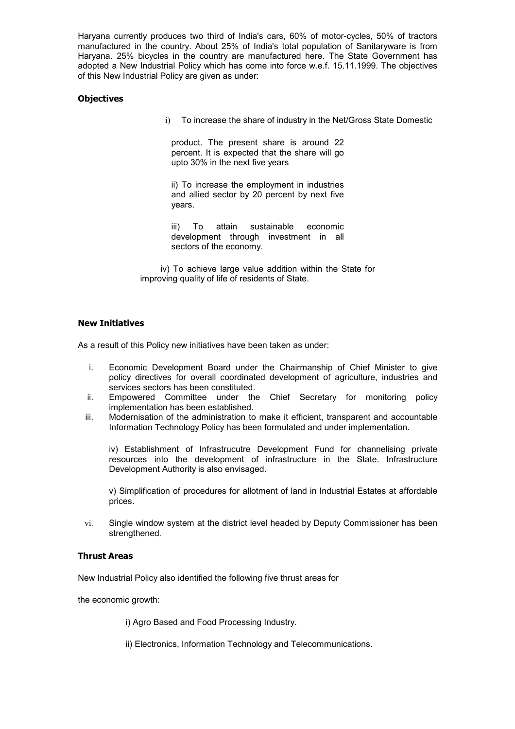Haryana currently produces two third of India's cars, 60% of motor-cycles, 50% of tractors manufactured in the country. About 25% of India's total population of Sanitaryware is from Haryana. 25% bicycles in the country are manufactured here. The State Government has adopted a New Industrial Policy which has come into force w.e.f. 15.11.1999. The objectives of this New Industrial Policy are given as under:

#### **Objectives**

i) To increase the share of industry in the Net/Gross State Domestic

product. The present share is around 22 percent. It is expected that the share will go upto 30% in the next five years

ii) To increase the employment in industries and allied sector by 20 percent by next five years.

iii) To attain sustainable economic development through investment in all sectors of the economy.

 iv) To achieve large value addition within the State for improving quality of life of residents of State.

#### New Initiatives

As a result of this Policy new initiatives have been taken as under:

- i. Economic Development Board under the Chairmanship of Chief Minister to give policy directives for overall coordinated development of agriculture, industries and services sectors has been constituted.
- ii. Empowered Committee under the Chief Secretary for monitoring policy implementation has been established.
- iii. Modernisation of the administration to make it efficient, transparent and accountable Information Technology Policy has been formulated and under implementation.

iv) Establishment of Infrastrucutre Development Fund for channelising private resources into the development of infrastructure in the State. Infrastructure Development Authority is also envisaged.

v) Simplification of procedures for allotment of land in Industrial Estates at affordable prices.

vi. Single window system at the district level headed by Deputy Commissioner has been strengthened.

#### Thrust Areas

New Industrial Policy also identified the following five thrust areas for

the economic growth:

i) Agro Based and Food Processing Industry.

ii) Electronics, Information Technology and Telecommunications.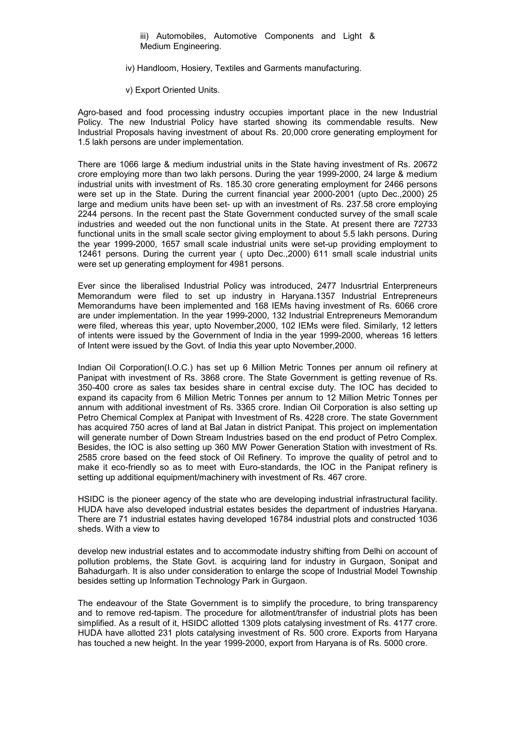iii) Automobiles, Automotive Components and Light & Medium Engineering.

iv) Handloom, Hosiery, Textiles and Garments manufacturing.

v) Export Oriented Units.

Agro-based and food processing industry occupies important place in the new Industrial Policy. The new Industrial Policy have started showing its commendable results. New Industrial Proposals having investment of about Rs. 20,000 crore generating employment for 1.5 lakh persons are under implementation.

There are 1066 large & medium industrial units in the State having investment of Rs. 20672 crore employing more than two lakh persons. During the year 1999-2000, 24 large & medium industrial units with investment of Rs. 185.30 crore generating employment for 2466 persons were set up in the State. During the current financial year 2000-2001 (upto Dec.,2000) 25 large and medium units have been set- up with an investment of Rs. 237.58 crore employing 2244 persons. In the recent past the State Government conducted survey of the small scale industries and weeded out the non functional units in the State. At present there are 72733 functional units in the small scale sector giving employment to about 5.5 lakh persons. During the year 1999-2000, 1657 small scale industrial units were set-up providing employment to 12461 persons. During the current year ( upto Dec.,2000) 611 small scale industrial units were set up generating employment for 4981 persons.

Ever since the liberalised Industrial Policy was introduced, 2477 Indusrtrial Enterpreneurs Memorandum were filed to set up industry in Haryana.1357 Industrial Entrepreneurs Memorandums have been implemented and 168 IEMs having investment of Rs. 6066 crore are under implementation. In the year 1999-2000, 132 Industrial Entrepreneurs Memorandum were filed, whereas this year, upto November,2000, 102 IEMs were filed. Similarly, 12 letters of intents were issued by the Government of India in the year 1999-2000, whereas 16 letters of Intent were issued by the Govt. of India this year upto November,2000.

Indian Oil Corporation(I.O.C.) has set up 6 Million Metric Tonnes per annum oil refinery at Panipat with investment of Rs. 3868 crore. The State Government is getting revenue of Rs. 350-400 crore as sales tax besides share in central excise duty. The IOC has decided to expand its capacity from 6 Million Metric Tonnes per annum to 12 Million Metric Tonnes per annum with additional investment of Rs. 3365 crore. Indian Oil Corporation is also setting up Petro Chemical Complex at Panipat with Investment of Rs. 4228 crore. The state Government has acquired 750 acres of land at Bal Jatan in district Panipat. This project on implementation will generate number of Down Stream Industries based on the end product of Petro Complex. Besides, the IOC is also setting up 360 MW Power Generation Station with investment of Rs. 2585 crore based on the feed stock of Oil Refinery. To improve the quality of petrol and to make it eco-friendly so as to meet with Euro-standards, the IOC in the Panipat refinery is setting up additional equipment/machinery with investment of Rs. 467 crore.

HSIDC is the pioneer agency of the state who are developing industrial infrastructural facility. HUDA have also developed industrial estates besides the department of industries Haryana. There are 71 industrial estates having developed 16784 industrial plots and constructed 1036 sheds. With a view to

develop new industrial estates and to accommodate industry shifting from Delhi on account of pollution problems, the State Govt. is acquiring land for industry in Gurgaon, Sonipat and Bahadurgarh. It is also under consideration to enlarge the scope of Industrial Model Township besides setting up Information Technology Park in Gurgaon.

The endeavour of the State Government is to simplify the procedure, to bring transparency and to remove red-tapism. The procedure for allotment/transfer of industrial plots has been simplified. As a result of it, HSIDC allotted 1309 plots catalysing investment of Rs. 4177 crore. HUDA have allotted 231 plots catalysing investment of Rs. 500 crore. Exports from Haryana has touched a new height. In the year 1999-2000, export from Haryana is of Rs. 5000 crore.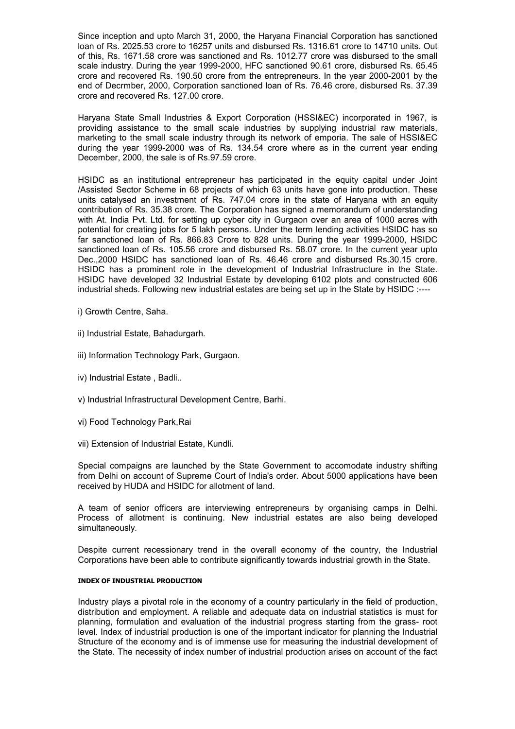Since inception and upto March 31, 2000, the Haryana Financial Corporation has sanctioned loan of Rs. 2025.53 crore to 16257 units and disbursed Rs. 1316.61 crore to 14710 units. Out of this, Rs. 1671.58 crore was sanctioned and Rs. 1012.77 crore was disbursed to the small scale industry. During the year 1999-2000, HFC sanctioned 90.61 crore, disbursed Rs. 65.45 crore and recovered Rs. 190.50 crore from the entrepreneurs. In the year 2000-2001 by the end of Decrmber, 2000, Corporation sanctioned loan of Rs. 76.46 crore, disbursed Rs. 37.39 crore and recovered Rs. 127.00 crore.

Haryana State Small Industries & Export Corporation (HSSI&EC) incorporated in 1967, is providing assistance to the small scale industries by supplying industrial raw materials, marketing to the small scale industry through its network of emporia. The sale of HSSI&EC during the year 1999-2000 was of Rs. 134.54 crore where as in the current year ending December, 2000, the sale is of Rs.97.59 crore.

HSIDC as an institutional entrepreneur has participated in the equity capital under Joint /Assisted Sector Scheme in 68 projects of which 63 units have gone into production. These units catalysed an investment of Rs. 747.04 crore in the state of Haryana with an equity contribution of Rs. 35.38 crore. The Corporation has signed a memorandum of understanding with At. India Pvt. Ltd. for setting up cyber city in Gurgaon over an area of 1000 acres with potential for creating jobs for 5 lakh persons. Under the term lending activities HSIDC has so far sanctioned loan of Rs. 866.83 Crore to 828 units. During the year 1999-2000, HSIDC sanctioned loan of Rs. 105.56 crore and disbursed Rs. 58.07 crore. In the current year upto Dec.,2000 HSIDC has sanctioned loan of Rs. 46.46 crore and disbursed Rs.30.15 crore. HSIDC has a prominent role in the development of Industrial Infrastructure in the State. HSIDC have developed 32 Industrial Estate by developing 6102 plots and constructed 606 industrial sheds. Following new industrial estates are being set up in the State by HSIDC :----

i) Growth Centre, Saha.

- ii) Industrial Estate, Bahadurgarh.
- iii) Information Technology Park, Gurgaon.
- iv) Industrial Estate , Badli..
- v) Industrial Infrastructural Development Centre, Barhi.
- vi) Food Technology Park,Rai
- vii) Extension of Industrial Estate, Kundli.

Special compaigns are launched by the State Government to accomodate industry shifting from Delhi on account of Supreme Court of India's order. About 5000 applications have been received by HUDA and HSIDC for allotment of land.

A team of senior officers are interviewing entrepreneurs by organising camps in Delhi. Process of allotment is continuing. New industrial estates are also being developed simultaneously.

Despite current recessionary trend in the overall economy of the country, the Industrial Corporations have been able to contribute significantly towards industrial growth in the State.

#### INDEX OF INDUSTRIAL PRODUCTION

Industry plays a pivotal role in the economy of a country particularly in the field of production, distribution and employment. A reliable and adequate data on industrial statistics is must for planning, formulation and evaluation of the industrial progress starting from the grass- root level. Index of industrial production is one of the important indicator for planning the Industrial Structure of the economy and is of immense use for measuring the industrial development of the State. The necessity of index number of industrial production arises on account of the fact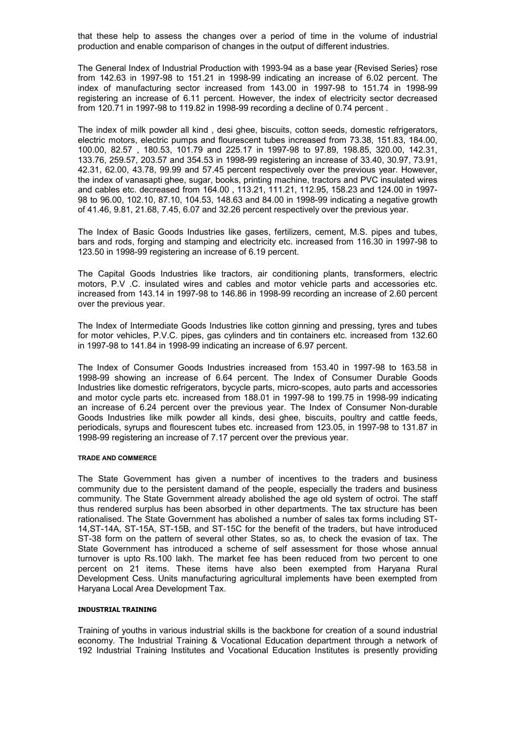that these help to assess the changes over a period of time in the volume of industrial production and enable comparison of changes in the output of different industries.

The General Index of Industrial Production with 1993-94 as a base year {Revised Series} rose from 142.63 in 1997-98 to 151.21 in 1998-99 indicating an increase of 6.02 percent. The index of manufacturing sector increased from 143.00 in 1997-98 to 151.74 in 1998-99 registering an increase of 6.11 percent. However, the index of electricity sector decreased from 120.71 in 1997-98 to 119.82 in 1998-99 recording a decline of 0.74 percent .

The index of milk powder all kind , desi ghee, biscuits, cotton seeds, domestic refrigerators, electric motors, electric pumps and flourescent tubes increased from 73.38, 151.83, 184.00, 100.00, 82.57 , 180.53, 101.79 and 225.17 in 1997-98 to 97.89, 198.85, 320.00, 142.31, 133.76, 259.57, 203.57 and 354.53 in 1998-99 registering an increase of 33.40, 30.97, 73.91, 42.31, 62.00, 43.78, 99.99 and 57.45 percent respectively over the previous year. However, the index of vanasapti ghee, sugar, books, printing machine, tractors and PVC insulated wires and cables etc. decreased from 164.00 , 113.21, 111.21, 112.95, 158.23 and 124.00 in 1997- 98 to 96.00, 102.10, 87.10, 104.53, 148.63 and 84.00 in 1998-99 indicating a negative growth of 41.46, 9.81, 21.68, 7.45, 6.07 and 32.26 percent respectively over the previous year.

The Index of Basic Goods Industries like gases, fertilizers, cement, M.S. pipes and tubes, bars and rods, forging and stamping and electricity etc. increased from 116.30 in 1997-98 to 123.50 in 1998-99 registering an increase of 6.19 percent.

The Capital Goods Industries like tractors, air conditioning plants, transformers, electric motors, P.V .C. insulated wires and cables and motor vehicle parts and accessories etc. increased from 143.14 in 1997-98 to 146.86 in 1998-99 recording an increase of 2.60 percent over the previous year.

The Index of Intermediate Goods Industries like cotton ginning and pressing, tyres and tubes for motor vehicles, P.V.C. pipes, gas cylinders and tin containers etc. increased from 132.60 in 1997-98 to 141.84 in 1998-99 indicating an increase of 6.97 percent.

The Index of Consumer Goods Industries increased from 153.40 in 1997-98 to 163.58 in 1998-99 showing an increase of 6.64 percent. The Index of Consumer Durable Goods Industries like domestic refrigerators, bycycle parts, micro-scopes, auto parts and accessories and motor cycle parts etc. increased from 188.01 in 1997-98 to 199.75 in 1998-99 indicating an increase of 6.24 percent over the previous year. The Index of Consumer Non-durable Goods Industries like milk powder all kinds, desi ghee, biscuits, poultry and cattle feeds, periodicals, syrups and flourescent tubes etc. increased from 123.05, in 1997-98 to 131.87 in 1998-99 registering an increase of 7.17 percent over the previous year.

#### TRADE AND COMMERCE

The State Government has given a number of incentives to the traders and business community due to the persistent damand of the people, especially the traders and business community. The State Government already abolished the age old system of octroi. The staff thus rendered surplus has been absorbed in other departments. The tax structure has been rationalised. The State Government has abolished a number of sales tax forms including ST-14,ST-14A, ST-15A, ST-15B, and ST-15C for the benefit of the traders, but have introduced ST-38 form on the pattern of several other States, so as, to check the evasion of tax. The State Government has introduced a scheme of self assessment for those whose annual turnover is upto Rs.100 lakh. The market fee has been reduced from two percent to one percent on 21 items. These items have also been exempted from Haryana Rural Development Cess. Units manufacturing agricultural implements have been exempted from Haryana Local Area Development Tax.

#### INDUSTRIAL TRAINING

Training of youths in various industrial skills is the backbone for creation of a sound industrial economy. The Industrial Training & Vocational Education department through a network of 192 Industrial Training Institutes and Vocational Education Institutes is presently providing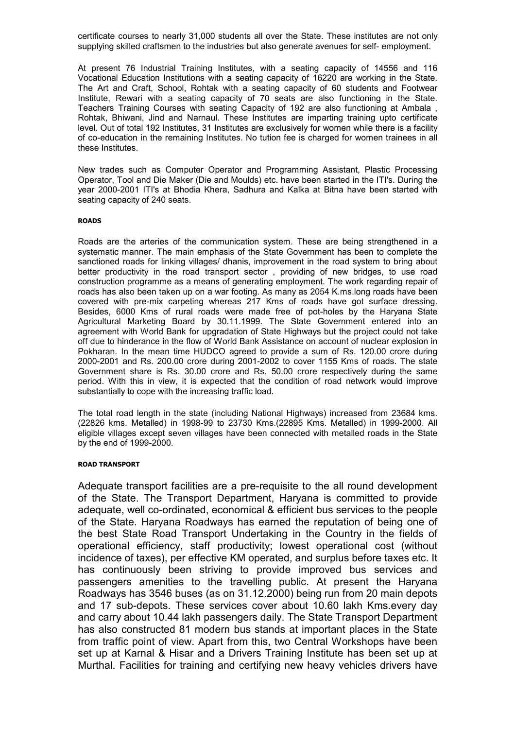certificate courses to nearly 31,000 students all over the State. These institutes are not only supplying skilled craftsmen to the industries but also generate avenues for self- employment.

At present 76 Industrial Training Institutes, with a seating capacity of 14556 and 116 Vocational Education Institutions with a seating capacity of 16220 are working in the State. The Art and Craft, School, Rohtak with a seating capacity of 60 students and Footwear Institute, Rewari with a seating capacity of 70 seats are also functioning in the State. Teachers Training Courses with seating Capacity of 192 are also functioning at Ambala , Rohtak, Bhiwani, Jind and Narnaul. These Institutes are imparting training upto certificate level. Out of total 192 Institutes, 31 Institutes are exclusively for women while there is a facility of co-education in the remaining Institutes. No tution fee is charged for women trainees in all these Institutes.

New trades such as Computer Operator and Programming Assistant, Plastic Processing Operator, Tool and Die Maker (Die and Moulds) etc. have been started in the ITI's. During the year 2000-2001 ITI's at Bhodia Khera, Sadhura and Kalka at Bitna have been started with seating capacity of 240 seats.

#### ROADS

Roads are the arteries of the communication system. These are being strengthened in a systematic manner. The main emphasis of the State Government has been to complete the sanctioned roads for linking villages/ dhanis, improvement in the road system to bring about better productivity in the road transport sector , providing of new bridges, to use road construction programme as a means of generating employment. The work regarding repair of roads has also been taken up on a war footing. As many as 2054 K.ms.long roads have been covered with pre-mix carpeting whereas 217 Kms of roads have got surface dressing. Besides, 6000 Kms of rural roads were made free of pot-holes by the Haryana State Agricultural Marketing Board by 30.11.1999. The State Government entered into an agreement with World Bank for upgradation of State Highways but the project could not take off due to hinderance in the flow of World Bank Assistance on account of nuclear explosion in Pokharan. In the mean time HUDCO agreed to provide a sum of Rs. 120.00 crore during 2000-2001 and Rs. 200.00 crore during 2001-2002 to cover 1155 Kms of roads. The state Government share is Rs. 30.00 crore and Rs. 50.00 crore respectively during the same period. With this in view, it is expected that the condition of road network would improve substantially to cope with the increasing traffic load.

The total road length in the state (including National Highways) increased from 23684 kms. (22826 kms. Metalled) in 1998-99 to 23730 Kms.(22895 Kms. Metalled) in 1999-2000. All eligible villages except seven villages have been connected with metalled roads in the State by the end of 1999-2000.

#### ROAD TRANSPORT

Adequate transport facilities are a pre-requisite to the all round development of the State. The Transport Department, Haryana is committed to provide adequate, well co-ordinated, economical & efficient bus services to the people of the State. Haryana Roadways has earned the reputation of being one of the best State Road Transport Undertaking in the Country in the fields of operational efficiency, staff productivity; lowest operational cost (without incidence of taxes), per effective KM operated, and surplus before taxes etc. It has continuously been striving to provide improved bus services and passengers amenities to the travelling public. At present the Haryana Roadways has 3546 buses (as on 31.12.2000) being run from 20 main depots and 17 sub-depots. These services cover about 10.60 lakh Kms.every day and carry about 10.44 lakh passengers daily. The State Transport Department has also constructed 81 modern bus stands at important places in the State from traffic point of view. Apart from this, two Central Workshops have been set up at Karnal & Hisar and a Drivers Training Institute has been set up at Murthal. Facilities for training and certifying new heavy vehicles drivers have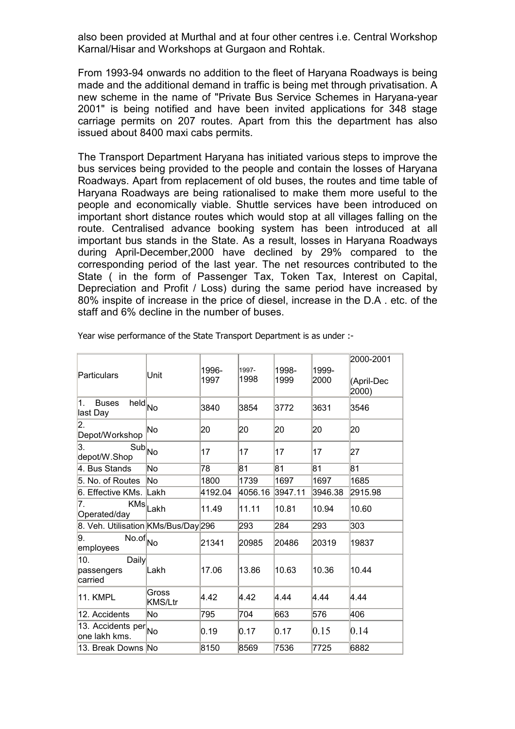also been provided at Murthal and at four other centres i.e. Central Workshop Karnal/Hisar and Workshops at Gurgaon and Rohtak.

From 1993-94 onwards no addition to the fleet of Haryana Roadways is being made and the additional demand in traffic is being met through privatisation. A new scheme in the name of "Private Bus Service Schemes in Haryana-year 2001" is being notified and have been invited applications for 348 stage carriage permits on 207 routes. Apart from this the department has also issued about 8400 maxi cabs permits.

The Transport Department Haryana has initiated various steps to improve the bus services being provided to the people and contain the losses of Haryana Roadways. Apart from replacement of old buses, the routes and time table of Haryana Roadways are being rationalised to make them more useful to the people and economically viable. Shuttle services have been introduced on important short distance routes which would stop at all villages falling on the route. Centralised advance booking system has been introduced at all important bus stands in the State. As a result, losses in Haryana Roadways during April-December,2000 have declined by 29% compared to the corresponding period of the last year. The net resources contributed to the State ( in the form of Passenger Tax, Token Tax, Interest on Capital, Depreciation and Profit / Loss) during the same period have increased by 80% inspite of increase in the price of diesel, increase in the D.A . etc. of the staff and 6% decline in the number of buses.

| Particulars                                                            | Unit                         | 1996-<br>1997 | 1997-<br>1998 | 1998-<br>1999 | 1999-<br>2000 | 2000-2001<br>(April-Dec<br>2000) |
|------------------------------------------------------------------------|------------------------------|---------------|---------------|---------------|---------------|----------------------------------|
| 1.<br><b>Buses</b><br>$\overline{\text{held}}_{\text{No}}$<br>last Day |                              | 3840          | 3854          | 3772          | 3631          | 3546                             |
| 2.<br>Depot/Workshop                                                   | No                           | 20            | 20            | 20            | 20            | 20                               |
| 3.<br>$\overline{\text{Sub}}_{\textsf{No}}$<br>depot/W.Shop            |                              | 17            | 17            | 17            | 17            | 27                               |
| 4. Bus Stands                                                          | No                           | 78            | 81            | 81            | 81            | 81                               |
| 5. No. of Routes                                                       | No                           | 1800          | 1739          | 1697          | 1697          | 1685                             |
| 6. Effective KMs. Lakh                                                 |                              | 4192.04       | 4056.16       | 3947.11       | 3946.38       | 2915.98                          |
| 7.<br>Operated/day                                                     | $\overline{\text{KMs}}$ Lakh | 11.49         | 11.11         | 10.81         | 10.94         | 10.60                            |
| 8. Veh. Utilisation KMs/Bus/Day 296                                    |                              |               | 293           | 284           | 293           | 303                              |
| 9.<br>$\overline{\text{No.of}}$ No<br>employees                        |                              | 21341         | 20985         | 20486         | 20319         | 19837                            |
| 10.<br><b>Daily</b><br>passengers<br>carried                           | Lakh                         | 17.06         | 13.86         | 10.63         | 10.36         | 10.44                            |
| 11. KMPL                                                               | Gross<br><b>KMS/Ltr</b>      | 4.42          | 4.42          | 4.44          | 4.44          | 4.44                             |
| 12. Accidents                                                          | No                           | 795           | 704           | 663           | 576           | 406                              |
| 13. Accidents per <sub>No</sub><br>lone lakh kms.                      |                              | 0.19          | 0.17          | 0.17          | 0.15          | 0.14                             |
| 13. Break Downs No                                                     |                              | 8150          | 8569          | 7536          | 7725          | 6882                             |

Year wise performance of the State Transport Department is as under :-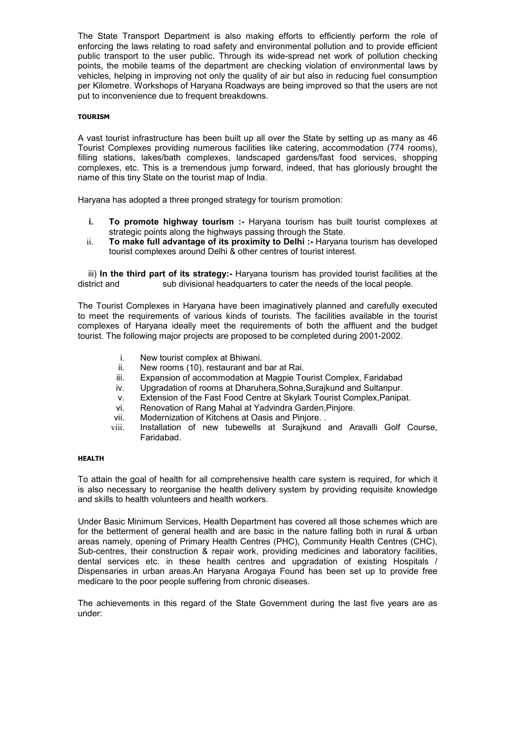The State Transport Department is also making efforts to efficiently perform the role of enforcing the laws relating to road safety and environmental pollution and to provide efficient public transport to the user public. Through its wide-spread net work of pollution checking points, the mobile teams of the department are checking violation of environmental laws by vehicles, helping in improving not only the quality of air but also in reducing fuel consumption per Kilometre. Workshops of Haryana Roadways are being improved so that the users are not put to inconvenience due to frequent breakdowns.

#### TOURISM

A vast tourist infrastructure has been built up all over the State by setting up as many as 46 Tourist Complexes providing numerous facilities like catering, accommodation (774 rooms), filling stations, lakes/bath complexes, landscaped gardens/fast food services, shopping complexes, etc. This is a tremendous jump forward, indeed, that has gloriously brought the name of this tiny State on the tourist map of India.

Haryana has adopted a three pronged strategy for tourism promotion:

- i. To promote highway tourism :- Haryana tourism has built tourist complexes at strategic points along the highways passing through the State.
- ii. To make full advantage of its proximity to Delhi :- Haryana tourism has developed tourist complexes around Delhi & other centres of tourist interest.

iii) In the third part of its strategy:- Haryana tourism has provided tourist facilities at the district and sub divisional headquarters to cater the needs of the local people.

The Tourist Complexes in Haryana have been imaginatively planned and carefully executed to meet the requirements of various kinds of tourists. The facilities available in the tourist complexes of Haryana ideally meet the requirements of both the affluent and the budget tourist. The following major projects are proposed to be completed during 2001-2002.

- i. New tourist complex at Bhiwani.
- ii. New rooms (10), restaurant and bar at Rai.
- iii. Expansion of accommodation at Magpie Tourist Complex, Faridabad
- iv. Upgradation of rooms at Dharuhera,Sohna,Surajkund and Sultanpur.
- v. Extension of the Fast Food Centre at Skylark Tourist Complex,Panipat.
- vi. Renovation of Rang Mahal at Yadvindra Garden,Pinjore.
- vii. Modernization of Kitchens at Oasis and Pinjore. .
- viii. Installation of new tubewells at Surajkund and Aravalli Golf Course, Faridabad.

#### HEALTH

To attain the goal of health for all comprehensive health care system is required, for which it is also necessary to reorganise the health delivery system by providing requisite knowledge and skills to health volunteers and health workers.

Under Basic Minimum Services, Health Department has covered all those schemes which are for the betterment of general health and are basic in the nature falling both in rural & urban areas namely, opening of Primary Health Centres (PHC), Community Health Centres (CHC), Sub-centres, their construction & repair work, providing medicines and laboratory facilities, dental services etc. in these health centres and upgradation of existing Hospitals / Dispensaries in urban areas.An Haryana Arogaya Found has been set up to provide free medicare to the poor people suffering from chronic diseases.

The achievements in this regard of the State Government during the last five years are as under: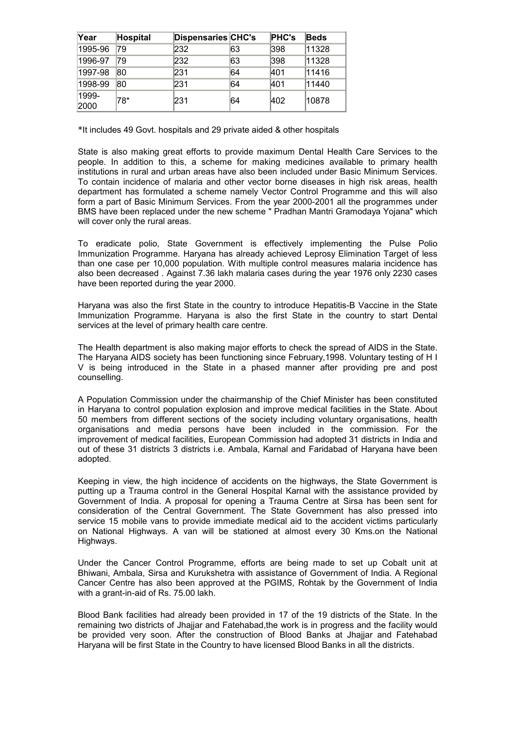| Year          | Hospital | Dispensaries CHC's |    | <b>PHC's</b> | <b>Beds</b> |
|---------------|----------|--------------------|----|--------------|-------------|
| 1995-96       | 79       | 232                | 63 | 398          | 11328       |
| 1996-97       | 79       | 232                | 63 | 398          | 11328       |
| 1997-98       | 80       | 231                | 64 | 401          | 11416       |
| 1998-99       | 80       | 231                | 64 | 401          | 11440       |
| 1999-<br>2000 | 78*      | 231                | 64 | 402          | 10878       |

\*It includes 49 Govt. hospitals and 29 private aided & other hospitals

State is also making great efforts to provide maximum Dental Health Care Services to the people. In addition to this, a scheme for making medicines available to primary health institutions in rural and urban areas have also been included under Basic Minimum Services. To contain incidence of malaria and other vector borne diseases in high risk areas, health department has formulated a scheme namely Vector Control Programme and this will also form a part of Basic Minimum Services. From the year 2000-2001 all the programmes under BMS have been replaced under the new scheme " Pradhan Mantri Gramodaya Yojana" which will cover only the rural areas.

To eradicate polio, State Government is effectively implementing the Pulse Polio Immunization Programme. Haryana has already achieved Leprosy Elimination Target of less than one case per 10,000 population. With multiple control measures malaria incidence has also been decreased . Against 7.36 lakh malaria cases during the year 1976 only 2230 cases have been reported during the year 2000.

Haryana was also the first State in the country to introduce Hepatitis-B Vaccine in the State Immunization Programme. Haryana is also the first State in the country to start Dental services at the level of primary health care centre.

The Health department is also making major efforts to check the spread of AIDS in the State. The Haryana AIDS society has been functioning since February,1998. Voluntary testing of H I V is being introduced in the State in a phased manner after providing pre and post counselling.

A Population Commission under the chairmanship of the Chief Minister has been constituted in Haryana to control population explosion and improve medical facilities in the State. About 50 members from different sections of the society including voluntary organisations, health organisations and media persons have been included in the commission. For the improvement of medical facilities, European Commission had adopted 31 districts in India and out of these 31 districts 3 districts i.e. Ambala, Karnal and Faridabad of Haryana have been adopted.

Keeping in view, the high incidence of accidents on the highways, the State Government is putting up a Trauma control in the General Hospital Karnal with the assistance provided by Government of India. A proposal for opening a Trauma Centre at Sirsa has been sent for consideration of the Central Government. The State Government has also pressed into service 15 mobile vans to provide immediate medical aid to the accident victims particularly on National Highways. A van will be stationed at almost every 30 Kms.on the National Highways.

Under the Cancer Control Programme, efforts are being made to set up Cobalt unit at Bhiwani, Ambala, Sirsa and Kurukshetra with assistance of Government of India. A Regional Cancer Centre has also been approved at the PGIMS, Rohtak by the Government of India with a grant-in-aid of Rs. 75.00 lakh.

Blood Bank facilities had already been provided in 17 of the 19 districts of the State. In the remaining two districts of Jhajjar and Fatehabad,the work is in progress and the facility would be provided very soon. After the construction of Blood Banks at Jhajjar and Fatehabad Haryana will be first State in the Country to have licensed Blood Banks in all the districts.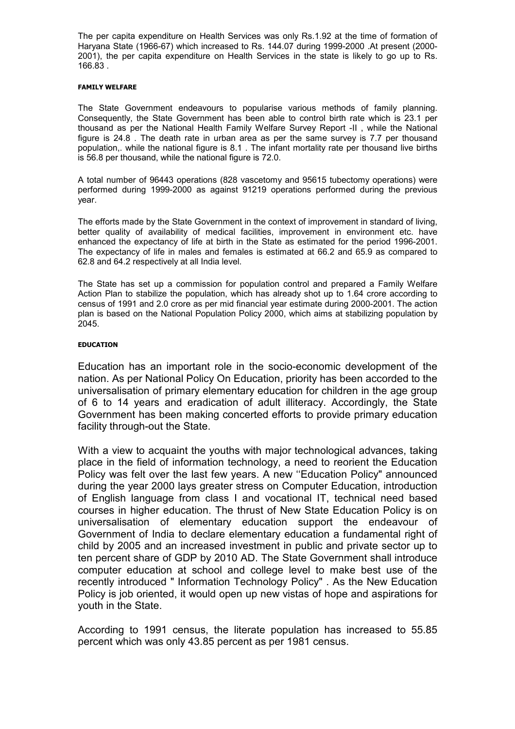The per capita expenditure on Health Services was only Rs.1.92 at the time of formation of Haryana State (1966-67) which increased to Rs. 144.07 during 1999-2000 .At present (2000- 2001), the per capita expenditure on Health Services in the state is likely to go up to Rs. 166.83 .

#### FAMILY WELFARE

The State Government endeavours to popularise various methods of family planning. Consequently, the State Government has been able to control birth rate which is 23.1 per thousand as per the National Health Family Welfare Survey Report -II , while the National figure is 24.8 . The death rate in urban area as per the same survey is 7.7 per thousand population,. while the national figure is 8.1 . The infant mortality rate per thousand live births is 56.8 per thousand, while the national figure is 72.0.

A total number of 96443 operations (828 vascetomy and 95615 tubectomy operations) were performed during 1999-2000 as against 91219 operations performed during the previous year.

The efforts made by the State Government in the context of improvement in standard of living, better quality of availability of medical facilities, improvement in environment etc. have enhanced the expectancy of life at birth in the State as estimated for the period 1996-2001. The expectancy of life in males and females is estimated at 66.2 and 65.9 as compared to 62.8 and 64.2 respectively at all India level.

The State has set up a commission for population control and prepared a Family Welfare Action Plan to stabilize the population, which has already shot up to 1.64 crore according to census of 1991 and 2.0 crore as per mid financial year estimate during 2000-2001. The action plan is based on the National Population Policy 2000, which aims at stabilizing population by 2045.

#### EDUCATION

Education has an important role in the socio-economic development of the nation. As per National Policy On Education, priority has been accorded to the universalisation of primary elementary education for children in the age group of 6 to 14 years and eradication of adult illiteracy. Accordingly, the State Government has been making concerted efforts to provide primary education facility through-out the State.

With a view to acquaint the youths with major technological advances, taking place in the field of information technology, a need to reorient the Education Policy was felt over the last few years. A new ''Education Policy" announced during the year 2000 lays greater stress on Computer Education, introduction of English language from class I and vocational IT, technical need based courses in higher education. The thrust of New State Education Policy is on universalisation of elementary education support the endeavour of Government of India to declare elementary education a fundamental right of child by 2005 and an increased investment in public and private sector up to ten percent share of GDP by 2010 AD. The State Government shall introduce computer education at school and college level to make best use of the recently introduced " Information Technology Policy" . As the New Education Policy is job oriented, it would open up new vistas of hope and aspirations for youth in the State.

According to 1991 census, the literate population has increased to 55.85 percent which was only 43.85 percent as per 1981 census.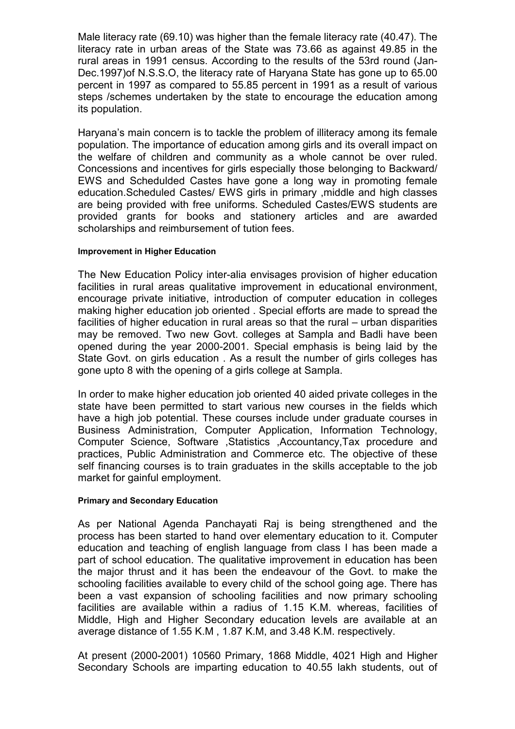Male literacy rate (69.10) was higher than the female literacy rate (40.47). The literacy rate in urban areas of the State was 73.66 as against 49.85 in the rural areas in 1991 census. According to the results of the 53rd round (Jan-Dec.1997)of N.S.S.O, the literacy rate of Haryana State has gone up to 65.00 percent in 1997 as compared to 55.85 percent in 1991 as a result of various steps /schemes undertaken by the state to encourage the education among its population.

Haryana's main concern is to tackle the problem of illiteracy among its female population. The importance of education among girls and its overall impact on the welfare of children and community as a whole cannot be over ruled. Concessions and incentives for girls especially those belonging to Backward/ EWS and Schedulded Castes have gone a long way in promoting female education.Scheduled Castes/ EWS girls in primary ,middle and high classes are being provided with free uniforms. Scheduled Castes/EWS students are provided grants for books and stationery articles and are awarded scholarships and reimbursement of tution fees.

### Improvement in Higher Education

The New Education Policy inter-alia envisages provision of higher education facilities in rural areas qualitative improvement in educational environment, encourage private initiative, introduction of computer education in colleges making higher education job oriented . Special efforts are made to spread the facilities of higher education in rural areas so that the rural – urban disparities may be removed. Two new Govt. colleges at Sampla and Badli have been opened during the year 2000-2001. Special emphasis is being laid by the State Govt. on girls education . As a result the number of girls colleges has gone upto 8 with the opening of a girls college at Sampla.

In order to make higher education job oriented 40 aided private colleges in the state have been permitted to start various new courses in the fields which have a high job potential. These courses include under graduate courses in Business Administration, Computer Application, Information Technology, Computer Science, Software ,Statistics ,Accountancy,Tax procedure and practices, Public Administration and Commerce etc. The objective of these self financing courses is to train graduates in the skills acceptable to the job market for gainful employment.

### Primary and Secondary Education

As per National Agenda Panchayati Raj is being strengthened and the process has been started to hand over elementary education to it. Computer education and teaching of english language from class I has been made a part of school education. The qualitative improvement in education has been the major thrust and it has been the endeavour of the Govt. to make the schooling facilities available to every child of the school going age. There has been a vast expansion of schooling facilities and now primary schooling facilities are available within a radius of 1.15 K.M. whereas, facilities of Middle, High and Higher Secondary education levels are available at an average distance of 1.55 K.M , 1.87 K.M, and 3.48 K.M. respectively.

At present (2000-2001) 10560 Primary, 1868 Middle, 4021 High and Higher Secondary Schools are imparting education to 40.55 lakh students, out of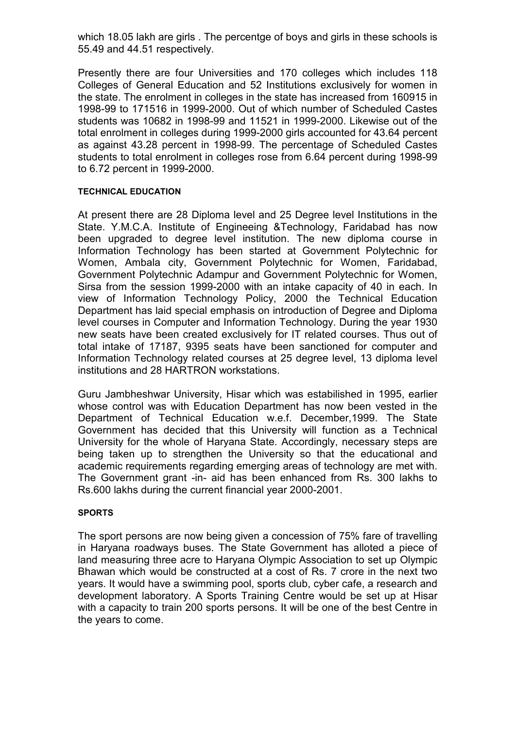which 18.05 lakh are girls. The percentge of boys and girls in these schools is 55.49 and 44.51 respectively.

Presently there are four Universities and 170 colleges which includes 118 Colleges of General Education and 52 Institutions exclusively for women in the state. The enrolment in colleges in the state has increased from 160915 in 1998-99 to 171516 in 1999-2000. Out of which number of Scheduled Castes students was 10682 in 1998-99 and 11521 in 1999-2000. Likewise out of the total enrolment in colleges during 1999-2000 girls accounted for 43.64 percent as against 43.28 percent in 1998-99. The percentage of Scheduled Castes students to total enrolment in colleges rose from 6.64 percent during 1998-99 to 6.72 percent in 1999-2000.

### TECHNICAL EDUCATION

At present there are 28 Diploma level and 25 Degree level Institutions in the State. Y.M.C.A. Institute of Engineeing &Technology, Faridabad has now been upgraded to degree level institution. The new diploma course in Information Technology has been started at Government Polytechnic for Women, Ambala city, Government Polytechnic for Women, Faridabad, Government Polytechnic Adampur and Government Polytechnic for Women, Sirsa from the session 1999-2000 with an intake capacity of 40 in each. In view of Information Technology Policy, 2000 the Technical Education Department has laid special emphasis on introduction of Degree and Diploma level courses in Computer and Information Technology. During the year 1930 new seats have been created exclusively for IT related courses. Thus out of total intake of 17187, 9395 seats have been sanctioned for computer and Information Technology related courses at 25 degree level, 13 diploma level institutions and 28 HARTRON workstations.

Guru Jambheshwar University, Hisar which was estabilished in 1995, earlier whose control was with Education Department has now been vested in the Department of Technical Education w.e.f. December,1999. The State Government has decided that this University will function as a Technical University for the whole of Haryana State. Accordingly, necessary steps are being taken up to strengthen the University so that the educational and academic requirements regarding emerging areas of technology are met with. The Government grant -in- aid has been enhanced from Rs. 300 lakhs to Rs.600 lakhs during the current financial year 2000-2001.

### SPORTS

The sport persons are now being given a concession of 75% fare of travelling in Haryana roadways buses. The State Government has alloted a piece of land measuring three acre to Haryana Olympic Association to set up Olympic Bhawan which would be constructed at a cost of Rs. 7 crore in the next two years. It would have a swimming pool, sports club, cyber cafe, a research and development laboratory. A Sports Training Centre would be set up at Hisar with a capacity to train 200 sports persons. It will be one of the best Centre in the years to come.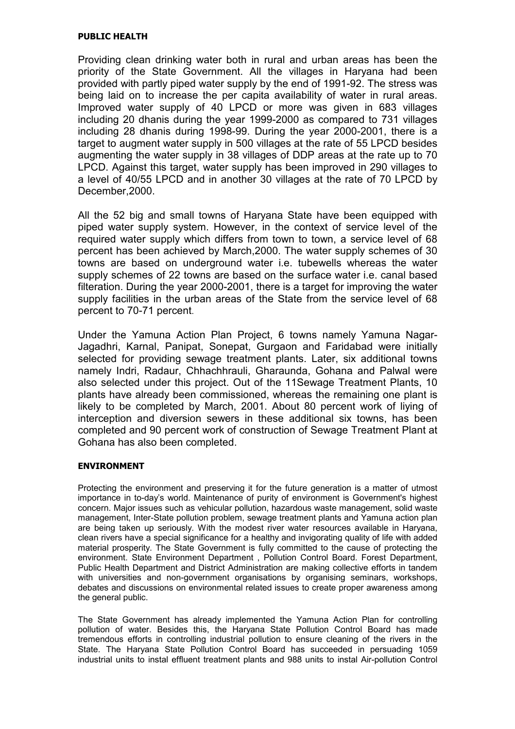### PUBLIC HEALTH

Providing clean drinking water both in rural and urban areas has been the priority of the State Government. All the villages in Haryana had been provided with partly piped water supply by the end of 1991-92. The stress was being laid on to increase the per capita availability of water in rural areas. Improved water supply of 40 LPCD or more was given in 683 villages including 20 dhanis during the year 1999-2000 as compared to 731 villages including 28 dhanis during 1998-99. During the year 2000-2001, there is a target to augment water supply in 500 villages at the rate of 55 LPCD besides augmenting the water supply in 38 villages of DDP areas at the rate up to 70 LPCD. Against this target, water supply has been improved in 290 villages to a level of 40/55 LPCD and in another 30 villages at the rate of 70 LPCD by December,2000.

All the 52 big and small towns of Haryana State have been equipped with piped water supply system. However, in the context of service level of the required water supply which differs from town to town, a service level of 68 percent has been achieved by March,2000. The water supply schemes of 30 towns are based on underground water i.e. tubewells whereas the water supply schemes of 22 towns are based on the surface water i.e. canal based filteration. During the year 2000-2001, there is a target for improving the water supply facilities in the urban areas of the State from the service level of 68 percent to 70-71 percent.

Under the Yamuna Action Plan Project, 6 towns namely Yamuna Nagar-Jagadhri, Karnal, Panipat, Sonepat, Gurgaon and Faridabad were initially selected for providing sewage treatment plants. Later, six additional towns namely Indri, Radaur, Chhachhrauli, Gharaunda, Gohana and Palwal were also selected under this project. Out of the 11Sewage Treatment Plants, 10 plants have already been commissioned, whereas the remaining one plant is likely to be completed by March, 2001. About 80 percent work of liying of interception and diversion sewers in these additional six towns, has been completed and 90 percent work of construction of Sewage Treatment Plant at Gohana has also been completed.

### ENVIRONMENT

Protecting the environment and preserving it for the future generation is a matter of utmost importance in to-day's world. Maintenance of purity of environment is Government's highest concern. Major issues such as vehicular pollution, hazardous waste management, solid waste management, Inter-State pollution problem, sewage treatment plants and Yamuna action plan are being taken up seriously. With the modest river water resources available in Haryana, clean rivers have a special significance for a healthy and invigorating quality of life with added material prosperity. The State Government is fully committed to the cause of protecting the environment. State Environment Department , Pollution Control Board. Forest Department, Public Health Department and District Administration are making collective efforts in tandem with universities and non-government organisations by organising seminars, workshops, debates and discussions on environmental related issues to create proper awareness among the general public.

The State Government has already implemented the Yamuna Action Plan for controlling pollution of water. Besides this, the Haryana State Pollution Control Board has made tremendous efforts in controlling industrial pollution to ensure cleaning of the rivers in the State. The Haryana State Pollution Control Board has succeeded in persuading 1059 industrial units to instal effluent treatment plants and 988 units to instal Air-pollution Control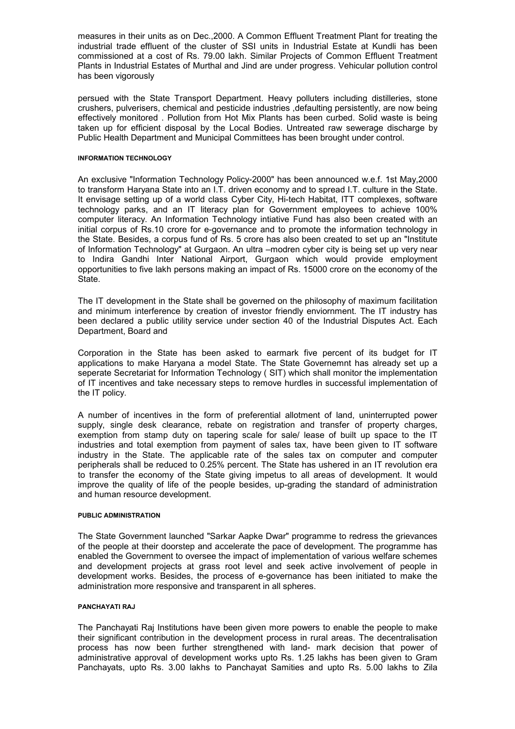measures in their units as on Dec.,2000. A Common Effluent Treatment Plant for treating the industrial trade effluent of the cluster of SSI units in Industrial Estate at Kundli has been commissioned at a cost of Rs. 79.00 lakh. Similar Projects of Common Effluent Treatment Plants in Industrial Estates of Murthal and Jind are under progress. Vehicular pollution control has been vigorously

persued with the State Transport Department. Heavy polluters including distilleries, stone crushers, pulverisers, chemical and pesticide industries ,defaulting persistently, are now being effectively monitored . Pollution from Hot Mix Plants has been curbed. Solid waste is being taken up for efficient disposal by the Local Bodies. Untreated raw sewerage discharge by Public Health Department and Municipal Committees has been brought under control.

#### INFORMATION TECHNOLOGY

An exclusive "Information Technology Policy-2000" has been announced w.e.f. 1st May,2000 to transform Haryana State into an I.T. driven economy and to spread I.T. culture in the State. It envisage setting up of a world class Cyber City, Hi-tech Habitat, ITT complexes, software technology parks, and an IT literacy plan for Government employees to achieve 100% computer literacy. An Information Technology intiative Fund has also been created with an initial corpus of Rs.10 crore for e-governance and to promote the information technology in the State. Besides, a corpus fund of Rs. 5 crore has also been created to set up an "Institute of Information Technology" at Gurgaon. An ultra –modren cyber city is being set up very near to Indira Gandhi Inter National Airport, Gurgaon which would provide employment opportunities to five lakh persons making an impact of Rs. 15000 crore on the economy of the State.

The IT development in the State shall be governed on the philosophy of maximum facilitation and minimum interference by creation of investor friendly enviornment. The IT industry has been declared a public utility service under section 40 of the Industrial Disputes Act. Each Department, Board and

Corporation in the State has been asked to earmark five percent of its budget for IT applications to make Haryana a model State. The State Governemnt has already set up a seperate Secretariat for Information Technology (SIT) which shall monitor the implementation of IT incentives and take necessary steps to remove hurdles in successful implementation of the IT policy.

A number of incentives in the form of preferential allotment of land, uninterrupted power supply, single desk clearance, rebate on registration and transfer of property charges, exemption from stamp duty on tapering scale for sale/ lease of built up space to the IT industries and total exemption from payment of sales tax, have been given to IT software industry in the State. The applicable rate of the sales tax on computer and computer peripherals shall be reduced to 0.25% percent. The State has ushered in an IT revolution era to transfer the economy of the State giving impetus to all areas of development. It would improve the quality of life of the people besides, up-grading the standard of administration and human resource development.

#### PUBLIC ADMINISTRATION

The State Government launched "Sarkar Aapke Dwar" programme to redress the grievances of the people at their doorstep and accelerate the pace of development. The programme has enabled the Government to oversee the impact of implementation of various welfare schemes and development projects at grass root level and seek active involvement of people in development works. Besides, the process of e-governance has been initiated to make the administration more responsive and transparent in all spheres.

#### PANCHAYATI RAJ

The Panchayati Raj Institutions have been given more powers to enable the people to make their significant contribution in the development process in rural areas. The decentralisation process has now been further strengthened with land- mark decision that power of administrative approval of development works upto Rs. 1.25 lakhs has been given to Gram Panchayats, upto Rs. 3.00 lakhs to Panchayat Samities and upto Rs. 5.00 lakhs to Zila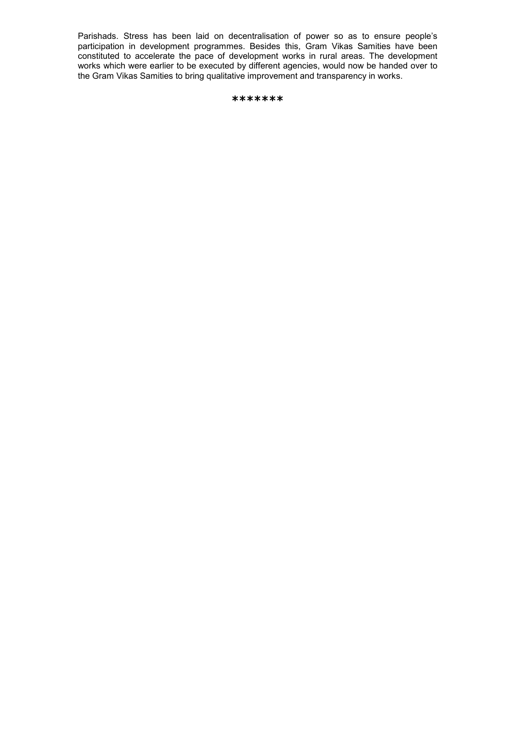Parishads. Stress has been laid on decentralisation of power so as to ensure people's participation in development programmes. Besides this, Gram Vikas Samities have been constituted to accelerate the pace of development works in rural areas. The development works which were earlier to be executed by different agencies, would now be handed over to the Gram Vikas Samities to bring qualitative improvement and transparency in works.

```
*******
```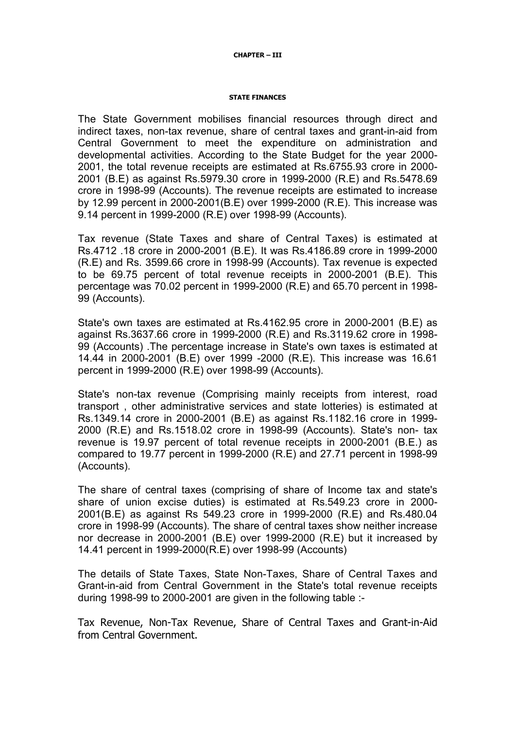#### CHAPTER – III

#### STATE FINANCES

The State Government mobilises financial resources through direct and indirect taxes, non-tax revenue, share of central taxes and grant-in-aid from Central Government to meet the expenditure on administration and developmental activities. According to the State Budget for the year 2000- 2001, the total revenue receipts are estimated at Rs.6755.93 crore in 2000- 2001 (B.E) as against Rs.5979.30 crore in 1999-2000 (R.E) and Rs.5478.69 crore in 1998-99 (Accounts). The revenue receipts are estimated to increase by 12.99 percent in 2000-2001(B.E) over 1999-2000 (R.E). This increase was 9.14 percent in 1999-2000 (R.E) over 1998-99 (Accounts).

Tax revenue (State Taxes and share of Central Taxes) is estimated at Rs.4712 .18 crore in 2000-2001 (B.E). It was Rs.4186.89 crore in 1999-2000 (R.E) and Rs. 3599.66 crore in 1998-99 (Accounts). Tax revenue is expected to be 69.75 percent of total revenue receipts in 2000-2001 (B.E). This percentage was 70.02 percent in 1999-2000 (R.E) and 65.70 percent in 1998- 99 (Accounts).

State's own taxes are estimated at Rs.4162.95 crore in 2000-2001 (B.E) as against Rs.3637.66 crore in 1999-2000 (R.E) and Rs.3119.62 crore in 1998- 99 (Accounts) .The percentage increase in State's own taxes is estimated at 14.44 in 2000-2001 (B.E) over 1999 -2000 (R.E). This increase was 16.61 percent in 1999-2000 (R.E) over 1998-99 (Accounts).

State's non-tax revenue (Comprising mainly receipts from interest, road transport , other administrative services and state lotteries) is estimated at Rs.1349.14 crore in 2000-2001 (B.E) as against Rs.1182.16 crore in 1999- 2000 (R.E) and Rs.1518.02 crore in 1998-99 (Accounts). State's non- tax revenue is 19.97 percent of total revenue receipts in 2000-2001 (B.E.) as compared to 19.77 percent in 1999-2000 (R.E) and 27.71 percent in 1998-99 (Accounts).

The share of central taxes (comprising of share of Income tax and state's share of union excise duties) is estimated at Rs.549.23 crore in 2000- 2001(B.E) as against Rs 549.23 crore in 1999-2000 (R.E) and Rs.480.04 crore in 1998-99 (Accounts). The share of central taxes show neither increase nor decrease in 2000-2001 (B.E) over 1999-2000 (R.E) but it increased by 14.41 percent in 1999-2000(R.E) over 1998-99 (Accounts)

The details of State Taxes, State Non-Taxes, Share of Central Taxes and Grant-in-aid from Central Government in the State's total revenue receipts during 1998-99 to 2000-2001 are given in the following table :-

Tax Revenue, Non-Tax Revenue, Share of Central Taxes and Grant-in-Aid from Central Government.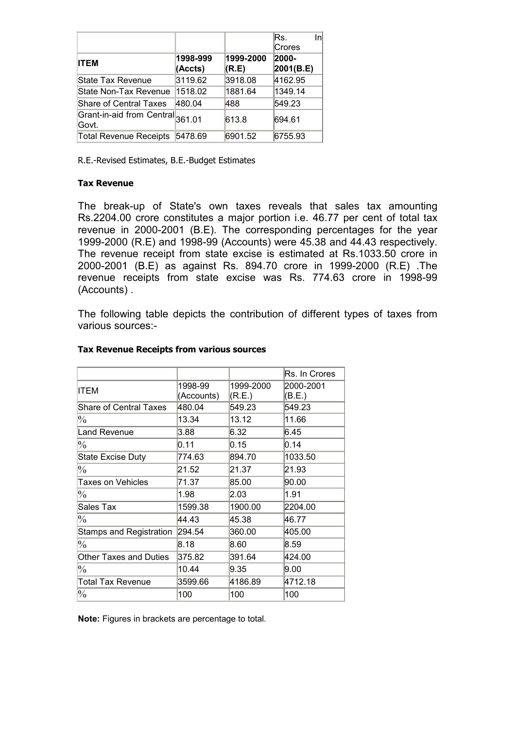|                                           |          |           | lRs.<br>Inl   |
|-------------------------------------------|----------|-----------|---------------|
|                                           |          |           | <b>Crores</b> |
| <b>ITEM</b>                               | 1998-999 | 1999-2000 | 2000-         |
|                                           | (Accts)  | (R.E)     | 2001(B.E)     |
| State Tax Revenue                         | 3119.62  | 3918.08   | 4162.95       |
| State Non-Tax Revenue                     | 1518.02  | 1881.64   | 1349.14       |
| <b>Share of Central Taxes</b>             | 480.04   | 488       | 549.23        |
| Grant-in-aid from Central 361.01<br>Govt. |          | 613.8     | 694.61        |
| <b>Total Revenue Receipts</b>             | 5478.69  | 6901.52   | 6755.93       |

R.E.-Revised Estimates, B.E.-Budget Estimates

### Tax Revenue

The break-up of State's own taxes reveals that sales tax amounting Rs.2204.00 crore constitutes a major portion i.e. 46.77 per cent of total tax revenue in 2000-2001 (B.E). The corresponding percentages for the year 1999-2000 (R.E) and 1998-99 (Accounts) were 45.38 and 44.43 respectively. The revenue receipt from state excise is estimated at Rs.1033.50 crore in 2000-2001 (B.E) as against Rs. 894.70 crore in 1999-2000 (R.E) .The revenue receipts from state excise was Rs. 774.63 crore in 1998-99 (Accounts) .

The following table depicts the contribution of different types of taxes from various sources:-

|                          |                       |                     | Rs. In Crores       |
|--------------------------|-----------------------|---------------------|---------------------|
| ITEM                     | 1998-99<br>(Accounts) | 1999-2000<br>(R.E.) | 2000-2001<br>(B.E.) |
| Share of Central Taxes   | 480.04                | 549.23              | 549.23              |
| $\frac{0}{0}$            | 13.34                 | 13.12               | 11.66               |
| <b>Land Revenue</b>      | 3.88                  | 6.32                | 6.45                |
| $\%$                     | 0.11                  | 0.15                | 0.14                |
| <b>State Excise Duty</b> | 774.63                | 894.70              | 1033.50             |
| $\frac{0}{0}$            | 21.52                 | 21.37               | 21.93               |
| Taxes on Vehicles        | 71.37                 | 85.00               | 90.00               |
| $\frac{0}{0}$            | 1.98                  | 2.03                | 1.91                |
| Sales Tax                | 1599.38               | 1900.00             | 2204.00             |
| $\frac{0}{0}$            | 44.43                 | 45.38               | 46.77               |
| Stamps and Registration  | 294.54                | 360.00              | 405.00              |
| $\frac{0}{0}$            | 8.18                  | 8.60                | 8.59                |
| Other Taxes and Duties   | 375.82                | 391.64              | 424.00              |
| $\frac{0}{0}$            | 10.44                 | 9.35                | 9.00                |
| Total Tax Revenue        | 3599.66               | 4186.89             | 4712.18             |
| $\frac{0}{0}$            | 100                   | 100                 | 100                 |

### Tax Revenue Receipts from various sources

Note: Figures in brackets are percentage to total.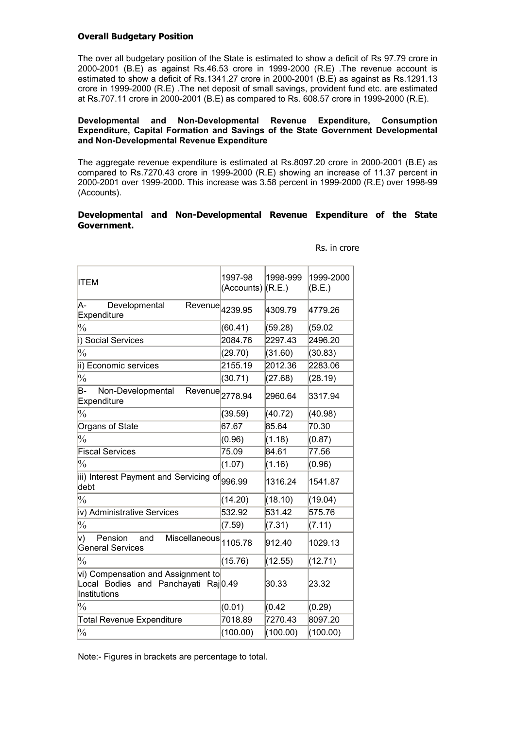#### Overall Budgetary Position

The over all budgetary position of the State is estimated to show a deficit of Rs 97.79 crore in 2000-2001 (B.E) as against Rs.46.53 crore in 1999-2000 (R.E) .The revenue account is estimated to show a deficit of Rs.1341.27 crore in 2000-2001 (B.E) as against as Rs.1291.13 crore in 1999-2000 (R.E) .The net deposit of small savings, provident fund etc. are estimated at Rs.707.11 crore in 2000-2001 (B.E) as compared to Rs. 608.57 crore in 1999-2000 (R.E).

#### Developmental and Non-Developmental Revenue Expenditure, Consumption Expenditure, Capital Formation and Savings of the State Government Developmental and Non-Developmental Revenue Expenditure

The aggregate revenue expenditure is estimated at Rs.8097.20 crore in 2000-2001 (B.E) as compared to Rs.7270.43 crore in 1999-2000 (R.E) showing an increase of 11.37 percent in 2000-2001 over 1999-2000. This increase was 3.58 percent in 1999-2000 (R.E) over 1998-99 (Accounts).

#### Developmental and Non-Developmental Revenue Expenditure of the State Government.

| ITEM                                                                                      | 1997-98<br>$(Accounts)$ $(R.E.)$ | 1998-999 | 1999-2000<br>(B.E.) |
|-------------------------------------------------------------------------------------------|----------------------------------|----------|---------------------|
| Developmental<br>A-<br>$\overline{\mathsf{Re}}$ venue $\vert$ 4239.95<br>Expenditure      |                                  | 4309.79  | 4779.26             |
| $\frac{0}{0}$                                                                             | (60.41)                          | (59.28)  | (59.02)             |
| i) Social Services                                                                        | 2084.76                          | 2297.43  | 2496.20             |
| $\frac{0}{0}$                                                                             | (29.70)                          | (31.60)  | (30.83)             |
| ii) Economic services                                                                     | 2155.19                          | 2012.36  | 2283.06             |
| $\frac{0}{0}$                                                                             | (30.71)                          | (27.68)  | (28.19)             |
| В-<br>Non-Developmental<br>Revenue<br>Expenditure                                         | 2778.94                          | 2960.64  | 3317.94             |
| $\frac{0}{0}$                                                                             | (39.59)                          | (40.72)  | (40.98)             |
| Organs of State                                                                           | 67.67                            | 85.64    | 70.30               |
| $\frac{0}{0}$                                                                             | (0.96)                           | (1.18)   | (0.87)              |
| <b>Fiscal Services</b>                                                                    | 75.09                            | 84.61    | 77.56               |
| $\frac{0}{0}$                                                                             | (1.07)                           | (1.16)   | (0.96)              |
| iii) Interest Payment and Servicing of 996.99<br>debt                                     |                                  | 1316.24  | 1541.87             |
| $\frac{0}{0}$                                                                             | (14.20)                          | (18.10)  | (19.04)             |
| iv) Administrative Services                                                               | 532.92                           | 531.42   | 575.76              |
| $\frac{0}{0}$                                                                             | (7.59)                           | (7.31)   | (7.11)              |
| v)<br>Pension<br>Miscellaneous 1105.78<br>and<br><b>General Services</b>                  |                                  | 912.40   | 1029.13             |
| $\frac{0}{0}$                                                                             | (15.76)                          | (12.55)  | (12.71)             |
| vi) Compensation and Assignment to<br>Local Bodies and Panchayati Raj0.49<br>Institutions |                                  | 30.33    | 23.32               |
| $\frac{0}{0}$                                                                             | (0.01)                           | (0.42)   | (0.29)              |
| <b>Total Revenue Expenditure</b>                                                          | 7018.89                          | 7270.43  | 8097.20             |
| $\frac{0}{0}$                                                                             | (100.00)                         | (100.00) | (100.00)            |

Rs. in crore

Note:- Figures in brackets are percentage to total.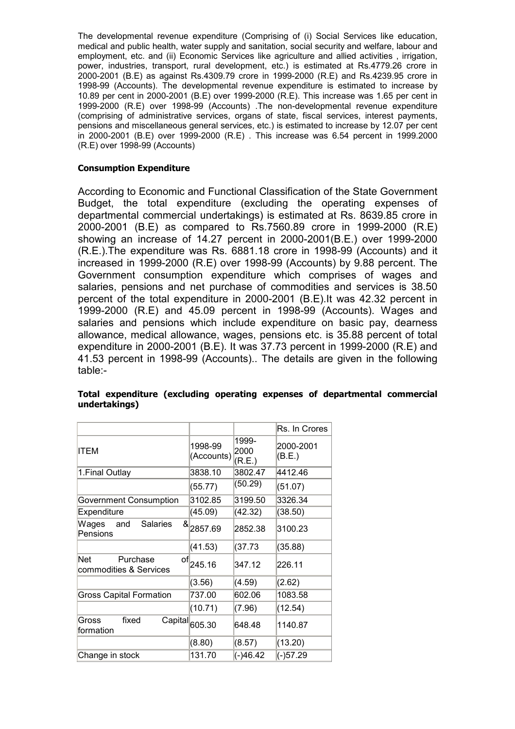The developmental revenue expenditure (Comprising of (i) Social Services like education, medical and public health, water supply and sanitation, social security and welfare, labour and employment, etc. and (ii) Economic Services like agriculture and allied activities , irrigation, power, industries, transport, rural development, etc.) is estimated at Rs.4779.26 crore in 2000-2001 (B.E) as against Rs.4309.79 crore in 1999-2000 (R.E) and Rs.4239.95 crore in 1998-99 (Accounts). The developmental revenue expenditure is estimated to increase by 10.89 per cent in 2000-2001 (B.E) over 1999-2000 (R.E). This increase was 1.65 per cent in 1999-2000 (R.E) over 1998-99 (Accounts) .The non-developmental revenue expenditure (comprising of administrative services, organs of state, fiscal services, interest payments, pensions and miscellaneous general services, etc.) is estimated to increase by 12.07 per cent in 2000-2001 (B.E) over 1999-2000 (R.E) . This increase was 6.54 percent in 1999.2000 (R.E) over 1998-99 (Accounts)

### Consumption Expenditure

According to Economic and Functional Classification of the State Government Budget, the total expenditure (excluding the operating expenses of departmental commercial undertakings) is estimated at Rs. 8639.85 crore in 2000-2001 (B.E) as compared to Rs.7560.89 crore in 1999-2000 (R.E) showing an increase of 14.27 percent in 2000-2001(B.E.) over 1999-2000 (R.E.).The expenditure was Rs. 6881.18 crore in 1998-99 (Accounts) and it increased in 1999-2000 (R.E) over 1998-99 (Accounts) by 9.88 percent. The Government consumption expenditure which comprises of wages and salaries, pensions and net purchase of commodities and services is 38.50 percent of the total expenditure in 2000-2001 (B.E).It was 42.32 percent in 1999-2000 (R.E) and 45.09 percent in 1998-99 (Accounts). Wages and salaries and pensions which include expenditure on basic pay, dearness allowance, medical allowance, wages, pensions etc. is 35.88 percent of total expenditure in 2000-2001 (B.E). It was 37.73 percent in 1999-2000 (R.E) and 41.53 percent in 1998-99 (Accounts).. The details are given in the following table:-

|                                                  |                                       |                         | Rs. In Crores       |
|--------------------------------------------------|---------------------------------------|-------------------------|---------------------|
| <b>ITEM</b>                                      | 1998-99<br>(Accounts)                 | 1999-<br>2000<br>(R.E.) | 2000-2001<br>(B.E.) |
| 1. Final Outlay                                  | 3838.10                               | 3802.47                 | 4412.46             |
|                                                  | (55.77)                               | (50.29)                 | (51.07)             |
| Government Consumption                           | 3102.85                               | 3199.50                 | 3326.34             |
| Expenditure                                      | (45.09)                               | (42.32)                 | (38.50)             |
| Wages<br>and<br><b>Salaries</b><br>Pensions      | $8\frac{1}{2857.69}$                  | 2852.38                 | 3100.23             |
|                                                  | (41.53)                               | (37.73)                 | (35.88)             |
| Net<br>Purchase<br>of <br>commodities & Services | 245.16                                | 347.12                  | 226.11              |
|                                                  | (3.56)                                | (4.59)                  | (2.62)              |
| <b>Gross Capital Formation</b>                   | 737.00                                | 602.06                  | 1083.58             |
|                                                  | (10.71)                               | (7.96)                  | (12.54)             |
| fixed<br>Gross<br>formation                      | $\overline{\text{Capital}} _{605.30}$ | 648.48                  | 1140.87             |
|                                                  | (8.80)                                | (8.57)                  | (13.20)             |
| Change in stock                                  | 131.70                                | $(-)46.42$              | $(-)57.29$          |

### Total expenditure (excluding operating expenses of departmental commercial undertakings)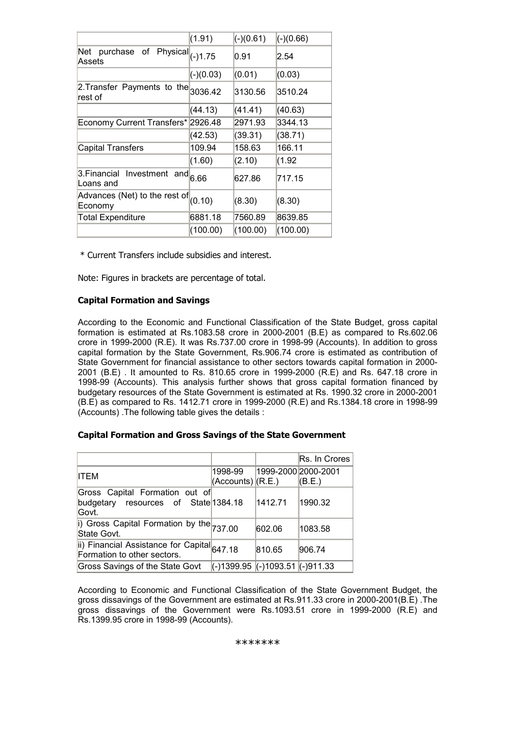|                                                                        | (1.91)                   | $(-)(0.61)$ | $(-)(0.66)$ |
|------------------------------------------------------------------------|--------------------------|-------------|-------------|
| Net<br>purchase of<br>$\overline{\text{Physical}}_{(-)1.75}$<br>Assets |                          | 0.91        | 2.54        |
|                                                                        | $(-)(0.03)$              | (0.01)      | (0.03)      |
| 2. Transfer Payments to the $_{3036.42}$<br>rest of                    |                          | 3130.56     | 3510.24     |
|                                                                        | (44.13)                  | (41.41)     | (40.63)     |
| Economy Current Transfers*                                             | 2926.48                  | 2971.93     | 3344.13     |
|                                                                        | (42.53)                  | (39.31)     | (38.71)     |
| <b>Capital Transfers</b>                                               | 109.94                   | 158.63      | 166.11      |
|                                                                        | (1.60)                   | (2.10)      | (1.92       |
| 3. Financial Investment<br>Loans and                                   | $\overline{and} _{6.66}$ | 627.86      | 717.15      |
| Advances (Net) to the rest of $(0.10)$<br>Economy                      |                          | (8.30)      | (8.30)      |
| <b>Total Expenditure</b>                                               | 6881.18                  | 7560.89     | 8639.85     |
|                                                                        | (100.00)                 | (100.00)    | (100.00)    |

\* Current Transfers include subsidies and interest.

Note: Figures in brackets are percentage of total.

### Capital Formation and Savings

According to the Economic and Functional Classification of the State Budget, gross capital formation is estimated at Rs.1083.58 crore in 2000-2001 (B.E) as compared to Rs.602.06 crore in 1999-2000 (R.E). It was Rs.737.00 crore in 1998-99 (Accounts). In addition to gross capital formation by the State Government, Rs.906.74 crore is estimated as contribution of State Government for financial assistance to other sectors towards capital formation in 2000- 2001 (B.E) . It amounted to Rs. 810.65 crore in 1999-2000 (R.E) and Rs. 647.18 crore in 1998-99 (Accounts). This analysis further shows that gross capital formation financed by budgetary resources of the State Government is estimated at Rs. 1990.32 crore in 2000-2001 (B.E) as compared to Rs. 1412.71 crore in 1999-2000 (R.E) and Rs.1384.18 crore in 1998-99 (Accounts) .The following table gives the details :

### Capital Formation and Gross Savings of the State Government

|                                                                                 |                                       |                     | Rs. In Crores |
|---------------------------------------------------------------------------------|---------------------------------------|---------------------|---------------|
| <b>ITEM</b>                                                                     | 1998-99<br>$ $ (Accounts) $ $ (R.E.)  | 1999-2000 2000-2001 | (B.E.)        |
| Gross Capital Formation out of<br>budgetary resources of State 1384.18<br>Govt. |                                       | 1412.71             | 1990.32       |
| i) Gross Capital Formation by the 737.00<br>State Govt.                         |                                       | 602.06              | 1083.58       |
| ii) Financial Assistance for Capital 647.18<br>Formation to other sectors.      |                                       | 810.65              | 906.74        |
| Gross Savings of the State Govt                                                 | $(-)1399.95$ $(-)1093.51$ $(-)911.33$ |                     |               |

According to Economic and Functional Classification of the State Government Budget, the gross dissavings of the Government are estimated at Rs.911.33 crore in 2000-2001(B.E) .The gross dissavings of the Government were Rs.1093.51 crore in 1999-2000 (R.E) and Rs.1399.95 crore in 1998-99 (Accounts).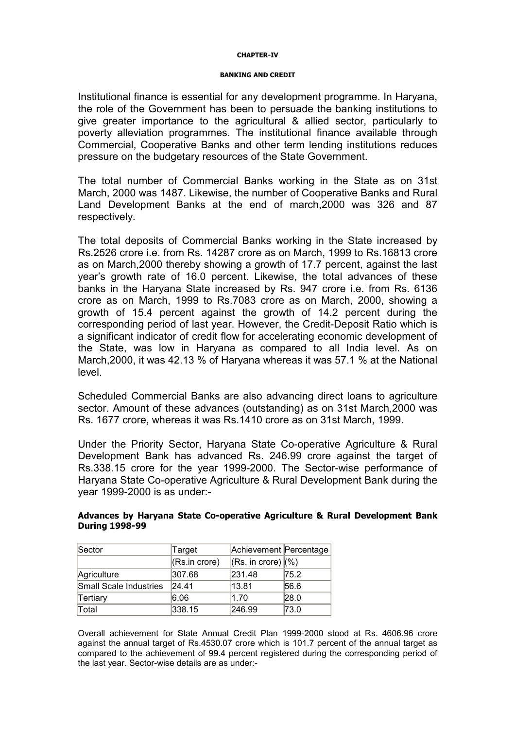#### CHAPTER-IV

#### BANKING AND CREDIT

Institutional finance is essential for any development programme. In Haryana, the role of the Government has been to persuade the banking institutions to give greater importance to the agricultural & allied sector, particularly to poverty alleviation programmes. The institutional finance available through Commercial, Cooperative Banks and other term lending institutions reduces pressure on the budgetary resources of the State Government.

The total number of Commercial Banks working in the State as on 31st March, 2000 was 1487. Likewise, the number of Cooperative Banks and Rural Land Development Banks at the end of march,2000 was 326 and 87 respectively.

The total deposits of Commercial Banks working in the State increased by Rs.2526 crore i.e. from Rs. 14287 crore as on March, 1999 to Rs.16813 crore as on March,2000 thereby showing a growth of 17.7 percent, against the last year's growth rate of 16.0 percent. Likewise, the total advances of these banks in the Haryana State increased by Rs. 947 crore i.e. from Rs. 6136 crore as on March, 1999 to Rs.7083 crore as on March, 2000, showing a growth of 15.4 percent against the growth of 14.2 percent during the corresponding period of last year. However, the Credit-Deposit Ratio which is a significant indicator of credit flow for accelerating economic development of the State, was low in Haryana as compared to all India level. As on March,2000, it was 42.13 % of Haryana whereas it was 57.1 % at the National level.

Scheduled Commercial Banks are also advancing direct loans to agriculture sector. Amount of these advances (outstanding) as on 31st March,2000 was Rs. 1677 crore, whereas it was Rs.1410 crore as on 31st March, 1999.

Under the Priority Sector, Haryana State Co-operative Agriculture & Rural Development Bank has advanced Rs. 246.99 crore against the target of Rs.338.15 crore for the year 1999-2000. The Sector-wise performance of Haryana State Co-operative Agriculture & Rural Development Bank during the year 1999-2000 is as under:-

### Advances by Haryana State Co-operative Agriculture & Rural Development Bank During 1998-99

| Sector                 | Target            | Achievement Percentage             |      |
|------------------------|-------------------|------------------------------------|------|
|                        | $ $ (Rs.in crore) | $\vert$ (Rs. in crore) $\vert$ (%) |      |
| Agriculture            | 307.68            | 231.48                             | 75.2 |
| Small Scale Industries | 24.41             | 13.81                              | 56.6 |
| Tertiary               | 6.06              | 1.70                               | 28.0 |
| Total                  | 338.15            | 246.99                             | 73.0 |

Overall achievement for State Annual Credit Plan 1999-2000 stood at Rs. 4606.96 crore against the annual target of Rs.4530.07 crore which is 101.7 percent of the annual target as compared to the achievement of 99.4 percent registered during the corresponding period of the last year. Sector-wise details are as under:-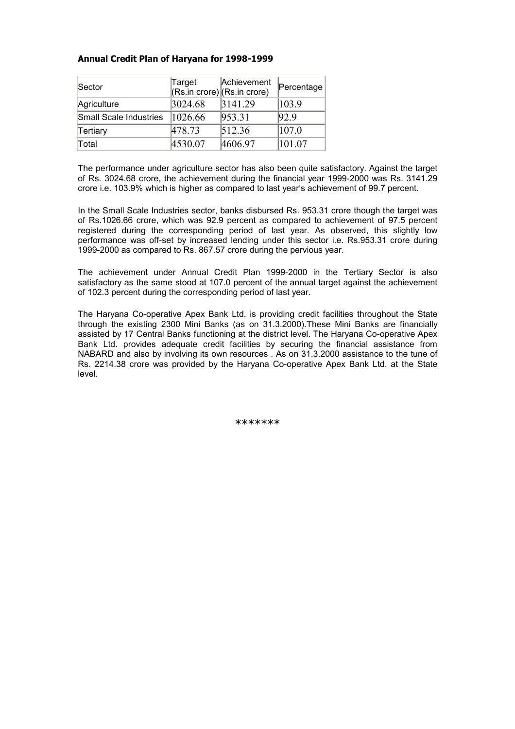### Annual Credit Plan of Haryana for 1998-1999

| Sector                 | Target<br>$(Rs.in core)$ (Rs.in crore) | Achievement | Percentage |
|------------------------|----------------------------------------|-------------|------------|
| Agriculture            | 3024.68                                | 3141.29     | 103.9      |
| Small Scale Industries | 1026.66                                | 953.31      | 92.9       |
| Tertiary               | 478.73                                 | 512.36      | 107.0      |
| Total                  | 4530.07                                | 4606.97     | 101.07     |

The performance under agriculture sector has also been quite satisfactory. Against the target of Rs. 3024.68 crore, the achievement during the financial year 1999-2000 was Rs. 3141.29 crore i.e. 103.9% which is higher as compared to last year's achievement of 99.7 percent.

In the Small Scale Industries sector, banks disbursed Rs. 953.31 crore though the target was of Rs.1026.66 crore, which was 92.9 percent as compared to achievement of 97.5 percent registered during the corresponding period of last year. As observed, this slightly low performance was off-set by increased lending under this sector i.e. Rs.953.31 crore during 1999-2000 as compared to Rs. 867.57 crore during the pervious year.

The achievement under Annual Credit Plan 1999-2000 in the Tertiary Sector is also satisfactory as the same stood at 107.0 percent of the annual target against the achievement of 102.3 percent during the corresponding period of last year.

The Haryana Co-operative Apex Bank Ltd. is providing credit facilities throughout the State through the existing 2300 Mini Banks (as on 31.3.2000).These Mini Banks are financially assisted by 17 Central Banks functioning at the district level. The Haryana Co-operative Apex Bank Ltd. provides adequate credit facilities by securing the financial assistance from NABARD and also by involving its own resources . As on 31.3.2000 assistance to the tune of Rs. 2214.38 crore was provided by the Haryana Co-operative Apex Bank Ltd. at the State level.

\*\*\*\*\*\*\*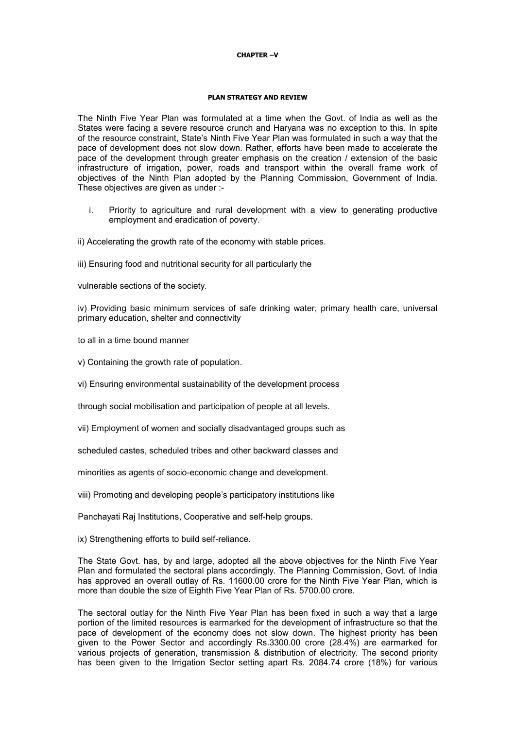#### CHAPTER –V

#### PLAN STRATEGY AND REVIEW

The Ninth Five Year Plan was formulated at a time when the Govt. of India as well as the States were facing a severe resource crunch and Haryana was no exception to this. In spite of the resource constraint, State's Ninth Five Year Plan was formulated in such a way that the pace of development does not slow down. Rather, efforts have been made to accelerate the pace of the development through greater emphasis on the creation / extension of the basic infrastructure of irrigation, power, roads and transport within the overall frame work of objectives of the Ninth Plan adopted by the Planning Commission, Government of India. These objectives are given as under :-

- i. Priority to agriculture and rural development with a view to generating productive employment and eradication of poverty.
- ii) Accelerating the growth rate of the economy with stable prices.

iii) Ensuring food and nutritional security for all particularly the

vulnerable sections of the society.

iv) Providing basic minimum services of safe drinking water, primary health care, universal primary education, shelter and connectivity

to all in a time bound manner

v) Containing the growth rate of population.

vi) Ensuring environmental sustainability of the development process

through social mobilisation and participation of people at all levels.

vii) Employment of women and socially disadvantaged groups such as

scheduled castes, scheduled tribes and other backward classes and

minorities as agents of socio-economic change and development.

viii) Promoting and developing people's participatory institutions like

Panchayati Raj Institutions, Cooperative and self-help groups.

ix) Strengthening efforts to build self-reliance.

The State Govt. has, by and large, adopted all the above objectives for the Ninth Five Year Plan and formulated the sectoral plans accordingly. The Planning Commission, Govt. of India has approved an overall outlay of Rs. 11600.00 crore for the Ninth Five Year Plan, which is more than double the size of Eighth Five Year Plan of Rs. 5700.00 crore.

The sectoral outlay for the Ninth Five Year Plan has been fixed in such a way that a large portion of the limited resources is earmarked for the development of infrastructure so that the pace of development of the economy does not slow down. The highest priority has been given to the Power Sector and accordingly Rs.3300.00 crore (28.4%) are earmarked for various projects of generation, transmission & distribution of electricity. The second priority has been given to the Irrigation Sector setting apart Rs. 2084.74 crore (18%) for various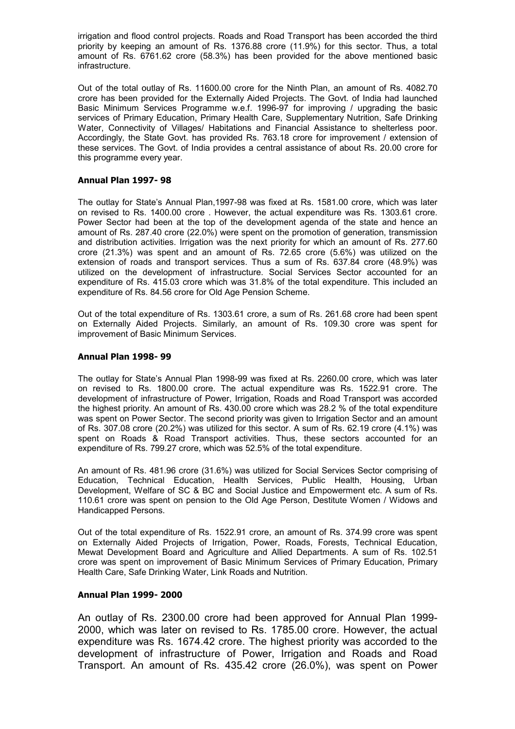irrigation and flood control projects. Roads and Road Transport has been accorded the third priority by keeping an amount of Rs. 1376.88 crore (11.9%) for this sector. Thus, a total amount of Rs. 6761.62 crore (58.3%) has been provided for the above mentioned basic infrastructure.

Out of the total outlay of Rs. 11600.00 crore for the Ninth Plan, an amount of Rs. 4082.70 crore has been provided for the Externally Aided Projects. The Govt. of India had launched Basic Minimum Services Programme w.e.f. 1996-97 for improving / upgrading the basic services of Primary Education, Primary Health Care, Supplementary Nutrition, Safe Drinking Water, Connectivity of Villages/ Habitations and Financial Assistance to shelterless poor. Accordingly, the State Govt. has provided Rs. 763.18 crore for improvement / extension of these services. The Govt. of India provides a central assistance of about Rs. 20.00 crore for this programme every year.

#### Annual Plan 1997- 98

The outlay for State's Annual Plan,1997-98 was fixed at Rs. 1581.00 crore, which was later on revised to Rs. 1400.00 crore . However, the actual expenditure was Rs. 1303.61 crore. Power Sector had been at the top of the development agenda of the state and hence an amount of Rs. 287.40 crore (22.0%) were spent on the promotion of generation, transmission and distribution activities. Irrigation was the next priority for which an amount of Rs. 277.60 crore (21.3%) was spent and an amount of Rs. 72.65 crore (5.6%) was utilized on the extension of roads and transport services. Thus a sum of Rs. 637.84 crore (48.9%) was utilized on the development of infrastructure. Social Services Sector accounted for an expenditure of Rs. 415.03 crore which was 31.8% of the total expenditure. This included an expenditure of Rs. 84.56 crore for Old Age Pension Scheme.

Out of the total expenditure of Rs. 1303.61 crore, a sum of Rs. 261.68 crore had been spent on Externally Aided Projects. Similarly, an amount of Rs. 109.30 crore was spent for improvement of Basic Minimum Services.

#### Annual Plan 1998- 99

The outlay for State's Annual Plan 1998-99 was fixed at Rs. 2260.00 crore, which was later on revised to Rs. 1800.00 crore. The actual expenditure was Rs. 1522.91 crore. The development of infrastructure of Power, Irrigation, Roads and Road Transport was accorded the highest priority. An amount of Rs. 430.00 crore which was 28.2 % of the total expenditure was spent on Power Sector. The second priority was given to Irrigation Sector and an amount of Rs. 307.08 crore (20.2%) was utilized for this sector. A sum of Rs. 62.19 crore (4.1%) was spent on Roads & Road Transport activities. Thus, these sectors accounted for an expenditure of Rs. 799.27 crore, which was 52.5% of the total expenditure.

An amount of Rs. 481.96 crore (31.6%) was utilized for Social Services Sector comprising of Education, Technical Education, Health Services, Public Health, Housing, Urban Development, Welfare of SC & BC and Social Justice and Empowerment etc. A sum of Rs. 110.61 crore was spent on pension to the Old Age Person, Destitute Women / Widows and Handicapped Persons.

Out of the total expenditure of Rs. 1522.91 crore, an amount of Rs. 374.99 crore was spent on Externally Aided Projects of Irrigation, Power, Roads, Forests, Technical Education, Mewat Development Board and Agriculture and Allied Departments. A sum of Rs. 102.51 crore was spent on improvement of Basic Minimum Services of Primary Education, Primary Health Care, Safe Drinking Water, Link Roads and Nutrition.

#### Annual Plan 1999- 2000

An outlay of Rs. 2300.00 crore had been approved for Annual Plan 1999- 2000, which was later on revised to Rs. 1785.00 crore. However, the actual expenditure was Rs. 1674.42 crore. The highest priority was accorded to the development of infrastructure of Power, Irrigation and Roads and Road Transport. An amount of Rs. 435.42 crore (26.0%), was spent on Power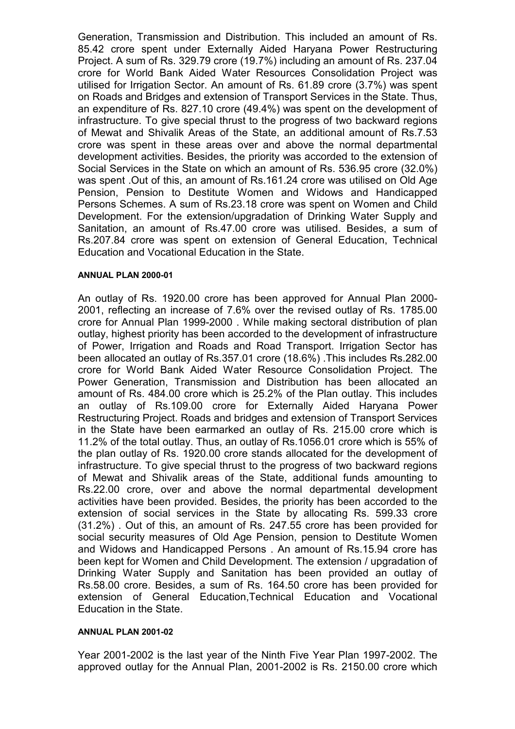Generation, Transmission and Distribution. This included an amount of Rs. 85.42 crore spent under Externally Aided Haryana Power Restructuring Project. A sum of Rs. 329.79 crore (19.7%) including an amount of Rs. 237.04 crore for World Bank Aided Water Resources Consolidation Project was utilised for Irrigation Sector. An amount of Rs. 61.89 crore (3.7%) was spent on Roads and Bridges and extension of Transport Services in the State. Thus, an expenditure of Rs. 827.10 crore (49.4%) was spent on the development of infrastructure. To give special thrust to the progress of two backward regions of Mewat and Shivalik Areas of the State, an additional amount of Rs.7.53 crore was spent in these areas over and above the normal departmental development activities. Besides, the priority was accorded to the extension of Social Services in the State on which an amount of Rs. 536.95 crore (32.0%) was spent .Out of this, an amount of Rs.161.24 crore was utilised on Old Age Pension, Pension to Destitute Women and Widows and Handicapped Persons Schemes. A sum of Rs.23.18 crore was spent on Women and Child Development. For the extension/upgradation of Drinking Water Supply and Sanitation, an amount of Rs.47.00 crore was utilised. Besides, a sum of Rs.207.84 crore was spent on extension of General Education, Technical Education and Vocational Education in the State.

### ANNUAL PLAN 2000-01

An outlay of Rs. 1920.00 crore has been approved for Annual Plan 2000- 2001, reflecting an increase of 7.6% over the revised outlay of Rs. 1785.00 crore for Annual Plan 1999-2000 . While making sectoral distribution of plan outlay, highest priority has been accorded to the development of infrastructure of Power, Irrigation and Roads and Road Transport. Irrigation Sector has been allocated an outlay of Rs.357.01 crore (18.6%) .This includes Rs.282.00 crore for World Bank Aided Water Resource Consolidation Project. The Power Generation, Transmission and Distribution has been allocated an amount of Rs. 484.00 crore which is 25.2% of the Plan outlay. This includes an outlay of Rs.109.00 crore for Externally Aided Haryana Power Restructuring Project. Roads and bridges and extension of Transport Services in the State have been earmarked an outlay of Rs. 215.00 crore which is 11.2% of the total outlay. Thus, an outlay of Rs.1056.01 crore which is 55% of the plan outlay of Rs. 1920.00 crore stands allocated for the development of infrastructure. To give special thrust to the progress of two backward regions of Mewat and Shivalik areas of the State, additional funds amounting to Rs.22.00 crore, over and above the normal departmental development activities have been provided. Besides, the priority has been accorded to the extension of social services in the State by allocating Rs. 599.33 crore (31.2%) . Out of this, an amount of Rs. 247.55 crore has been provided for social security measures of Old Age Pension, pension to Destitute Women and Widows and Handicapped Persons . An amount of Rs.15.94 crore has been kept for Women and Child Development. The extension / upgradation of Drinking Water Supply and Sanitation has been provided an outlay of Rs.58.00 crore. Besides, a sum of Rs. 164.50 crore has been provided for extension of General Education,Technical Education and Vocational Education in the State.

### ANNUAL PLAN 2001-02

Year 2001-2002 is the last year of the Ninth Five Year Plan 1997-2002. The approved outlay for the Annual Plan, 2001-2002 is Rs. 2150.00 crore which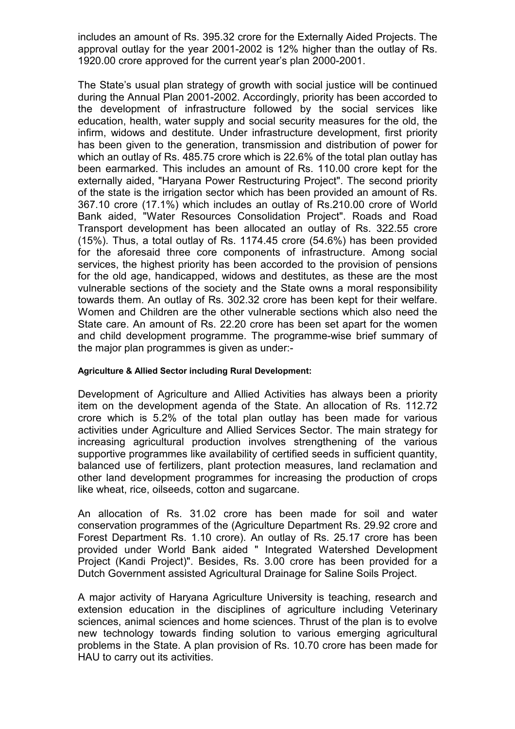includes an amount of Rs. 395.32 crore for the Externally Aided Projects. The approval outlay for the year 2001-2002 is 12% higher than the outlay of Rs. 1920.00 crore approved for the current year's plan 2000-2001.

The State's usual plan strategy of growth with social justice will be continued during the Annual Plan 2001-2002. Accordingly, priority has been accorded to the development of infrastructure followed by the social services like education, health, water supply and social security measures for the old, the infirm, widows and destitute. Under infrastructure development, first priority has been given to the generation, transmission and distribution of power for which an outlay of Rs. 485.75 crore which is 22.6% of the total plan outlay has been earmarked. This includes an amount of Rs. 110.00 crore kept for the externally aided, "Haryana Power Restructuring Project". The second priority of the state is the irrigation sector which has been provided an amount of Rs. 367.10 crore (17.1%) which includes an outlay of Rs.210.00 crore of World Bank aided, "Water Resources Consolidation Project". Roads and Road Transport development has been allocated an outlay of Rs. 322.55 crore (15%). Thus, a total outlay of Rs. 1174.45 crore (54.6%) has been provided for the aforesaid three core components of infrastructure. Among social services, the highest priority has been accorded to the provision of pensions for the old age, handicapped, widows and destitutes, as these are the most vulnerable sections of the society and the State owns a moral responsibility towards them. An outlay of Rs. 302.32 crore has been kept for their welfare. Women and Children are the other vulnerable sections which also need the State care. An amount of Rs. 22.20 crore has been set apart for the women and child development programme. The programme-wise brief summary of the major plan programmes is given as under:-

### Agriculture & Allied Sector including Rural Development:

Development of Agriculture and Allied Activities has always been a priority item on the development agenda of the State. An allocation of Rs. 112.72 crore which is 5.2% of the total plan outlay has been made for various activities under Agriculture and Allied Services Sector. The main strategy for increasing agricultural production involves strengthening of the various supportive programmes like availability of certified seeds in sufficient quantity, balanced use of fertilizers, plant protection measures, land reclamation and other land development programmes for increasing the production of crops like wheat, rice, oilseeds, cotton and sugarcane.

An allocation of Rs. 31.02 crore has been made for soil and water conservation programmes of the (Agriculture Department Rs. 29.92 crore and Forest Department Rs. 1.10 crore). An outlay of Rs. 25.17 crore has been provided under World Bank aided " Integrated Watershed Development Project (Kandi Project)". Besides, Rs. 3.00 crore has been provided for a Dutch Government assisted Agricultural Drainage for Saline Soils Project.

A major activity of Haryana Agriculture University is teaching, research and extension education in the disciplines of agriculture including Veterinary sciences, animal sciences and home sciences. Thrust of the plan is to evolve new technology towards finding solution to various emerging agricultural problems in the State. A plan provision of Rs. 10.70 crore has been made for HAU to carry out its activities.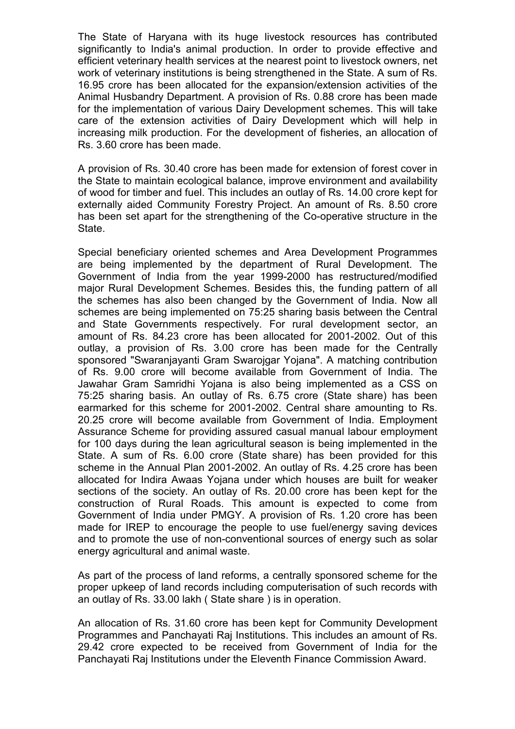The State of Haryana with its huge livestock resources has contributed significantly to India's animal production. In order to provide effective and efficient veterinary health services at the nearest point to livestock owners, net work of veterinary institutions is being strengthened in the State. A sum of Rs. 16.95 crore has been allocated for the expansion/extension activities of the Animal Husbandry Department. A provision of Rs. 0.88 crore has been made for the implementation of various Dairy Development schemes. This will take care of the extension activities of Dairy Development which will help in increasing milk production. For the development of fisheries, an allocation of Rs. 3.60 crore has been made.

A provision of Rs. 30.40 crore has been made for extension of forest cover in the State to maintain ecological balance, improve environment and availability of wood for timber and fuel. This includes an outlay of Rs. 14.00 crore kept for externally aided Community Forestry Project. An amount of Rs. 8.50 crore has been set apart for the strengthening of the Co-operative structure in the State.

Special beneficiary oriented schemes and Area Development Programmes are being implemented by the department of Rural Development. The Government of India from the year 1999-2000 has restructured/modified major Rural Development Schemes. Besides this, the funding pattern of all the schemes has also been changed by the Government of India. Now all schemes are being implemented on 75:25 sharing basis between the Central and State Governments respectively. For rural development sector, an amount of Rs. 84.23 crore has been allocated for 2001-2002. Out of this outlay, a provision of Rs. 3.00 crore has been made for the Centrally sponsored "Swaranjayanti Gram Swarojgar Yojana". A matching contribution of Rs. 9.00 crore will become available from Government of India. The Jawahar Gram Samridhi Yojana is also being implemented as a CSS on 75:25 sharing basis. An outlay of Rs. 6.75 crore (State share) has been earmarked for this scheme for 2001-2002. Central share amounting to Rs. 20.25 crore will become available from Government of India. Employment Assurance Scheme for providing assured casual manual labour employment for 100 days during the lean agricultural season is being implemented in the State. A sum of Rs. 6.00 crore (State share) has been provided for this scheme in the Annual Plan 2001-2002. An outlay of Rs. 4.25 crore has been allocated for Indira Awaas Yojana under which houses are built for weaker sections of the society. An outlay of Rs. 20.00 crore has been kept for the construction of Rural Roads. This amount is expected to come from Government of India under PMGY. A provision of Rs. 1.20 crore has been made for IREP to encourage the people to use fuel/energy saving devices and to promote the use of non-conventional sources of energy such as solar energy agricultural and animal waste.

As part of the process of land reforms, a centrally sponsored scheme for the proper upkeep of land records including computerisation of such records with an outlay of Rs. 33.00 lakh ( State share ) is in operation.

An allocation of Rs. 31.60 crore has been kept for Community Development Programmes and Panchayati Raj Institutions. This includes an amount of Rs. 29.42 crore expected to be received from Government of India for the Panchayati Raj Institutions under the Eleventh Finance Commission Award.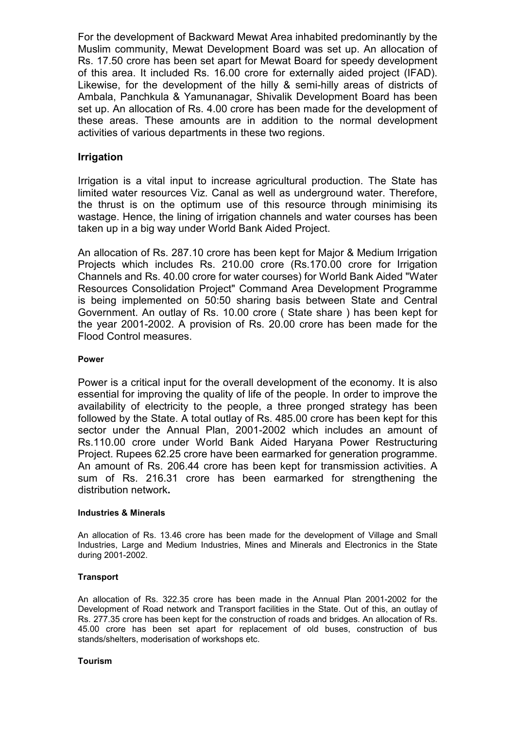For the development of Backward Mewat Area inhabited predominantly by the Muslim community, Mewat Development Board was set up. An allocation of Rs. 17.50 crore has been set apart for Mewat Board for speedy development of this area. It included Rs. 16.00 crore for externally aided project (IFAD). Likewise, for the development of the hilly & semi-hilly areas of districts of Ambala, Panchkula & Yamunanagar, Shivalik Development Board has been set up. An allocation of Rs. 4.00 crore has been made for the development of these areas. These amounts are in addition to the normal development activities of various departments in these two regions.

### Irrigation

Irrigation is a vital input to increase agricultural production. The State has limited water resources Viz. Canal as well as underground water. Therefore, the thrust is on the optimum use of this resource through minimising its wastage. Hence, the lining of irrigation channels and water courses has been taken up in a big way under World Bank Aided Project.

An allocation of Rs. 287.10 crore has been kept for Major & Medium Irrigation Projects which includes Rs. 210.00 crore (Rs.170.00 crore for Irrigation Channels and Rs. 40.00 crore for water courses) for World Bank Aided "Water Resources Consolidation Project" Command Area Development Programme is being implemented on 50:50 sharing basis between State and Central Government. An outlay of Rs. 10.00 crore ( State share ) has been kept for the year 2001-2002. A provision of Rs. 20.00 crore has been made for the Flood Control measures.

### Power

Power is a critical input for the overall development of the economy. It is also essential for improving the quality of life of the people. In order to improve the availability of electricity to the people, a three pronged strategy has been followed by the State. A total outlay of Rs. 485.00 crore has been kept for this sector under the Annual Plan, 2001-2002 which includes an amount of Rs.110.00 crore under World Bank Aided Haryana Power Restructuring Project. Rupees 62.25 crore have been earmarked for generation programme. An amount of Rs. 206.44 crore has been kept for transmission activities. A sum of Rs. 216.31 crore has been earmarked for strengthening the distribution network.

### Industries & Minerals

An allocation of Rs. 13.46 crore has been made for the development of Village and Small Industries, Large and Medium Industries, Mines and Minerals and Electronics in the State during 2001-2002.

### **Transport**

An allocation of Rs. 322.35 crore has been made in the Annual Plan 2001-2002 for the Development of Road network and Transport facilities in the State. Out of this, an outlay of Rs. 277.35 crore has been kept for the construction of roads and bridges. An allocation of Rs. 45.00 crore has been set apart for replacement of old buses, construction of bus stands/shelters, moderisation of workshops etc.

### Tourism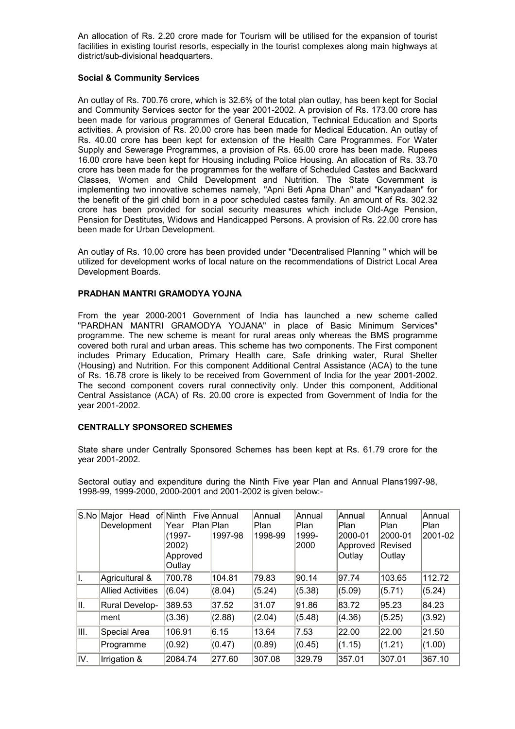An allocation of Rs. 2.20 crore made for Tourism will be utilised for the expansion of tourist facilities in existing tourist resorts, especially in the tourist complexes along main highways at district/sub-divisional headquarters.

### Social & Community Services

An outlay of Rs. 700.76 crore, which is 32.6% of the total plan outlay, has been kept for Social and Community Services sector for the year 2001-2002. A provision of Rs. 173.00 crore has been made for various programmes of General Education, Technical Education and Sports activities. A provision of Rs. 20.00 crore has been made for Medical Education. An outlay of Rs. 40.00 crore has been kept for extension of the Health Care Programmes. For Water Supply and Sewerage Programmes, a provision of Rs. 65.00 crore has been made. Rupees 16.00 crore have been kept for Housing including Police Housing. An allocation of Rs. 33.70 crore has been made for the programmes for the welfare of Scheduled Castes and Backward Classes, Women and Child Development and Nutrition. The State Government is implementing two innovative schemes namely, "Apni Beti Apna Dhan" and "Kanyadaan" for the benefit of the girl child born in a poor scheduled castes family. An amount of Rs. 302.32 crore has been provided for social security measures which include Old-Age Pension, Pension for Destitutes, Widows and Handicapped Persons. A provision of Rs. 22.00 crore has been made for Urban Development.

An outlay of Rs. 10.00 crore has been provided under "Decentralised Planning " which will be utilized for development works of local nature on the recommendations of District Local Area Development Boards.

#### PRADHAN MANTRI GRAMODYA YOJNA

From the year 2000-2001 Government of India has launched a new scheme called "PARDHAN MANTRI GRAMODYA YOJANA" in place of Basic Minimum Services" programme. The new scheme is meant for rural areas only whereas the BMS programme covered both rural and urban areas. This scheme has two components. The First component includes Primary Education, Primary Health care, Safe drinking water, Rural Shelter (Housing) and Nutrition. For this component Additional Central Assistance (ACA) to the tune of Rs. 16.78 crore is likely to be received from Government of India for the year 2001-2002. The second component covers rural connectivity only. Under this component, Additional Central Assistance (ACA) of Rs. 20.00 crore is expected from Government of India for the year 2001-2002.

#### CENTRALLY SPONSORED SCHEMES

State share under Centrally Sponsored Schemes has been kept at Rs. 61.79 crore for the year 2001-2002.

Sectoral outlay and expenditure during the Ninth Five year Plan and Annual Plans1997-98, 1998-99, 1999-2000, 2000-2001 and 2001-2002 is given below:-

| S.No | Major<br>Head<br>Development | of Ninth<br>∣Year<br>(1997-<br>2002)<br>Approved<br>Outlay | <b>Five Annual</b><br>Plan Plan<br>1997-98 | Annual<br>Plan<br>1998-99 | Annual<br><b>Plan</b><br>1999-<br>2000 | Annual<br> Plan<br>2000-01<br> Approved<br>Outlay | Annual<br> Plan<br>2000-01<br><b>Revised</b><br> Outlay | Annual<br>Plan<br>2001-02 |
|------|------------------------------|------------------------------------------------------------|--------------------------------------------|---------------------------|----------------------------------------|---------------------------------------------------|---------------------------------------------------------|---------------------------|
| ΙΙ.  | Agricultural &               | 700.78                                                     | 104.81                                     | 79.83                     | 90.14                                  | 97.74                                             | 103.65                                                  | 112.72                    |
|      | <b>Allied Activities</b>     | (6.04)                                                     | (8.04)                                     | (5.24)                    | (5.38)                                 | (5.09)                                            | (5.71)                                                  | (5.24)                    |
| III. | <b>Rural Develop-</b>        | 389.53                                                     | 37.52                                      | 31.07                     | 91.86                                  | 83.72                                             | 95.23                                                   | 84.23                     |
|      | lment                        | (3.36)                                                     | (2.88)                                     | (2.04)                    | (5.48)                                 | (4.36)                                            | (5.25)                                                  | (3.92)                    |
| III. | Special Area                 | 106.91                                                     | 6.15                                       | 13.64                     | 7.53                                   | 22.00                                             | 22.00                                                   | 21.50                     |
|      | Programme                    | (0.92)                                                     | (0.47)                                     | (0.89)                    | (0.45)                                 | (1.15)                                            | (1.21)                                                  | (1.00)                    |
| IV.  | Irrigation &                 | 2084.74                                                    | 277.60                                     | 307.08                    | 329.79                                 | 357.01                                            | 307.01                                                  | 367.10                    |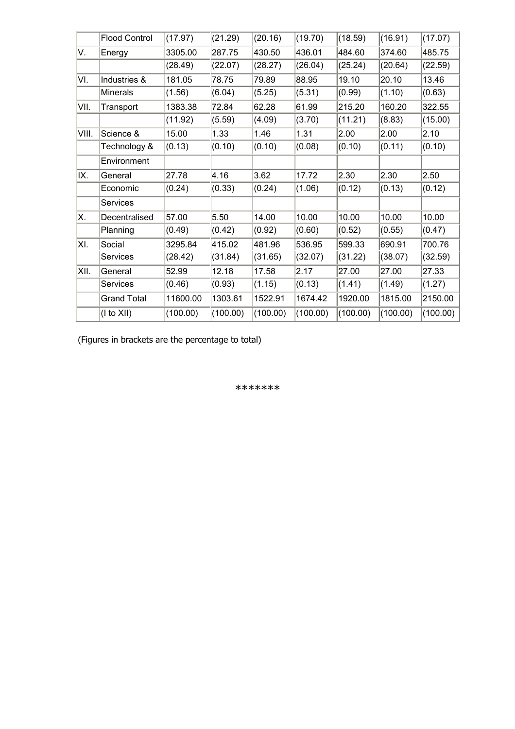|       | <b>Flood Control</b> | (17.97)  | (21.29)  | (20.16)  | (19.70)  | (18.59)  | (16.91)  | (17.07)  |
|-------|----------------------|----------|----------|----------|----------|----------|----------|----------|
| V.    | Energy               | 3305.00  | 287.75   | 430.50   | 436.01   | 484.60   | 374.60   | 485.75   |
|       |                      | (28.49)  | (22.07)  | (28.27)  | (26.04)  | (25.24)  | (20.64)  | (22.59)  |
| VI.   | Industries &         | 181.05   | 78.75    | 79.89    | 88.95    | 19.10    | 20.10    | 13.46    |
|       | <b>Minerals</b>      | (1.56)   | (6.04)   | (5.25)   | (5.31)   | (0.99)   | (1.10)   | (0.63)   |
| VII.  | Transport            | 1383.38  | 72.84    | 62.28    | 61.99    | 215.20   | 160.20   | 322.55   |
|       |                      | (11.92)  | (5.59)   | (4.09)   | (3.70)   | (11.21)  | (8.83)   | (15.00)  |
| VIII. | Science &            | 15.00    | 1.33     | 1.46     | 1.31     | 2.00     | 2.00     | 2.10     |
|       | Technology &         | (0.13)   | (0.10)   | (0.10)   | (0.08)   | (0.10)   | (0.11)   | (0.10)   |
|       | Environment          |          |          |          |          |          |          |          |
| IX.   | General              | 27.78    | 4.16     | 3.62     | 17.72    | 2.30     | 2.30     | 2.50     |
|       | Economic             | (0.24)   | (0.33)   | (0.24)   | (1.06)   | (0.12)   | (0.13)   | (0.12)   |
|       | Services             |          |          |          |          |          |          |          |
| X.    | Decentralised        | 57.00    | 5.50     | 14.00    | 10.00    | 10.00    | 10.00    | 10.00    |
|       | Planning             | (0.49)   | (0.42)   | (0.92)   | (0.60)   | (0.52)   | (0.55)   | (0.47)   |
| XI.   | Social               | 3295.84  | 415.02   | 481.96   | 536.95   | 599.33   | 690.91   | 700.76   |
|       | Services             | (28.42)  | (31.84)  | (31.65)  | (32.07)  | (31.22)  | (38.07)  | (32.59)  |
| XII.  | General              | 52.99    | 12.18    | 17.58    | 2.17     | 27.00    | 27.00    | 27.33    |
|       | Services             | (0.46)   | (0.93)   | (1.15)   | (0.13)   | (1.41)   | (1.49)   | (1.27)   |
|       | <b>Grand Total</b>   | 11600.00 | 1303.61  | 1522.91  | 1674.42  | 1920.00  | 1815.00  | 2150.00  |
|       | $($ l to $X$ II)     | (100.00) | (100.00) | (100.00) | (100.00) | (100.00) | (100.00) | (100.00) |

(Figures in brackets are the percentage to total)

\*\*\*\*\*\*\*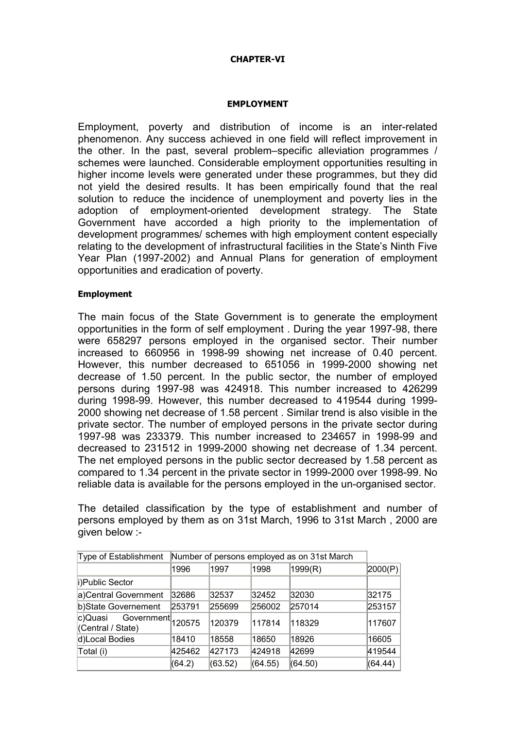### CHAPTER-VI

### EMPLOYMENT

Employment, poverty and distribution of income is an inter-related phenomenon. Any success achieved in one field will reflect improvement in the other. In the past, several problem–specific alleviation programmes / schemes were launched. Considerable employment opportunities resulting in higher income levels were generated under these programmes, but they did not yield the desired results. It has been empirically found that the real solution to reduce the incidence of unemployment and poverty lies in the adoption of employment-oriented development strategy. The State Government have accorded a high priority to the implementation of development programmes/ schemes with high employment content especially relating to the development of infrastructural facilities in the State's Ninth Five Year Plan (1997-2002) and Annual Plans for generation of employment opportunities and eradication of poverty.

### Employment

The main focus of the State Government is to generate the employment opportunities in the form of self employment . During the year 1997-98, there were 658297 persons employed in the organised sector. Their number increased to 660956 in 1998-99 showing net increase of 0.40 percent. However, this number decreased to 651056 in 1999-2000 showing net decrease of 1.50 percent. In the public sector, the number of employed persons during 1997-98 was 424918. This number increased to 426299 during 1998-99. However, this number decreased to 419544 during 1999- 2000 showing net decrease of 1.58 percent . Similar trend is also visible in the private sector. The number of employed persons in the private sector during 1997-98 was 233379. This number increased to 234657 in 1998-99 and decreased to 231512 in 1999-2000 showing net decrease of 1.34 percent. The net employed persons in the public sector decreased by 1.58 percent as compared to 1.34 percent in the private sector in 1999-2000 over 1998-99. No reliable data is available for the persons employed in the un-organised sector.

The detailed classification by the type of establishment and number of persons employed by them as on 31st March, 1996 to 31st March , 2000 are given below :-

| Type of Establishment                             | Number of persons employed as on 31st March |         |         |         |         |
|---------------------------------------------------|---------------------------------------------|---------|---------|---------|---------|
|                                                   | 1996                                        | 1997    | 1998    | 1999(R) | 2000(P) |
| i)Public Sector                                   |                                             |         |         |         |         |
| a)Central Government                              | 32686                                       | 32537   | 32452   | 32030   | 32175   |
| b)State Governement                               | 253791                                      | 255699  | 256002  | 257014  | 253157  |
| Government 120575<br>c)Quasi<br>(Central / State) |                                             | 120379  | 117814  | 118329  | 117607  |
| d)Local Bodies                                    | 18410                                       | 18558   | 18650   | 18926   | 16605   |
| Total (i)                                         | 425462                                      | 427173  | 424918  | 42699   | 419544  |
|                                                   | (64.2)                                      | (63.52) | (64.55) | (64.50) | (64.44) |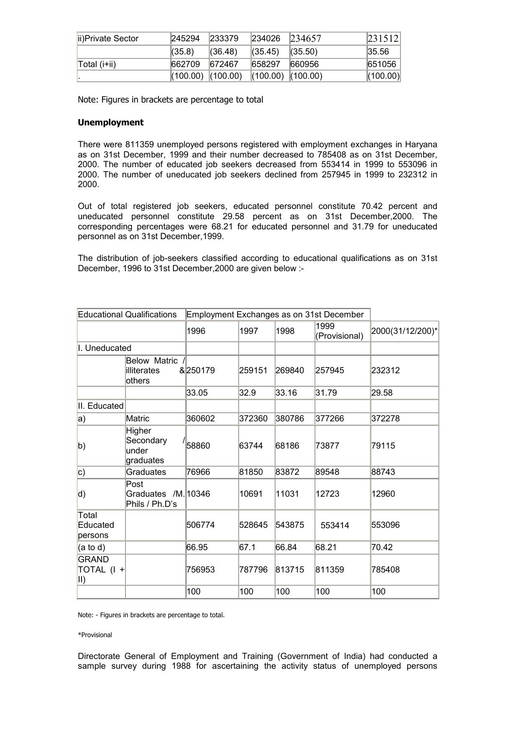| lii)Private Sector   | 245294                | 233379  | 234026                | 234657  | 231512   |
|----------------------|-----------------------|---------|-----------------------|---------|----------|
|                      | (35.8)                | (36.48) | (35.45)               | (35.50) | 35.56    |
| $\vert$ Total (i+ii) | 662709                | 672467  | 658297                | 660956  | 651056   |
|                      | $(100.00)$ $(100.00)$ |         | $(100.00)$ $(100.00)$ |         | (100.00) |

Note: Figures in brackets are percentage to total

#### Unemployment

There were 811359 unemployed persons registered with employment exchanges in Haryana as on 31st December, 1999 and their number decreased to 785408 as on 31st December, 2000. The number of educated job seekers decreased from 553414 in 1999 to 553096 in 2000. The number of uneducated job seekers declined from 257945 in 1999 to 232312 in 2000.

Out of total registered job seekers, educated personnel constitute 70.42 percent and uneducated personnel constitute 29.58 percent as on 31st December,2000. The corresponding percentages were 68.21 for educated personnel and 31.79 for uneducated personnel as on 31st December,1999.

The distribution of job-seekers classified according to educational qualifications as on 31st December, 1996 to 31st December,2000 are given below :-

| <b>Educational Qualifications</b><br>Employment Exchanges as on 31st December |                                               |         |        |        |                       |                  |
|-------------------------------------------------------------------------------|-----------------------------------------------|---------|--------|--------|-----------------------|------------------|
|                                                                               |                                               | 1996    | 1997   | 1998   | 1999<br>(Provisional) | 2000(31/12/200)* |
| I. Uneducated                                                                 |                                               |         |        |        |                       |                  |
|                                                                               | Below Matric<br>lilliterates<br>others        | &250179 | 259151 | 269840 | 257945                | 232312           |
|                                                                               |                                               | 33.05   | 32.9   | 33.16  | 31.79                 | 29.58            |
| II. Educated                                                                  |                                               |         |        |        |                       |                  |
| a)                                                                            | Matric                                        | 360602  | 372360 | 380786 | 377266                | 372278           |
| b)                                                                            | Higher<br>Secondary<br>lunder<br>graduates    | 58860   | 63744  | 68186  | 73877                 | 79115            |
| c)                                                                            | Graduates                                     | 76966   | 81850  | 83872  | 89548                 | 88743            |
| d)                                                                            | Post<br>Graduates /M. 10346<br>Phils / Ph.D's |         | 10691  | 11031  | 12723                 | 12960            |
| Total<br>Educated<br>persons                                                  |                                               | 506774  | 528645 | 543875 | 553414                | 553096           |
| $(a \text{ to } d)$                                                           |                                               | 66.95   | 67.1   | 66.84  | 68.21                 | 70.42            |
| GRAND<br>$\overline{A}$ TOTAL (1 +<br>$\parallel$ l)                          |                                               | 756953  | 787796 | 813715 | 811359                | 785408           |
|                                                                               |                                               | 100     | 100    | 100    | 100                   | 100              |

Note: - Figures in brackets are percentage to total.

#### \*Provisional

Directorate General of Employment and Training (Government of India) had conducted a sample survey during 1988 for ascertaining the activity status of unemployed persons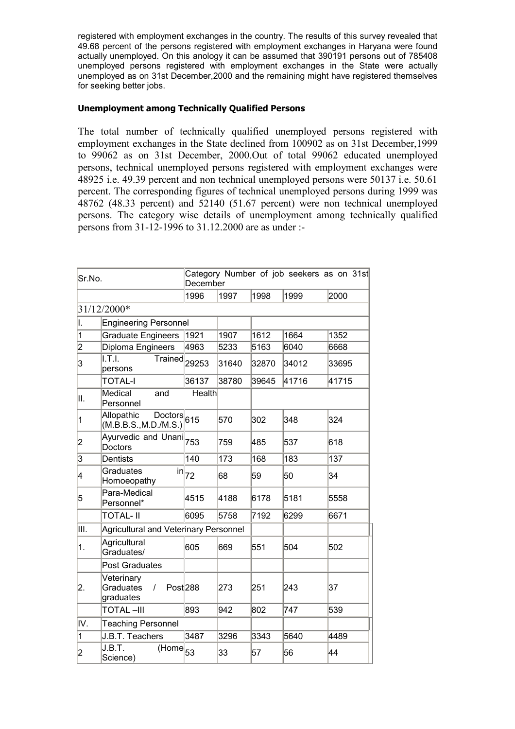registered with employment exchanges in the country. The results of this survey revealed that 49.68 percent of the persons registered with employment exchanges in Haryana were found actually unemployed. On this anology it can be assumed that 390191 persons out of 785408 unemployed persons registered with employment exchanges in the State were actually unemployed as on 31st December,2000 and the remaining might have registered themselves for seeking better jobs.

### Unemployment among Technically Qualified Persons

The total number of technically qualified unemployed persons registered with employment exchanges in the State declined from 100902 as on 31st December,1999 to 99062 as on 31st December, 2000.Out of total 99062 educated unemployed persons, technical unemployed persons registered with employment exchanges were 48925 i.e. 49.39 percent and non technical unemployed persons were 50137 i.e. 50.61 percent. The corresponding figures of technical unemployed persons during 1999 was 48762 (48.33 percent) and 52140 (51.67 percent) were non technical unemployed persons. The category wise details of unemployment among technically qualified persons from 31-12-1996 to 31.12.2000 are as under :-

| Sr.No.         |                                                                                | December      |       |       | Category Number of job seekers as on 31st |       |
|----------------|--------------------------------------------------------------------------------|---------------|-------|-------|-------------------------------------------|-------|
|                |                                                                                | 1996          | 1997  | 1998  | 1999                                      | 2000  |
|                | 31/12/2000*                                                                    |               |       |       |                                           |       |
| I.             | <b>Engineering Personnel</b>                                                   |               |       |       |                                           |       |
| 1              | <b>Graduate Engineers</b>                                                      | 1921          | 1907  | 1612  | 1664                                      | 1352  |
| $\overline{2}$ | Diploma Engineers                                                              | 4963          | 5233  | 5163  | 6040                                      | 6668  |
| 3              | II.T.I.<br><b>Trained</b><br>persons                                           | 29253         | 31640 | 32870 | 34012                                     | 33695 |
|                | <b>TOTAL-I</b>                                                                 | 36137         | 38780 | 39645 | 41716                                     | 41715 |
| Ш.             | Medical<br>and<br>Personnel                                                    | <b>Health</b> |       |       |                                           |       |
| 1              | Allopathic<br>$\overline{\text{Doctors}}\vert_{615}$<br>(M.B.B.S., M.D./M.S.)  |               | 570   | 302   | 348                                       | 324   |
| 2              | Ayurvedic and Unani <sub>753</sub><br>Doctors                                  |               | 759   | 485   | 537                                       | 618   |
| 3              | Dentists                                                                       | 140           | 173   | 168   | 183                                       | 137   |
| 4              | Graduates<br>$\mathsf{in}$<br>Homoeopathy                                      | 72            | 68    | 59    | 50                                        | 34    |
| 5              | Para-Medical<br>Personnel*                                                     | 4515          | 4188  | 6178  | 5181                                      | 5558  |
|                | TOTAL- II                                                                      | 6095          | 5758  | 7192  | 6299                                      | 6671  |
| III.           | Agricultural and Veterinary Personnel                                          |               |       |       |                                           |       |
| 1.             | Agricultural<br>Graduates/                                                     | 605           | 669   | 551   | 504                                       | 502   |
|                | Post Graduates                                                                 |               |       |       |                                           |       |
| 2.             | Veterinary<br><b>Graduates</b><br>$\prime$<br>Post <sub>288</sub><br>graduates |               | 273   | 251   | 243                                       | 37    |
|                | TOTAL –III                                                                     | 893           | 942   | 802   | 747                                       | 539   |
| IV.            | <b>Teaching Personnel</b>                                                      |               |       |       |                                           |       |
| 1              | J.B.T. Teachers                                                                | 3487          | 3296  | 3343  | 5640                                      | 4489  |
| 2              | J.B.T.<br>$\overline{\text{(Home)}}$ <sub>53</sub><br>Science)                 |               | 33    | 57    | 56                                        | 44    |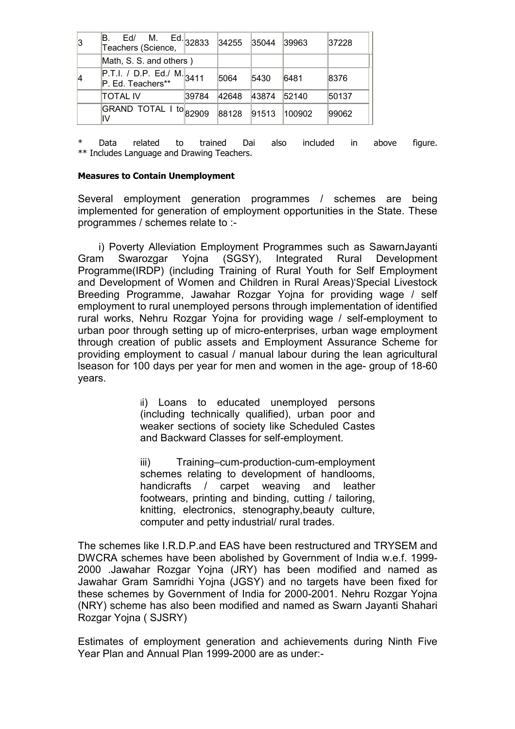| 3  | М.<br>Ed/<br>Teachers (Science,                              | $Ed.$ 32833 | 34255 | 35044 | 39963  | 37228 |
|----|--------------------------------------------------------------|-------------|-------|-------|--------|-------|
|    | Math, S. S. and others)                                      |             |       |       |        |       |
| 14 | $\overline{P.T.l. / D.P.}$ Ed./ M. 3411<br>P. Ed. Teachers** |             | 5064  | 5430  | 6481   | 8376  |
|    | TOTAL IV                                                     | 39784       | 42648 | 43874 | 52140  | 50137 |
|    | GRAND TOTAL I to 82909                                       |             | 88128 | 91513 | 100902 | 99062 |

Data related to trained Dai also included in above figure. \*\* Includes Language and Drawing Teachers.

### Measures to Contain Unemployment

Several employment generation programmes / schemes are being implemented for generation of employment opportunities in the State. These programmes / schemes relate to :-

 i) Poverty Alleviation Employment Programmes such as SawarnJayanti Gram Swarozgar Yojna (SGSY), Integrated Rural Development Programme(IRDP) (including Training of Rural Youth for Self Employment and Development of Women and Children in Rural Areas)'Special Livestock Breeding Programme, Jawahar Rozgar Yojna for providing wage / self employment to rural unemployed persons through implementation of identified rural works, Nehru Rozgar Yojna for providing wage / self-employment to urban poor through setting up of micro-enterprises, urban wage employment through creation of public assets and Employment Assurance Scheme for providing employment to casual / manual labour during the lean agricultural lseason for 100 days per year for men and women in the age- group of 18-60 years.

> ii) Loans to educated unemployed persons (including technically qualified), urban poor and weaker sections of society like Scheduled Castes and Backward Classes for self-employment.

> iii) Training–cum-production-cum-employment schemes relating to development of handlooms, handicrafts / carpet weaving and leather footwears, printing and binding, cutting / tailoring, knitting, electronics, stenography,beauty culture, computer and petty industrial/ rural trades.

The schemes like I.R.D.P.and EAS have been restructured and TRYSEM and DWCRA schemes have been abolished by Government of India w.e.f. 1999- 2000 .Jawahar Rozgar Yojna (JRY) has been modified and named as Jawahar Gram Samridhi Yojna (JGSY) and no targets have been fixed for these schemes by Government of India for 2000-2001. Nehru Rozgar Yojna (NRY) scheme has also been modified and named as Swarn Jayanti Shahari Rozgar Yojna ( SJSRY)

Estimates of employment generation and achievements during Ninth Five Year Plan and Annual Plan 1999-2000 are as under:-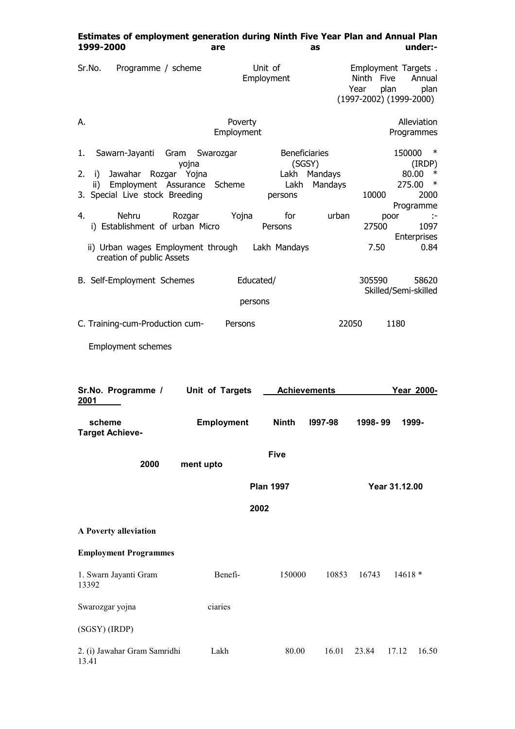|                                                                                                                                                                                                                                                                                                  | are                   | Estimates of employment generation during Ninth Five Year Plan and Annual Plan<br>as |                             |                                | under:-                                                                                                                    |
|--------------------------------------------------------------------------------------------------------------------------------------------------------------------------------------------------------------------------------------------------------------------------------------------------|-----------------------|--------------------------------------------------------------------------------------|-----------------------------|--------------------------------|----------------------------------------------------------------------------------------------------------------------------|
| Sr.No.<br>Programme / scheme                                                                                                                                                                                                                                                                     |                       | Unit of<br>Employment                                                                |                             | Ninth Five<br>plan<br>Year     | Employment Targets.<br>Annual<br>plan<br>$(1997 - 2002) (1999 - 2000)$                                                     |
| А.                                                                                                                                                                                                                                                                                               | Poverty<br>Employment |                                                                                      |                             |                                | Alleviation<br>Programmes                                                                                                  |
| Sawarn-Jayanti<br>Gram<br>1.<br>yojna<br>2.<br>Jawahar<br>Rozgar Yojna<br>i)<br>Employment Assurance Scheme<br>ii)<br>3. Special Live stock Breeding<br>4.<br>Nehru<br>Rozgar<br>i) Establishment of urban Micro<br>ii) Urban wages Employment through Lakh Mandays<br>creation of public Assets | Swarozgar<br>Yojna    | <b>Beneficiaries</b><br>(SGSY)<br>Lakh<br>Lakh<br>persons<br>for<br>Persons          | Mandays<br>Mandays<br>urban | 10000<br>poor<br>27500<br>7.50 | $\ast$<br>150000<br>(IRDP)<br>80.00<br>$\ast$<br>275.00<br>$\ast$<br>2000<br>Programme<br>÷<br>1097<br>Enterprises<br>0.84 |
| B. Self-Employment Schemes                                                                                                                                                                                                                                                                       | Educated/             |                                                                                      |                             | 305590                         | 58620<br>Skilled/Semi-skilled                                                                                              |
|                                                                                                                                                                                                                                                                                                  | persons               |                                                                                      |                             |                                |                                                                                                                            |
| C. Training-cum-Production cum-                                                                                                                                                                                                                                                                  | Persons               |                                                                                      | 22050                       |                                | 1180                                                                                                                       |
| <b>Employment schemes</b>                                                                                                                                                                                                                                                                        |                       |                                                                                      |                             |                                |                                                                                                                            |
|                                                                                                                                                                                                                                                                                                  |                       |                                                                                      |                             |                                |                                                                                                                            |
| Sr.No. Programme /<br>2001                                                                                                                                                                                                                                                                       | Unit of Targets       | <b>Achievements</b>                                                                  |                             |                                | Year 2000-                                                                                                                 |
| scheme<br><b>Target Achieve-</b>                                                                                                                                                                                                                                                                 | <b>Employment</b>     | <b>Ninth</b>                                                                         | 1997-98                     | 1998-99                        | 1999-                                                                                                                      |
| 2000                                                                                                                                                                                                                                                                                             | ment upto             | <b>Five</b>                                                                          |                             |                                |                                                                                                                            |
|                                                                                                                                                                                                                                                                                                  |                       | <b>Plan 1997</b>                                                                     |                             |                                | Year 31.12.00                                                                                                              |
|                                                                                                                                                                                                                                                                                                  |                       | 2002                                                                                 |                             |                                |                                                                                                                            |
| A Poverty alleviation                                                                                                                                                                                                                                                                            |                       |                                                                                      |                             |                                |                                                                                                                            |
| <b>Employment Programmes</b>                                                                                                                                                                                                                                                                     |                       |                                                                                      |                             |                                |                                                                                                                            |
| 1. Swarn Jayanti Gram<br>13392                                                                                                                                                                                                                                                                   | Benefi-               | 150000                                                                               | 10853                       | 16743                          | $14618*$                                                                                                                   |
| Swarozgar yojna                                                                                                                                                                                                                                                                                  | ciaries               |                                                                                      |                             |                                |                                                                                                                            |
| (SGSY) (IRDP)                                                                                                                                                                                                                                                                                    |                       |                                                                                      |                             |                                |                                                                                                                            |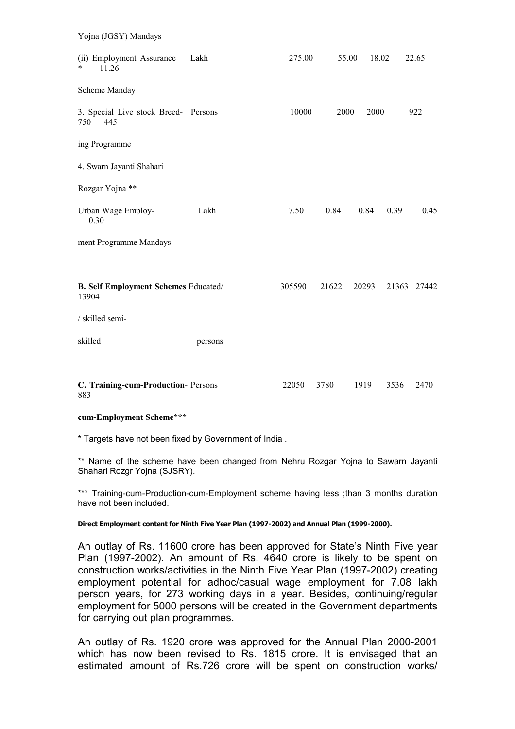| Yojna (JGSY) Mandays                                 |         |        |       |       |      |             |
|------------------------------------------------------|---------|--------|-------|-------|------|-------------|
| (ii) Employment Assurance<br>$\ast$<br>11.26         | Lakh    | 275.00 | 55.00 | 18.02 |      | 22.65       |
| Scheme Manday                                        |         |        |       |       |      |             |
| 3. Special Live stock Breed- Persons<br>750<br>445   |         | 10000  | 2000  | 2000  |      | 922         |
| ing Programme                                        |         |        |       |       |      |             |
| 4. Swarn Jayanti Shahari                             |         |        |       |       |      |             |
| Rozgar Yojna **                                      |         |        |       |       |      |             |
| Urban Wage Employ-<br>0.30                           | Lakh    | 7.50   | 0.84  | 0.84  | 0.39 | 0.45        |
| ment Programme Mandays                               |         |        |       |       |      |             |
|                                                      |         |        |       |       |      |             |
| <b>B. Self Employment Schemes Educated/</b><br>13904 |         | 305590 | 21622 | 20293 |      | 21363 27442 |
| / skilled semi-                                      |         |        |       |       |      |             |
| skilled                                              | persons |        |       |       |      |             |
|                                                      |         |        |       |       |      |             |
| C. Training-cum-Production- Persons<br>883           |         | 22050  | 3780  | 1919  | 3536 | 2470        |

#### cum-Employment Scheme\*\*\*

\* Targets have not been fixed by Government of India .

\*\* Name of the scheme have been changed from Nehru Rozgar Yojna to Sawarn Jayanti Shahari Rozgr Yojna (SJSRY).

\*\*\* Training-cum-Production-cum-Employment scheme having less ;than 3 months duration have not been included.

#### Direct Employment content for Ninth Five Year Plan (1997-2002) and Annual Plan (1999-2000).

An outlay of Rs. 11600 crore has been approved for State's Ninth Five year Plan (1997-2002). An amount of Rs. 4640 crore is likely to be spent on construction works/activities in the Ninth Five Year Plan (1997-2002) creating employment potential for adhoc/casual wage employment for 7.08 lakh person years, for 273 working days in a year. Besides, continuing/regular employment for 5000 persons will be created in the Government departments for carrying out plan programmes.

An outlay of Rs. 1920 crore was approved for the Annual Plan 2000-2001 which has now been revised to Rs. 1815 crore. It is envisaged that an estimated amount of Rs.726 crore will be spent on construction works/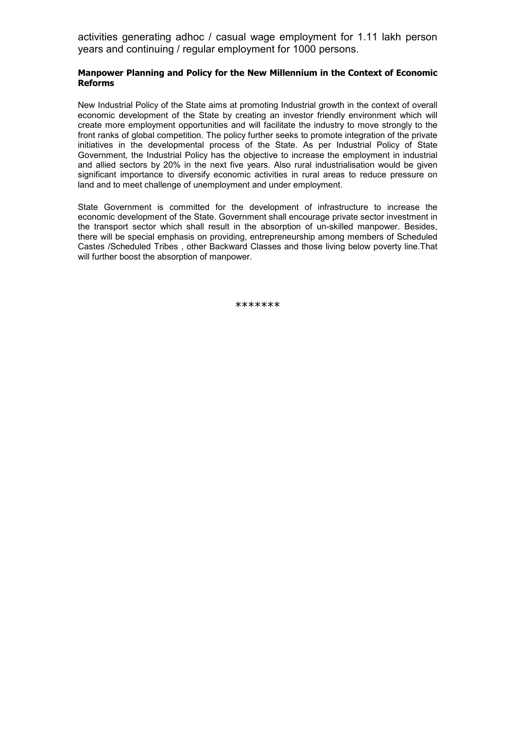activities generating adhoc / casual wage employment for 1.11 lakh person years and continuing / regular employment for 1000 persons.

### Manpower Planning and Policy for the New Millennium in the Context of Economic Reforms

New Industrial Policy of the State aims at promoting Industrial growth in the context of overall economic development of the State by creating an investor friendly environment which will create more employment opportunities and will facilitate the industry to move strongly to the front ranks of global competition. The policy further seeks to promote integration of the private initiatives in the developmental process of the State. As per Industrial Policy of State Government, the Industrial Policy has the objective to increase the employment in industrial and allied sectors by 20% in the next five years. Also rural industrialisation would be given significant importance to diversify economic activities in rural areas to reduce pressure on land and to meet challenge of unemployment and under employment.

State Government is committed for the development of infrastructure to increase the economic development of the State. Government shall encourage private sector investment in the transport sector which shall result in the absorption of un-skilled manpower. Besides, there will be special emphasis on providing, entrepreneurship among members of Scheduled Castes /Scheduled Tribes , other Backward Classes and those living below poverty line.That will further boost the absorption of manpower.

\*\*\*\*\*\*\*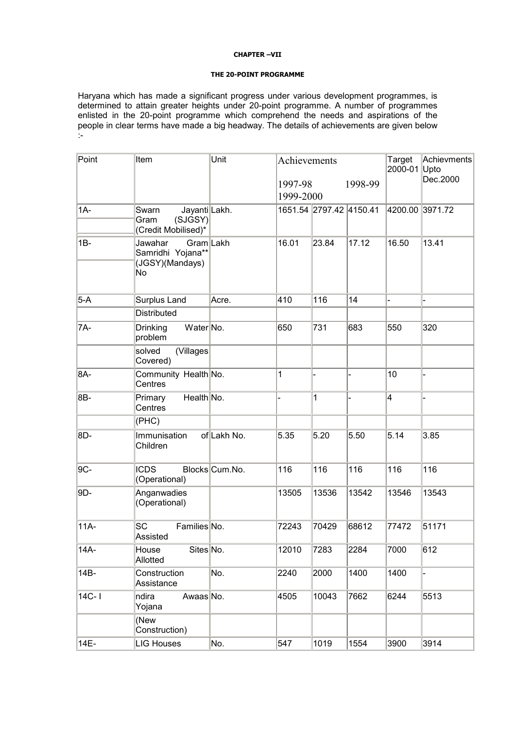#### CHAPTER –VII

#### THE 20-POINT PROGRAMME

Haryana which has made a significant progress under various development programmes, is determined to attain greater heights under 20-point programme. A number of programmes enlisted in the 20-point programme which comprehend the needs and aspirations of the people in clear terms have made a big headway. The details of achievements are given below :-

| Point     | Unit<br>Item                                                       |                |                      | Achievements            | Target<br>2000-01 Upto | Achievments<br>Dec.2000 |       |
|-----------|--------------------------------------------------------------------|----------------|----------------------|-------------------------|------------------------|-------------------------|-------|
|           |                                                                    |                | 1997-98<br>1999-2000 |                         | 1998-99                |                         |       |
| $1A-$     | Jayanti Lakh.<br>Swarn<br>(SJGSY)<br>Gram<br>(Credit Mobilised)*   |                |                      | 1651.54 2797.42 4150.41 |                        | 4200.00 3971.72         |       |
| $1B -$    | Gram Lakh<br>Jawahar<br>Samridhi Yojana**<br>(JGSY)(Mandays)<br>No |                | 16.01                | 23.84                   | 17.12                  | 16.50                   | 13.41 |
| $5-A$     | Surplus Land                                                       | Acre.          | 410                  | 116                     | 14                     |                         |       |
|           | <b>Distributed</b>                                                 |                |                      |                         |                        |                         |       |
| 7A-       | Water No.<br>Drinking<br>problem                                   |                | 650                  | 731                     | 683                    | 550                     | 320   |
|           | solved<br>(Villages)<br>Covered)                                   |                |                      |                         |                        |                         |       |
| 8A-       | Community Health No.<br>Centres                                    |                | 1                    |                         |                        | 10                      |       |
| 8B-       | Health No.<br>Primary<br>Centres                                   |                |                      | 1                       |                        | 4                       |       |
|           | (PHC)                                                              |                |                      |                         |                        |                         |       |
| 8D-       | Immunisation<br>Children                                           | of Lakh No.    | 5.35                 | 5.20                    | 5.50                   | 5.14                    | 3.85  |
| 9C-       | <b>ICDS</b><br>(Operational)                                       | Blocks Cum.No. | 116                  | 116                     | 116                    | 116                     | 116   |
| 9D-       | Anganwadies<br>(Operational)                                       |                | 13505                | 13536                   | 13542                  | 13546                   | 13543 |
| 11A-      | <b>SC</b><br>Families No.<br>Assisted                              |                | 72243                | 70429                   | 68612                  | 77472                   | 51171 |
| 14A-      | Sites No.<br>House<br>Allotted                                     |                | 12010                | 7283                    | 2284                   | 7000                    | 612   |
| 14B-      | Construction<br>Assistance                                         | No.            | 2240                 | 2000                    | 1400                   | 1400                    |       |
| $14C - I$ | ndira<br>Awaas No.<br>Yojana                                       |                | 4505                 | 10043                   | 7662                   | 6244                    | 5513  |
|           | (New<br>Construction)                                              |                |                      |                         |                        |                         |       |
| 14E-      | <b>LIG Houses</b>                                                  | No.            | 547                  | 1019                    | 1554                   | 3900                    | 3914  |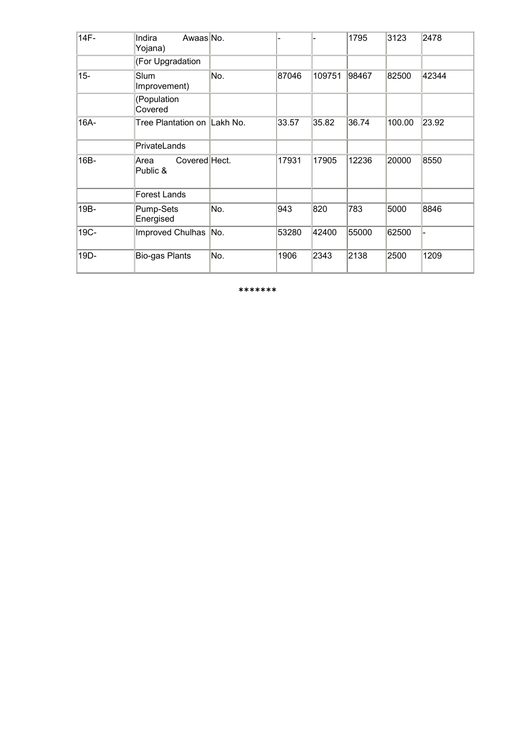| 14F-   | Indira<br>Awaas No.<br>Yojana)    |     |       |        | 1795  | 3123   | 2478  |
|--------|-----------------------------------|-----|-------|--------|-------|--------|-------|
|        | (For Upgradation                  |     |       |        |       |        |       |
| $15 -$ | Slum<br>Improvement)              | No. | 87046 | 109751 | 98467 | 82500  | 42344 |
|        | (Population<br>Covered            |     |       |        |       |        |       |
| 16A-   | Tree Plantation on  Lakh No.      |     | 33.57 | 35.82  | 36.74 | 100.00 | 23.92 |
|        | PrivateLands                      |     |       |        |       |        |       |
| 16B-   | Covered Hect.<br>Area<br>Public & |     | 17931 | 17905  | 12236 | 20000  | 8550  |
|        | Forest Lands                      |     |       |        |       |        |       |
| 19B-   | Pump-Sets<br>Energised            | No. | 943   | 820    | 783   | 5000   | 8846  |
| 19C-   | Improved Chulhas                  | No. | 53280 | 42400  | 55000 | 62500  |       |
| 19D-   | Bio-gas Plants                    | No. | 1906  | 2343   | 2138  | 2500   | 1209  |

\*\*\*\*\*\*\*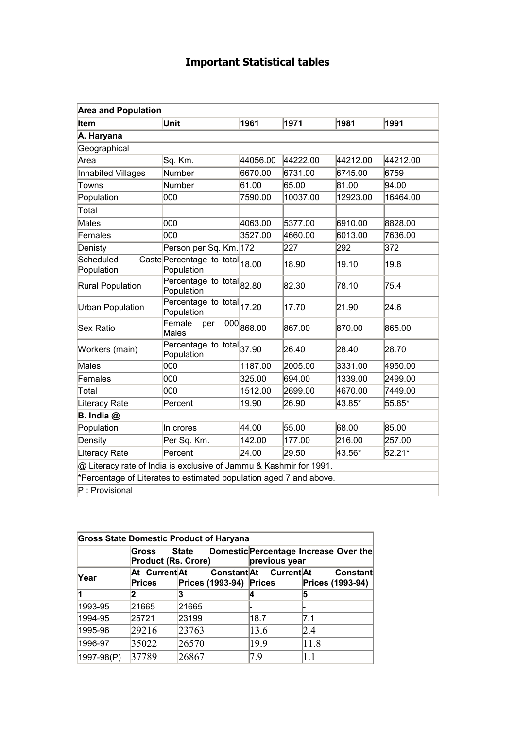# Important Statistical tables

| <b>Area and Population</b>                                         |                                               |                         |          |          |          |
|--------------------------------------------------------------------|-----------------------------------------------|-------------------------|----------|----------|----------|
| <b>Item</b>                                                        | Unit                                          | 1961                    | 1971     | 1981     | 1991     |
| A. Haryana                                                         |                                               |                         |          |          |          |
| Geographical                                                       |                                               |                         |          |          |          |
| Area                                                               | Sq. Km.                                       | 44056.00                | 44222.00 | 44212.00 | 44212.00 |
| <b>Inhabited Villages</b>                                          | Number                                        | 6670.00                 | 6731.00  | 6745.00  | 6759     |
| Towns                                                              | Number                                        | 61.00                   | 65.00    | 81.00    | 94.00    |
| Population                                                         | 000                                           | 7590.00                 | 10037.00 | 12923.00 | 16464.00 |
| Total                                                              |                                               |                         |          |          |          |
| Males                                                              | 000                                           | 4063.00                 | 5377.00  | 6910.00  | 8828.00  |
| Females                                                            | 000                                           | 3527.00                 | 4660.00  | 6013.00  | 7636.00  |
| Denisty                                                            | Person per Sq. Km. 172                        |                         | 227      | 292      | 372      |
| Scheduled<br>Population                                            | Caste Percentage to total 18.00<br>Population |                         | 18.90    | 19.10    | 19.8     |
| <b>Rural Population</b>                                            | Percentage to total 82.80<br>Population       |                         | 82.30    | 78.10    | 75.4     |
| <b>Urban Population</b>                                            | Percentage to total 17.20<br>Population       |                         | 17.70    | 21.90    | 24.6     |
| Sex Ratio                                                          | Female<br>per<br><b>Males</b>                 | $\overline{000}$ 868.00 | 867.00   | 870.00   | 865.00   |
| Workers (main)                                                     | Percentage to total 37.90<br>Population       |                         | 26.40    | 28.40    | 28.70    |
| Males                                                              | 000                                           | 1187.00                 | 2005.00  | 3331.00  | 4950.00  |
| Females                                                            | 000                                           | 325.00                  | 694.00   | 1339.00  | 2499.00  |
| Total                                                              | 000                                           | 1512.00                 | 2699.00  | 4670.00  | 7449.00  |
| Literacy Rate                                                      | Percent                                       | 19.90                   | 26.90    | 43.85*   | 55.85*   |
| $B.$ India $@$                                                     |                                               |                         |          |          |          |
| Population                                                         | In crores                                     | 44.00                   | 55.00    | 68.00    | 85.00    |
| Density                                                            | Per Sq. Km.                                   | 142.00                  | 177.00   | 216.00   | 257.00   |
| Literacy Rate                                                      | Percent                                       | 24.00                   | 29.50    | 43.56*   | 52.21*   |
| @ Literacy rate of India is exclusive of Jammu & Kashmir for 1991. |                                               |                         |          |          |          |
| *Percentage of Literates to estimated population aged 7 and above. |                                               |                         |          |          |          |
| $P:$ Provisional                                                   |                                               |                         |          |          |          |

|            | <b>Gross State Domestic Product of Haryana</b> |                         |                        |                                       |
|------------|------------------------------------------------|-------------------------|------------------------|---------------------------------------|
|            | Gross<br><b>Product (Rs. Crore)</b>            | <b>State</b>            | previous year          | Domestic Percentage Increase Over the |
| Year       | At Current At<br>Prices                        | Prices (1993-94) Prices | Constant At Current At | <b>Constant</b><br>Prices (1993-94)   |
|            | 2                                              | 3                       |                        | 5                                     |
| 1993-95    | 21665                                          | 21665                   |                        |                                       |
| 1994-95    | 25721                                          | 23199                   | 18.7                   | 7.1                                   |
| 1995-96    | 29216                                          | 23763                   | 13.6                   | 2.4                                   |
| 1996-97    | 35022                                          | 26570                   | 19.9                   | 11.8                                  |
| 1997-98(P) | 37789                                          | 26867                   | 7.9                    | 1.1                                   |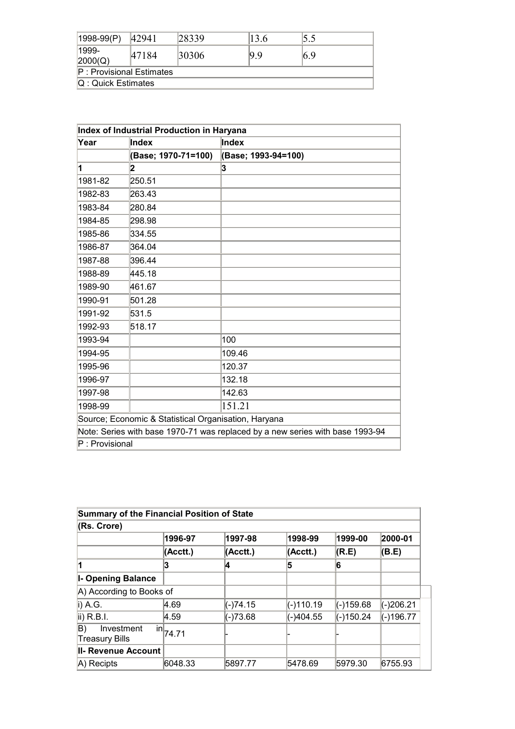| $ 1998-99(P) $             | 142941               | 28339 | 13.6 |     |  |  |
|----------------------------|----------------------|-------|------|-----|--|--|
| $ 1999-$<br>2000(Q)        | 47184                | 30306 | 9.9  | 6.9 |  |  |
| $P:$ Provisional Estimates |                      |       |      |     |  |  |
|                            | $Q:$ Quick Estimates |       |      |     |  |  |

| Index of Industrial Production in Haryana |                                                      |                                                                               |  |  |
|-------------------------------------------|------------------------------------------------------|-------------------------------------------------------------------------------|--|--|
| Year                                      | Index                                                | Index                                                                         |  |  |
|                                           | (Base; 1970-71=100)                                  | (Base; 1993-94=100)                                                           |  |  |
| 1                                         | 2                                                    | 3                                                                             |  |  |
| 1981-82                                   | 250.51                                               |                                                                               |  |  |
| 1982-83                                   | 263.43                                               |                                                                               |  |  |
| 1983-84                                   | 280.84                                               |                                                                               |  |  |
| 1984-85                                   | 298.98                                               |                                                                               |  |  |
| 1985-86                                   | 334.55                                               |                                                                               |  |  |
| 1986-87                                   | 364.04                                               |                                                                               |  |  |
| 1987-88                                   | 396.44                                               |                                                                               |  |  |
| 1988-89                                   | 445.18                                               |                                                                               |  |  |
| 1989-90                                   | 461.67                                               |                                                                               |  |  |
| 1990-91                                   | 501.28                                               |                                                                               |  |  |
| 1991-92                                   | 531.5                                                |                                                                               |  |  |
| 1992-93                                   | 518.17                                               |                                                                               |  |  |
| 1993-94                                   |                                                      | 100                                                                           |  |  |
| 1994-95                                   |                                                      | 109.46                                                                        |  |  |
| 1995-96                                   |                                                      | 120.37                                                                        |  |  |
| 1996-97                                   |                                                      | 132.18                                                                        |  |  |
| 1997-98                                   |                                                      | 142.63                                                                        |  |  |
| 1998-99                                   |                                                      | 151.21                                                                        |  |  |
|                                           | Source; Economic & Statistical Organisation, Haryana |                                                                               |  |  |
|                                           |                                                      | Note: Series with base 1970-71 was replaced by a new series with base 1993-94 |  |  |
| P: Provisional                            |                                                      |                                                                               |  |  |

| <b>Summary of the Financial Position of State</b> |              |            |              |           |           |
|---------------------------------------------------|--------------|------------|--------------|-----------|-----------|
| (Rs. Crore)                                       |              |            |              |           |           |
|                                                   | 1996-97      | 1997-98    | 1998-99      | 1999-00   | 2000-01   |
|                                                   | (Acctt.)     | (Acctt.)   | $ $ (Acctt.) | (R.E)     | (B.E)     |
|                                                   |              | 4          | 5            | 6         |           |
| <b>I- Opening Balance</b>                         |              |            |              |           |           |
| A) According to Books of                          |              |            |              |           |           |
| $i)$ A.G.                                         | 4.69         | (-)74.15   | (-)110.19    | (-)159.68 | (-)206.21 |
| ii) R.B.I.                                        | 4.59         | $(-)73.68$ | $(-)404.55$  | (-)150.24 | (-)196.77 |
| Investment<br>B)<br><b>Treasury Bills</b>         | $\ln  74.71$ |            |              |           |           |
| <b>II- Revenue Account</b>                        |              |            |              |           |           |
| $ A $ Recipts                                     | 6048.33      | 5897.77    | 5478.69      | 5979.30   | 6755.93   |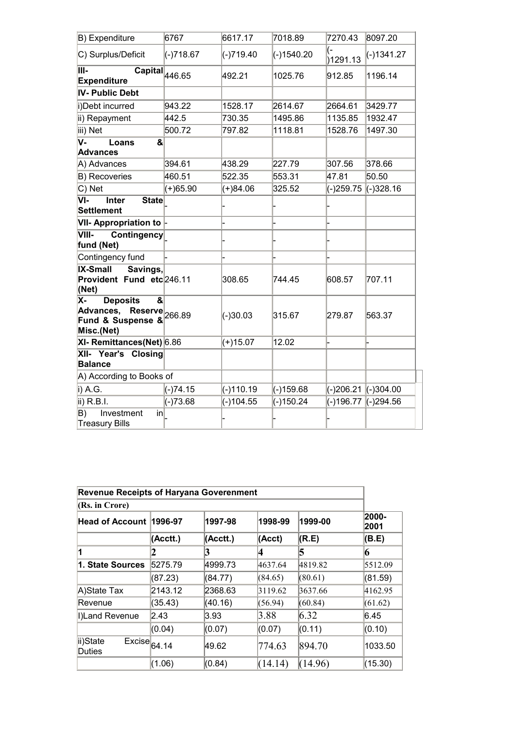| B) Expenditure                                                                    | 6767        | 6617.17     | 7018.89     | 7270.43                  | 8097.20      |
|-----------------------------------------------------------------------------------|-------------|-------------|-------------|--------------------------|--------------|
| C) Surplus/Deficit                                                                | $(-)718.67$ | (-)719.40   | (-)1540.20  | <sub>(-</sub><br>1291.13 | $(-)1341.27$ |
| III-<br>$\overline{\text{Capital}}_{\vert 446.65}$<br><b>Expenditure</b>          |             | 492.21      | 1025.76     | 912.85                   | 1196.14      |
| IV- Public Debt                                                                   |             |             |             |                          |              |
| i)Debt incurred                                                                   | 943.22      | 1528.17     | 2614.67     | 2664.61                  | 3429.77      |
| ii) Repayment                                                                     | 442.5       | 730.35      | 1495.86     | 1135.85                  | 1932.47      |
| iii) Net                                                                          | 500.72      | 797.82      | 1118.81     | 1528.76                  | 1497.30      |
| V-<br>&<br>Loans<br><b>Advances</b>                                               |             |             |             |                          |              |
| A) Advances                                                                       | 394.61      | 438.29      | 227.79      | 307.56                   | 378.66       |
| <b>B) Recoveries</b>                                                              | 460.51      | 522.35      | 553.31      | 47.81                    | 50.50        |
| C) Net                                                                            | $(+)65.90$  | $(+)84.06$  | 325.52      | (-)259.75                | $(-)328.16$  |
| $\overline{\mathsf{VI}^-}$<br><b>Inter</b><br><b>State</b><br><b>Settlement</b>   |             |             |             |                          |              |
| <b>VII- Appropriation to</b>                                                      |             |             |             |                          |              |
| VIII-<br><b>Contingency</b><br>fund (Net)                                         |             |             |             |                          |              |
| Contingency fund                                                                  |             |             |             |                          |              |
| <b>IX-Small</b><br>Savings,<br>Provident Fund etc 246.11<br>(Net)                 |             | 308.65      | 744.45      | 608.57                   | 707.11       |
| X-<br><b>Deposits</b><br>&<br>Advances,<br>Advances, Reserve 266.89<br>Misc.(Net) |             | $(-)30.03$  | 315.67      | 279.87                   | 563.37       |
| XI- Remittances(Net) 6.86                                                         |             | $(+)15.07$  | 12.02       |                          |              |
| XII- Year's Closing<br><b>Balance</b>                                             |             |             |             |                          |              |
| A) According to Books of                                                          |             |             |             |                          |              |
| i) A.G.                                                                           | $(-)74.15$  | $(-)110.19$ | $(-)159.68$ | (-)206.21 (-)304.00      |              |
| ii) R.B.I.                                                                        | $(-)73.68$  | $(-)104.55$ | $(-)150.24$ | (-)196.77                | (-)294.56    |
| B)<br>Investment<br>$\mathsf{in}$<br><b>Treasury Bills</b>                        |             |             |             |                          |              |

| <b>Revenue Receipts of Haryana Goverenment</b>                             |          |          |         |         |               |
|----------------------------------------------------------------------------|----------|----------|---------|---------|---------------|
| (Rs. in Crore)                                                             |          |          |         |         |               |
| Head of Account                                                            | 1996-97  | 1997-98  | 1998-99 | 1999-00 | 2000-<br>2001 |
|                                                                            | (Acctt.) | (Acctt.) | (Acct)  | (R.E)   | (B.E)         |
| 1                                                                          |          | 3        | 14      | 15      | 16            |
| 1. State Sources                                                           | 5275.79  | 4999.73  | 4637.64 | 4819.82 | 5512.09       |
|                                                                            | (87.23)  | (84.77)  | (84.65) | (80.61) | (81.59)       |
| A)State Tax                                                                | 2143.12  | 2368.63  | 3119.62 | 3637.66 | 4162.95       |
| Revenue                                                                    | (35.43)  | (40.16)  | (56.94) | (60.84) | (61.62)       |
| I)Land Revenue                                                             | 2.43     | 3.93     | 3.88    | 6.32    | 6.45          |
|                                                                            | (0.04)   | (0.07)   | (0.07)  | (0.11)  | (0.10)        |
| ii)State<br>$\overline{\mathsf{Exc}}$ ise $\big _{64.14}$<br><b>Duties</b> |          | 49.62    | 774.63  | 894.70  | 1033.50       |
|                                                                            | (1.06)   | (0.84)   | (14.14) | (14.96) | (15.30)       |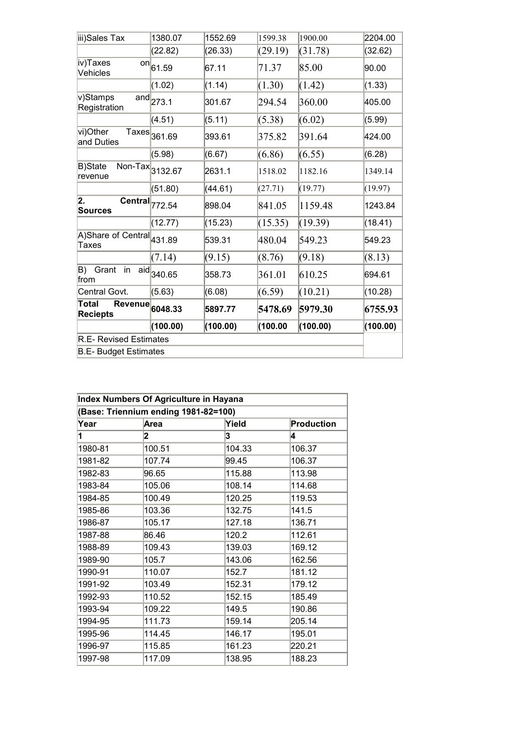| iii)Sales Tax                                                         | 1380.07                              | 1552.69  | 1599.38  | 1900.00  | 2204.00  |
|-----------------------------------------------------------------------|--------------------------------------|----------|----------|----------|----------|
|                                                                       | (22.82)                              | (26.33)  | (29.19)  | (31.78)  | (32.62)  |
| iv)Taxes<br>Vehicles                                                  | $\overline{on} _{61.59}$             | 67.11    | 71.37    | 85.00    | 90.00    |
|                                                                       | (1.02)                               | (1.14)   | (1.30)   | (1.42)   | (1.33)   |
| v)Stamps<br>Registration                                              | $\overline{\text{and}}_{273.1}$      | 301.67   | 294.54   | 360.00   | 405.00   |
|                                                                       | (4.51)                               | (5.11)   | (5.38)   | (6.02)   | (5.99)   |
| vi)Other<br>and Duties                                                | $\overline{\mathsf{Taxes}}_{361.69}$ | 393.61   | 375.82   | 391.64   | 424.00   |
|                                                                       | (5.98)                               | (6.67)   | (6.86)   | (6.55)   | (6.28)   |
| $\overline{\text{Non-Tax}}$ 3132.67<br><b>B)State</b><br>revenue      |                                      | 2631.1   | 1518.02  | 1182.16  | 1349.14  |
|                                                                       | (51.80)                              | (44.61)  | (27.71)  | (19.77)  | (19.97)  |
| 2.<br>$\overline{\text{Central}}$ <sub>772.54</sub><br><b>Sources</b> |                                      | 898.04   | 841.05   | 1159.48  | 1243.84  |
|                                                                       | (12.77)                              | (15.23)  | (15.35)  | (19.39)  | (18.41)  |
| A)Share of Central 431.89<br>Taxes                                    |                                      | 539.31   | 480.04   | 549.23   | 549.23   |
|                                                                       | (7.14)                               | (9.15)   | (8.76)   | (9.18)   | (8.13)   |
| B)<br>Grant<br>in<br>aid<br>from                                      | 340.65                               | 358.73   | 361.01   | 610.25   | 694.61   |
| Central Govt.                                                         | (5.63)                               | (6.08)   | (6.59)   | (10.21)  | (10.28)  |
| Total<br><b>Revenue</b><br><b>Reciepts</b>                            | 6048.33                              | 5897.77  | 5478.69  | 5979.30  | 6755.93  |
|                                                                       | (100.00)                             | (100.00) | (100.00) | (100.00) | (100.00) |
| <b>R.E- Revised Estimates</b>                                         |                                      |          |          |          |          |
| <b>B.E- Budget Estimates</b>                                          |                                      |          |          |          |          |

| Index Numbers Of Agriculture in Hayana |        |        |            |  |  |  |  |
|----------------------------------------|--------|--------|------------|--|--|--|--|
| (Base: Triennium ending 1981-82=100)   |        |        |            |  |  |  |  |
| Year                                   | Area   | Yield  | Production |  |  |  |  |
| 1                                      | 2      | 3      | 4          |  |  |  |  |
| 1980-81                                | 100.51 | 104.33 | 106.37     |  |  |  |  |
| 1981-82                                | 107.74 | 99.45  | 106.37     |  |  |  |  |
| 1982-83                                | 96.65  | 115.88 | 113.98     |  |  |  |  |
| 1983-84                                | 105.06 | 108.14 | 114.68     |  |  |  |  |
| 1984-85                                | 100.49 | 120.25 | 119.53     |  |  |  |  |
| 1985-86                                | 103.36 | 132.75 | 141.5      |  |  |  |  |
| 1986-87                                | 105.17 | 127.18 | 136.71     |  |  |  |  |
| 1987-88                                | 86.46  | 120.2  | 112.61     |  |  |  |  |
| 1988-89                                | 109.43 | 139.03 | 169.12     |  |  |  |  |
| 1989-90                                | 105.7  | 143.06 | 162.56     |  |  |  |  |
| 1990-91                                | 110.07 | 152.7  | 181.12     |  |  |  |  |
| 1991-92                                | 103.49 | 152.31 | 179.12     |  |  |  |  |
| 1992-93                                | 110.52 | 152.15 | 185.49     |  |  |  |  |
| 1993-94                                | 109.22 | 149.5  | 190.86     |  |  |  |  |
| 1994-95                                | 111.73 | 159.14 | 205.14     |  |  |  |  |
| 1995-96                                | 114.45 | 146.17 | 195.01     |  |  |  |  |
| 1996-97                                | 115.85 | 161.23 | 220.21     |  |  |  |  |
| 1997-98                                | 117.09 | 138.95 | 188.23     |  |  |  |  |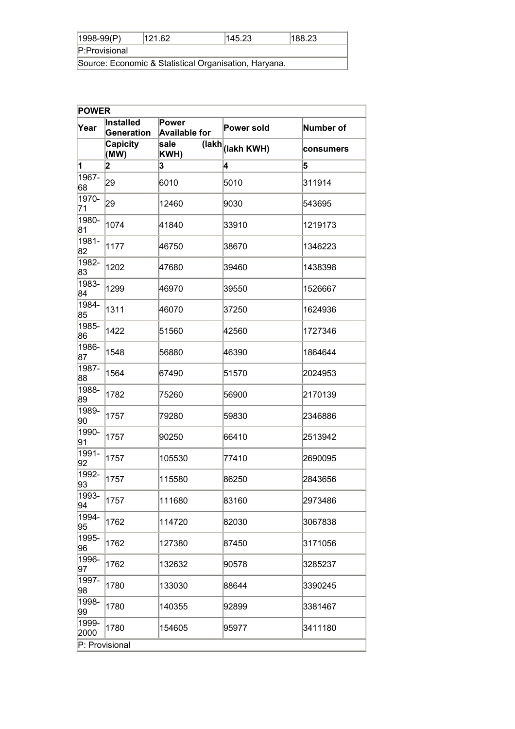| $ 1998-99(P) $ | 121.62                                                | 145.23 | 188.23 |
|----------------|-------------------------------------------------------|--------|--------|
| P:Provisional  |                                                       |        |        |
|                | Source: Economic & Statistical Organisation, Haryana. |        |        |

| <b>POWER</b>  |                         |                               |                              |           |
|---------------|-------------------------|-------------------------------|------------------------------|-----------|
| Year          | Installed<br>Generation | Power<br><b>Available for</b> | Power sold                   | Number of |
|               | <b>Capicity</b><br>(MW) | sale<br>KWH)                  | (lakh  <sub>(lakh</sub> KWH) | consumers |
| 1             | 2                       | 3                             | 4                            | 5         |
| 1967-<br>68   | 29                      | 6010                          | 5010                         | 311914    |
| 1970-<br>71   | 29                      | 12460                         | 9030                         | 543695    |
| 1980-<br> 81  | 1074                    | 41840                         | 33910                        | 1219173   |
| 1981-<br>82   | 1177                    | 46750                         | 38670                        | 1346223   |
| 1982-<br>83   | 1202                    | 147680                        | 39460                        | 1438398   |
| 1983-<br>84   | 1299                    | 46970                         | 39550                        | 1526667   |
| 1984-<br>85   | 1311                    | 46070                         | 37250                        | 1624936   |
| 1985-<br>86   | 1422                    | 51560                         | 42560                        | 1727346   |
| 1986-<br>87   | 1548                    | 56880                         | 46390                        | 1864644   |
| 1987-<br>88   | 1564                    | 67490                         | 51570                        | 2024953   |
| 1988-<br>89   | 1782                    | 75260                         | 56900                        | 2170139   |
| 1989-<br>90   | 1757                    | 79280                         | 59830                        | 2346886   |
| 1990-<br>91   | 1757                    | 90250                         | 66410                        | 2513942   |
| 1991-<br>92   | 1757                    | 105530                        | 77410                        | 2690095   |
| 1992-<br>93   | 1757                    | 115580                        | 86250                        | 2843656   |
| 1993-<br>94   | 1757                    | 111680                        | 83160                        | 2973486   |
| 1994-<br>95   | 1762                    | 114720                        | 82030                        | 3067838   |
| 1995-<br>96   | 1762                    | 127380                        | 87450                        | 3171056   |
| 1996-<br>97   | 1762                    | 132632                        | 90578                        | 3285237   |
| 1997-<br>98   | 1780                    | 133030                        | 88644                        | 3390245   |
| 1998-<br>99   | 1780                    | 140355                        | 92899                        | 3381467   |
| 1999-<br>2000 | 1780                    | 154605                        | 95977                        | 3411180   |
|               | P: Provisional          |                               |                              |           |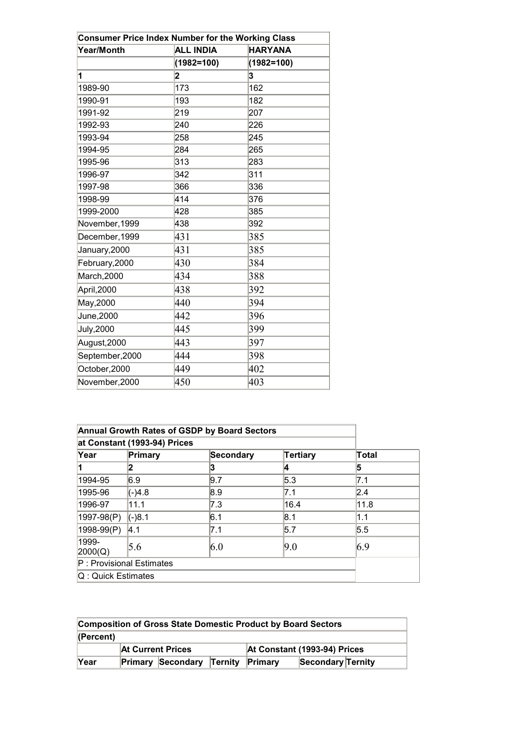| <b>Consumer Price Index Number for the Working Class</b> |                  |                |  |  |  |  |
|----------------------------------------------------------|------------------|----------------|--|--|--|--|
| Year/Month                                               | <b>ALL INDIA</b> | <b>HARYANA</b> |  |  |  |  |
|                                                          | $(1982=100)$     | $(1982=100)$   |  |  |  |  |
| 1                                                        | 2                | 3              |  |  |  |  |
| 1989-90                                                  | 173              | 162            |  |  |  |  |
| 1990-91                                                  | 193              | 182            |  |  |  |  |
| 1991-92                                                  | 219              | 207            |  |  |  |  |
| 1992-93                                                  | 240              | 226            |  |  |  |  |
| 1993-94                                                  | 258              | 245            |  |  |  |  |
| 1994-95                                                  | 284              | 265            |  |  |  |  |
| 1995-96                                                  | 313              | 283            |  |  |  |  |
| 1996-97                                                  | 342              | 311            |  |  |  |  |
| 1997-98                                                  | 366              | 336            |  |  |  |  |
| 1998-99                                                  | 414              | 376            |  |  |  |  |
| 1999-2000                                                | 428              | 385            |  |  |  |  |
| November, 1999                                           | 438              | 392            |  |  |  |  |
| December, 1999                                           | 431              | 385            |  |  |  |  |
| January, 2000                                            | 431              | 385            |  |  |  |  |
| February, 2000                                           | 430              | 384            |  |  |  |  |
| March, 2000                                              | 434              | 388            |  |  |  |  |
| April, 2000                                              | 438              | 392            |  |  |  |  |
| May, 2000                                                | 440              | 394            |  |  |  |  |
| June, 2000                                               | 442              | 396            |  |  |  |  |
| <b>July, 2000</b>                                        | 445              | 399            |  |  |  |  |
| August, 2000                                             | 443              | 397            |  |  |  |  |
| September, 2000                                          | 444              | 398            |  |  |  |  |
| October, 2000                                            | 449              | 402            |  |  |  |  |
| November, 2000                                           | 450              | 403            |  |  |  |  |

|                    |                              | <b>Annual Growth Rates of GSDP by Board Sectors</b> |          |       |
|--------------------|------------------------------|-----------------------------------------------------|----------|-------|
|                    | at Constant (1993-94) Prices |                                                     |          |       |
| Year               | Primary                      | Secondary                                           | Tertiary | Total |
| 11                 |                              | 3                                                   | 14       | 15    |
| 1994-95            | 6.9                          | 9.7                                                 | 5.3      | 7.1   |
| 1995-96            | $(-)4.8$                     | 8.9                                                 | 7.1      | 2.4   |
| 1996-97            | 11.1                         | 7.3                                                 | 16.4     | 11.8  |
| 1997-98(P)         | $(-)8.1$                     | 6.1                                                 | 8.1      | 1.1   |
| 1998-99(P)         | ∣4.1                         | 7.1                                                 | 5.7      | 5.5   |
| 1999-<br>2000(Q)   | 5.6                          | 6.0                                                 | 9.0      | 6.9   |
|                    | $P:$ Provisional Estimates   |                                                     |          |       |
| Q: Quick Estimates |                              |                                                     |          |       |

| <b>Composition of Gross State Domestic Product by Board Sectors</b> |                          |                                          |  |                              |                   |  |
|---------------------------------------------------------------------|--------------------------|------------------------------------------|--|------------------------------|-------------------|--|
| (Percent)                                                           |                          |                                          |  |                              |                   |  |
|                                                                     | <b>At Current Prices</b> |                                          |  | At Constant (1993-94) Prices |                   |  |
| Year                                                                |                          | <b>Primary Secondary Ternity Primary</b> |  |                              | Secondary Ternity |  |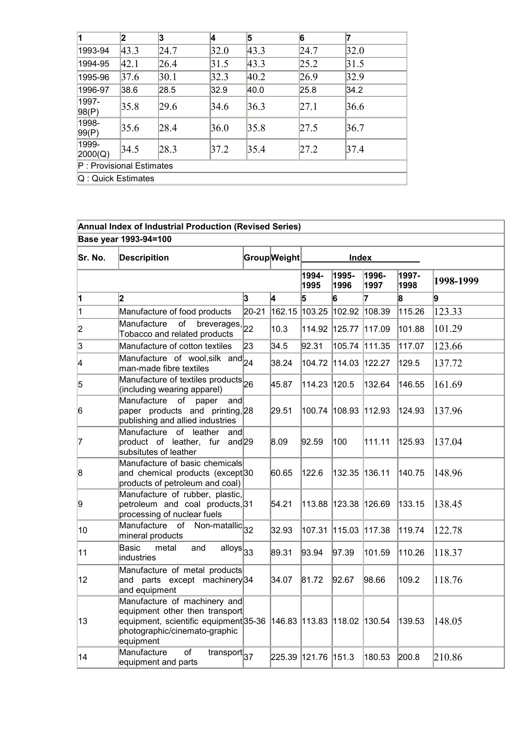| 1                        | 2    | 3    | 14   | 5    | 6    |      |
|--------------------------|------|------|------|------|------|------|
| 1993-94                  | 43.3 | 24.7 | 32.0 | 43.3 | 24.7 | 32.0 |
| 1994-95                  | 42.1 | 26.4 | 31.5 | 43.3 | 25.2 | 31.5 |
| 1995-96                  | 37.6 | 30.1 | 32.3 | 40.2 | 26.9 | 32.9 |
| 1996-97                  | 38.6 | 28.5 | 32.9 | 40.0 | 25.8 | 34.2 |
| 1997-<br>98(P)           | 35.8 | 29.6 | 34.6 | 36.3 | 27.1 | 36.6 |
| 1998-<br>99(P)           | 35.6 | 28.4 | 36.0 | 35.8 | 27.5 | 36.7 |
| 1999-<br>2000(Q)         | 34.5 | 28.3 | 37.2 | 35.4 | 27.2 | 37.4 |
| P: Provisional Estimates |      |      |      |      |      |      |
| Q: Quick Estimates       |      |      |      |      |      |      |

# Annual Index of Industrial Production (Revised Series)

Base year 1993-94=100

| Sr. No.        | <b>Descripition</b>                                                                                                                                                               |       | Group Weight<br><b>Index</b> |                     |                      |               |               |           |  |
|----------------|-----------------------------------------------------------------------------------------------------------------------------------------------------------------------------------|-------|------------------------------|---------------------|----------------------|---------------|---------------|-----------|--|
|                |                                                                                                                                                                                   |       |                              | 1994-<br>1995       | 1995-<br>1996        | 1996-<br>1997 | 1997-<br>1998 | 1998-1999 |  |
| 1              | 2                                                                                                                                                                                 | 3     | 4                            | 5                   | 6                    | 7             | 8             | g.        |  |
| $\overline{1}$ | Manufacture of food products                                                                                                                                                      | 20-21 |                              |                     | 162.15 103.25 102.92 | 108.39        | 115.26        | 123.33    |  |
| 2              | of<br>Manufacture<br>breverages, 22<br>Tobacco and related products                                                                                                               |       | 10.3                         |                     | 114.92 125.77        | 117.09        | 101.88        | 101.29    |  |
| 3              | Manufacture of cotton textiles                                                                                                                                                    | 23    | 34.5                         | 92.31               | 105.74               | 111.35        | 117.07        | 123.66    |  |
| 4              | Manufacture of wool, silk and 24<br>man-made fibre textiles                                                                                                                       |       | 38.24                        |                     | 104.72 114.03 122.27 |               | 129.5         | 137.72    |  |
| 5              | Manufacture of textiles products 26<br>(including wearing apparel)                                                                                                                |       | 45.87                        | 114.23 120.5        |                      | 132.64        | 146.55        | 161.69    |  |
| 6              | Manufacture of paper<br>and<br>paper products and printing, 28<br>publishing and allied industries                                                                                |       | 29.51                        |                     | 100.74 108.93 112.93 |               | 124.93        | 137.96    |  |
| 17             | Manufacture of leather<br>and<br>product of leather, fur<br>and $29$<br>subsitutes of leather                                                                                     |       | 8.09                         | 92.59               | 100                  | 111.11        | 125.93        | 137.04    |  |
| 8              | Manufacture of basic chemicals<br>and chemical products (except <sup>30</sup><br>products of petroleum and coal)                                                                  |       | 60.65                        | 122.6               |                      | 132.35 136.11 | 140.75        | 148.96    |  |
| 9              | Manufacture of rubber, plastic,<br>petroleum and coal products, 31<br>processing of nuclear fuels                                                                                 |       | 54.21                        |                     | 113.88 123.38 126.69 |               | 133.15        | 138.45    |  |
| 10             | Manufacture of Non-matallic 32<br>mineral products                                                                                                                                |       | 32.93                        | 107.31              | 115.03 117.38        |               | 119.74        | 122.78    |  |
| 11             | Basic<br>metal<br>and<br>$\overline{\text{alloys}}_{33}$<br>industries                                                                                                            |       | 89.31                        | 93.94               | 97.39                | 101.59        | 110.26        | 118.37    |  |
| 12             | Manufacture of metal products<br>and parts except machinery 34<br>and equipment                                                                                                   |       | 34.07                        | 81.72               | 92.67                | 98.66         | 109.2         | 118.76    |  |
| 13             | Manufacture of machinery and<br>equipment other then transport<br>equipment, scientific equipment 35-36 146.83 113.83 118.02 130.54<br>photographic/cinemato-graphic<br>equipment |       |                              |                     |                      |               | 139.53        | 148.05    |  |
| 14             | Manufacture<br>$\overline{of}$<br>$\overline{\text{transport}}_{37}$<br>equipment and parts                                                                                       |       |                              | 225.39 121.76 151.3 |                      | 180.53        | 200.8         | 210.86    |  |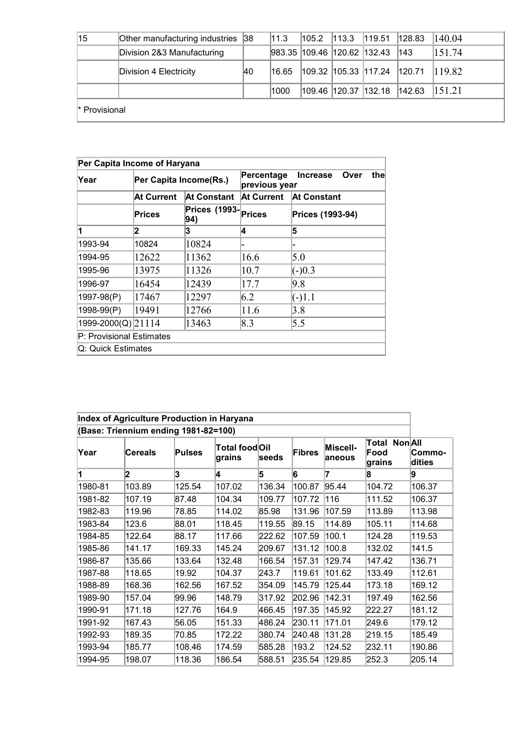| 15                   | Other manufacturing industries 38 |    | 11.3  | 105.2 | 113.3                       | 119.51                         | 128.83        | 140.04 |  |
|----------------------|-----------------------------------|----|-------|-------|-----------------------------|--------------------------------|---------------|--------|--|
|                      | Division 2&3 Manufacturing        |    |       |       | 983.35 109.46 120.62 132.43 |                                | $ 143\rangle$ | 151.74 |  |
|                      | Division 4 Electricity            | 40 | 16.65 |       |                             | 109.32  105.33  117.24  120.71 |               | 119.82 |  |
|                      |                                   |    | 1000  |       | 109.46 120.37 132.18        |                                | 142.63        | 115121 |  |
| <i></i> Provisional* |                                   |    |       |       |                             |                                |               |        |  |

| Per Capita Income of Haryana |                        |                             |                                                               |                                 |  |  |  |  |
|------------------------------|------------------------|-----------------------------|---------------------------------------------------------------|---------------------------------|--|--|--|--|
| Year                         | Per Capita Income(Rs.) |                             | the<br>Percentage<br><b>Increase</b><br>Over<br>previous year |                                 |  |  |  |  |
|                              | At Current             | At Constant                 | <b>At Current</b>                                             | At Constant<br>Prices (1993-94) |  |  |  |  |
|                              | Prices                 | <b>Prices (1993-</b><br>94) | <b>Prices</b>                                                 |                                 |  |  |  |  |
|                              | 2                      | 3                           | 4                                                             | 15                              |  |  |  |  |
| 1993-94                      | 10824                  | 10824                       |                                                               |                                 |  |  |  |  |
| 1994-95                      | 12622                  | 11362                       | 16.6                                                          | 5.0                             |  |  |  |  |
| 1995-96                      | 13975                  | 11326                       | 10.7                                                          | $(-)0.3$                        |  |  |  |  |
| 1996-97                      | 16454                  | 12439                       | 17.7                                                          | 9.8                             |  |  |  |  |
| 1997-98(P)                   | 17467                  | 12297                       | 6.2                                                           | $(-)1.1$                        |  |  |  |  |
| 1998-99(P)                   | 19491                  | 12766                       | 11.6                                                          | 3.8                             |  |  |  |  |
| 1999-2000(Q) 21114           |                        | 13463                       | 8.3                                                           | 5.5                             |  |  |  |  |
| P: Provisional Estimates     |                        |                             |                                                               |                                 |  |  |  |  |
| Q: Quick Estimates           |                        |                             |                                                               |                                 |  |  |  |  |

| Index of Agriculture Production in Haryana |                                      |               |                          |        |        |                     |                                           |                  |
|--------------------------------------------|--------------------------------------|---------------|--------------------------|--------|--------|---------------------|-------------------------------------------|------------------|
|                                            | (Base: Triennium ending 1981-82=100) |               |                          |        |        |                     |                                           |                  |
| Year                                       | <b>Cereals</b>                       | <b>Pulses</b> | Total food Oil<br>grains | lseeds | Fibres | Miscell-<br>laneous | <b>Non All</b><br>Total<br>Food<br>grains | Commo-<br>dities |
|                                            | 2                                    | 3             | 4                        | 5      | 6      | 17                  | 8                                         | 19               |
| 1980-81                                    | 103.89                               | 125.54        | 107.02                   | 136.34 | 100.87 | 95.44               | 104.72                                    | 106.37           |
| 1981-82                                    | 107.19                               | 87.48         | 104.34                   | 109.77 | 107.72 | 116                 | 111.52                                    | 106.37           |
| 1982-83                                    | 119.96                               | 78.85         | 114.02                   | 85.98  | 131.96 | 107.59              | 113.89                                    | 113.98           |
| 1983-84                                    | 123.6                                | 88.01         | 118.45                   | 119.55 | 89.15  | 114.89              | 105.11                                    | 114.68           |
| 1984-85                                    | 122.64                               | 88.17         | 117.66                   | 222.62 | 107.59 | 100.1               | 124.28                                    | 119.53           |
| 1985-86                                    | 141.17                               | 169.33        | 145.24                   | 209.67 | 131.12 | 100.8               | 132.02                                    | 141.5            |
| 1986-87                                    | 135.66                               | 133.64        | 132.48                   | 166.54 | 157.31 | 129.74              | 147.42                                    | 136.71           |
| 1987-88                                    | 118.65                               | 19.92         | 104.37                   | 243.7  | 119.61 | 101.62              | 133.49                                    | 112.61           |
| 1988-89                                    | 168.36                               | 162.56        | 167.52                   | 354.09 | 145.79 | 125.44              | 173.18                                    | 169.12           |
| 1989-90                                    | 157.04                               | 99.96         | 148.79                   | 317.92 | 202.96 | 142.31              | 197.49                                    | 162.56           |
| 1990-91                                    | 171.18                               | 127.76        | 164.9                    | 466.45 | 197.35 | 145.92              | 222.27                                    | 181.12           |
| 1991-92                                    | 167.43                               | 56.05         | 151.33                   | 486.24 | 230.11 | 171.01              | 249.6                                     | 179.12           |
| 1992-93                                    | 189.35                               | 70.85         | 172.22                   | 380.74 | 240.48 | 131.28              | 219.15                                    | 185.49           |
| 1993-94                                    | 185.77                               | 108.46        | 174.59                   | 585.28 | 193.2  | 124.52              | 232.11                                    | 190.86           |
| 1994-95                                    | 198.07                               | 118.36        | 186.54                   | 588.51 | 235.54 | 129.85              | 252.3                                     | 205.14           |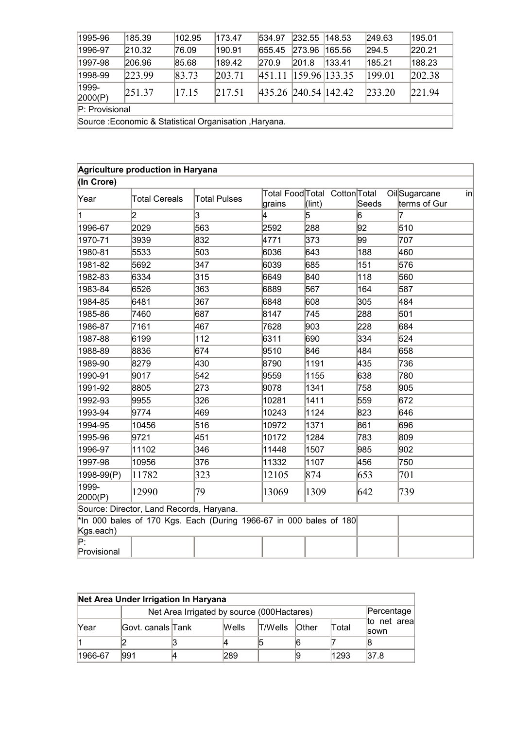| 1995-96                                                | 185.39 | 102.95 | 173.47 | 534.97               | 232.55          | 148.53 | 249.63 | 195.01 |
|--------------------------------------------------------|--------|--------|--------|----------------------|-----------------|--------|--------|--------|
| 1996-97                                                | 210.32 | 76.09  | 190.91 | 655.45               | 273.96          | 165.56 | 294.5  | 220.21 |
| 1997-98                                                | 206.96 | 85.68  | 189.42 | 270.9                | 201.8           | 133.41 | 185.21 | 188.23 |
| 1998-99                                                | 223.99 | 83.73  | 203.71 | 451.11               | $159.96$ 133.35 |        | 199.01 | 202.38 |
| 1999-<br>2000(P)                                       | 251.37 | 17.15  | 217.51 | 435.26 240.54 142.42 |                 |        | 233.20 | 221.94 |
| P: Provisional                                         |        |        |        |                      |                 |        |        |        |
| Source : Economic & Statistical Organisation, Haryana. |        |        |        |                      |                 |        |        |        |

Source :Economic & Statistical Organisation ,Haryana.

|                   | Agriculture production in Haryana        |                                                                    |        |                                                  |       |                                    |
|-------------------|------------------------------------------|--------------------------------------------------------------------|--------|--------------------------------------------------|-------|------------------------------------|
| (In Crore)        |                                          |                                                                    |        |                                                  |       |                                    |
| Year              | <b>Total Cereals</b>                     | <b>Total Pulses</b>                                                | grains | Total Food Total Cotton Total<br>$(\text{lint})$ | Seeds | OilSugarcane<br>in<br>terms of Gur |
| 1                 | 2                                        | 3                                                                  | 4      | 5                                                | 6     | 7                                  |
| 1996-67           | 2029                                     | 563                                                                | 2592   | 288                                              | 92    | 510                                |
| 1970-71           | 3939                                     | 832                                                                | 4771   | 373                                              | 99    | 707                                |
| 1980-81           | 5533                                     | 503                                                                | 6036   | 643                                              | 188   | 460                                |
| 1981-82           | 5692                                     | 347                                                                | 6039   | 685                                              | 151   | 576                                |
| 1982-83           | 6334                                     | 315                                                                | 6649   | 840                                              | 118   | 560                                |
| 1983-84           | 6526                                     | 363                                                                | 6889   | 567                                              | 164   | 587                                |
| 1984-85           | 6481                                     | 367                                                                | 6848   | 608                                              | 305   | 484                                |
| 1985-86           | 7460                                     | 687                                                                | 8147   | 745                                              | 288   | 501                                |
| 1986-87           | 7161                                     | 467                                                                | 7628   | 903                                              | 228   | 684                                |
| 1987-88           | 6199                                     | 112                                                                | 6311   | 690                                              | 334   | 524                                |
| 1988-89           | 8836                                     | 674                                                                | 9510   | 846                                              | 484   | 658                                |
| 1989-90           | 8279                                     | 430                                                                | 8790   | 1191                                             | 435   | 736                                |
| 1990-91           | 9017                                     | 542                                                                | 9559   | 1155                                             | 638   | 780                                |
| 1991-92           | 8805                                     | 273                                                                | 9078   | 1341                                             | 758   | 905                                |
| 1992-93           | 9955                                     | 326                                                                | 10281  | 1411                                             | 559   | 672                                |
| 1993-94           | 9774                                     | 469                                                                | 10243  | 1124                                             | 823   | 646                                |
| 1994-95           | 10456                                    | 516                                                                | 10972  | 1371                                             | 861   | 696                                |
| 1995-96           | 9721                                     | 451                                                                | 10172  | 1284                                             | 783   | 809                                |
| 1996-97           | 11102                                    | 346                                                                | 11448  | 1507                                             | 985   | 902                                |
| 1997-98           | 10956                                    | 376                                                                | 11332  | 1107                                             | 456   | 750                                |
| 1998-99(P)        | 11782                                    | 323                                                                | 12105  | 874                                              | 653   | 701                                |
| 1999-<br>2000(P)  | 12990                                    | 79                                                                 | 13069  | 1309                                             | 642   | 739                                |
|                   | Source: Director, Land Records, Haryana. |                                                                    |        |                                                  |       |                                    |
| Kgs.each)         |                                          | *In 000 bales of 170 Kgs. Each (During 1966-67 in 000 bales of 180 |        |                                                  |       |                                    |
| P.<br>Provisional |                                          |                                                                    |        |                                                  |       |                                    |

| Net Area Under Irrigation In Haryana        |                     |  |              |         |          |       |                                 |  |  |
|---------------------------------------------|---------------------|--|--------------|---------|----------|-------|---------------------------------|--|--|
| Net Area Irrigated by source (000 Hactares) |                     |  |              |         |          |       |                                 |  |  |
| Year                                        | lGovt. canals lTank |  | <b>Wells</b> | T/Wells | $O$ ther | Total | net areal<br>lto<br><b>SOWN</b> |  |  |
|                                             |                     |  |              |         |          |       |                                 |  |  |
| 1966-67                                     | 1991                |  | 289          |         |          | 1293  | 37.8                            |  |  |